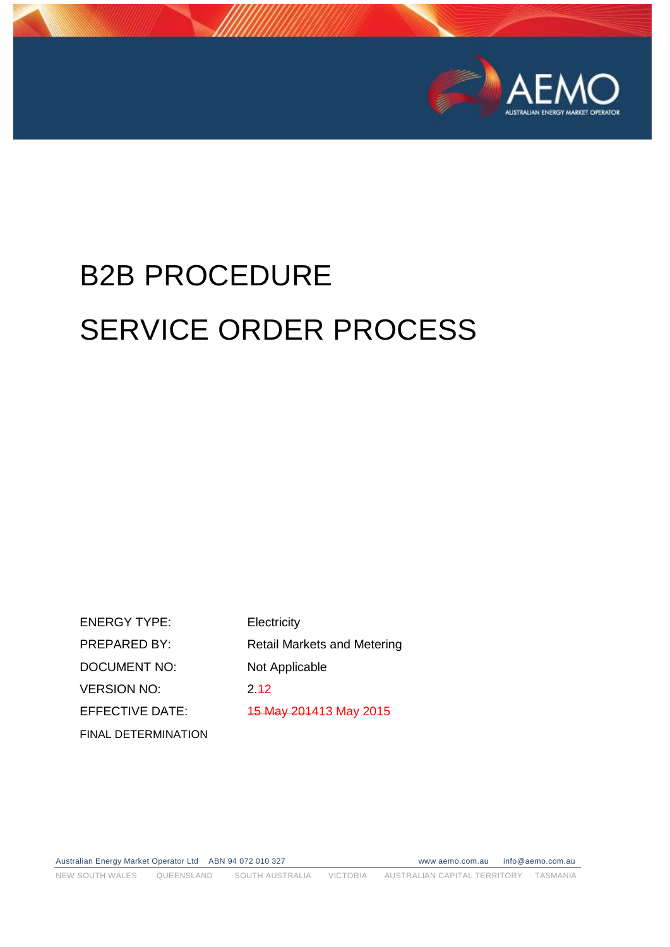

# B2B PROCEDURE SERVICE ORDER PROCESS

ENERGY TYPE: Electricity PREPARED BY: Retail Markets and Metering DOCUMENT NO: Not Applicable VERSION NO: 2.42 EFFECTIVE DATE: 45 May 201413 May 2015 FINAL DETERMINATION

Australian Energy Market Operator Ltd ABN 94 072 010 327 www aemo.com.au info@aemo.com.au NEW SOUTH WALES QUEENSLAND SOUTH AUSTRALIA VICTORIA AUSTRALIAN CAPITAL TERRITORY TASMANIA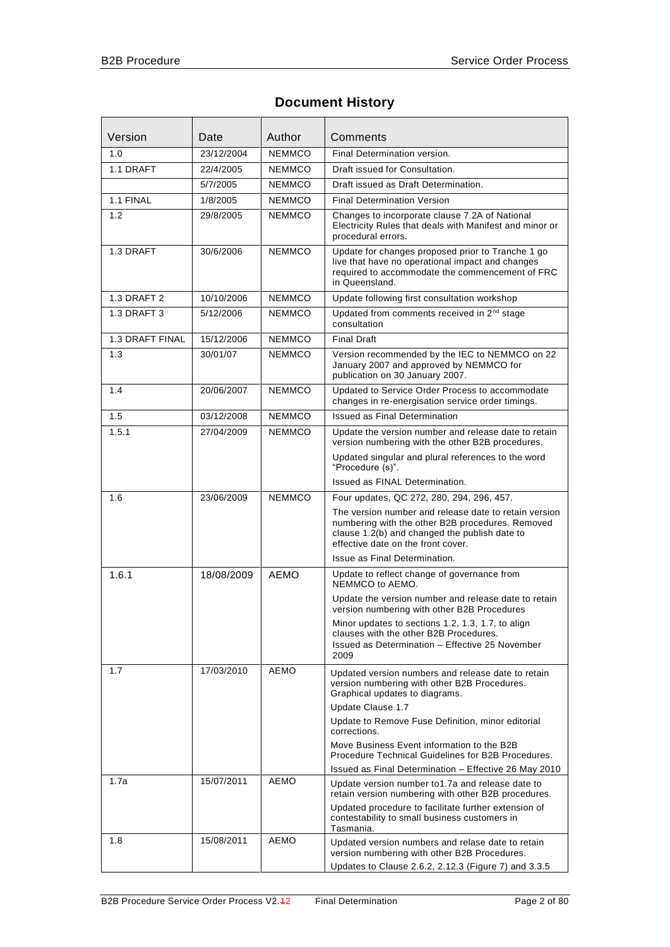#### **Document History**

| Version         | Date       | Author        | Comments                                                                                                                                                                                         |  |  |
|-----------------|------------|---------------|--------------------------------------------------------------------------------------------------------------------------------------------------------------------------------------------------|--|--|
| 1.0             | 23/12/2004 | <b>NEMMCO</b> | Final Determination version.                                                                                                                                                                     |  |  |
| 1.1 DRAFT       | 22/4/2005  | <b>NEMMCO</b> | Draft issued for Consultation.                                                                                                                                                                   |  |  |
|                 | 5/7/2005   | <b>NEMMCO</b> | Draft issued as Draft Determination.                                                                                                                                                             |  |  |
| 1.1 FINAL       | 1/8/2005   | <b>NEMMCO</b> | <b>Final Determination Version</b>                                                                                                                                                               |  |  |
| 1.2             | 29/8/2005  | <b>NEMMCO</b> | Changes to incorporate clause 7.2A of National<br>Electricity Rules that deals with Manifest and minor or<br>procedural errors.                                                                  |  |  |
| 1.3 DRAFT       | 30/6/2006  | <b>NEMMCO</b> | Update for changes proposed prior to Tranche 1 go<br>live that have no operational impact and changes<br>required to accommodate the commencement of FRC<br>in Queensland.                       |  |  |
| 1.3 DRAFT 2     | 10/10/2006 | <b>NEMMCO</b> | Update following first consultation workshop                                                                                                                                                     |  |  |
| 1.3 DRAFT 3     | 5/12/2006  | <b>NEMMCO</b> | Updated from comments received in 2 <sup>nd</sup> stage<br>consultation                                                                                                                          |  |  |
| 1.3 DRAFT FINAL | 15/12/2006 | <b>NEMMCO</b> | <b>Final Draft</b>                                                                                                                                                                               |  |  |
| 1.3             | 30/01/07   | <b>NEMMCO</b> | Version recommended by the IEC to NEMMCO on 22<br>January 2007 and approved by NEMMCO for<br>publication on 30 January 2007.                                                                     |  |  |
| 1.4             | 20/06/2007 | <b>NEMMCO</b> | Updated to Service Order Process to accommodate<br>changes in re-energisation service order timings.                                                                                             |  |  |
| 1.5             | 03/12/2008 | <b>NEMMCO</b> | <b>Issued as Final Determination</b>                                                                                                                                                             |  |  |
| 1.5.1           | 27/04/2009 | <b>NEMMCO</b> | Update the version number and release date to retain<br>version numbering with the other B2B procedures.                                                                                         |  |  |
|                 |            |               | Updated singular and plural references to the word<br>"Procedure (s)".                                                                                                                           |  |  |
|                 |            |               | Issued as FINAL Determination.                                                                                                                                                                   |  |  |
| 1.6             | 23/06/2009 | <b>NEMMCO</b> | Four updates, QC 272, 280, 294, 296, 457.                                                                                                                                                        |  |  |
|                 |            |               | The version number and release date to retain version<br>numbering with the other B2B procedures. Removed<br>clause 1.2(b) and changed the publish date to<br>effective date on the front cover. |  |  |
|                 |            |               | Issue as Final Determination.                                                                                                                                                                    |  |  |
| 1.6.1           | 18/08/2009 | AEMO          | Update to reflect change of governance from<br>NEMMCO to AEMO.                                                                                                                                   |  |  |
|                 |            |               | Update the version number and release date to retain<br>version numbering with other B2B Procedures                                                                                              |  |  |
|                 |            |               | Minor updates to sections 1.2, 1.3, 1.7, to align<br>clauses with the other B2B Procedures.<br>Issued as Determination - Effective 25 November<br>2009                                           |  |  |
| 1.7             | 17/03/2010 | AEMO          | Updated version numbers and release date to retain<br>version numbering with other B2B Procedures.<br>Graphical updates to diagrams.                                                             |  |  |
|                 |            |               | Update Clause 1.7<br>Update to Remove Fuse Definition, minor editorial                                                                                                                           |  |  |
|                 |            |               | corrections.<br>Move Business Event information to the B2B<br>Procedure Technical Guidelines for B2B Procedures.                                                                                 |  |  |
| 1.7a            | 15/07/2011 | AEMO          | Issued as Final Determination - Effective 26 May 2010                                                                                                                                            |  |  |
|                 |            |               | Update version number to 1.7a and release date to<br>retain version numbering with other B2B procedures.                                                                                         |  |  |
|                 |            |               | Updated procedure to facilitate further extension of<br>contestability to small business customers in<br>Tasmania.                                                                               |  |  |
| 1.8             | 15/08/2011 | AEMO          | Updated version numbers and relase date to retain<br>version numbering with other B2B Procedures.                                                                                                |  |  |
|                 |            |               | Updates to Clause 2.6.2, 2.12.3 (Figure 7) and 3.3.5                                                                                                                                             |  |  |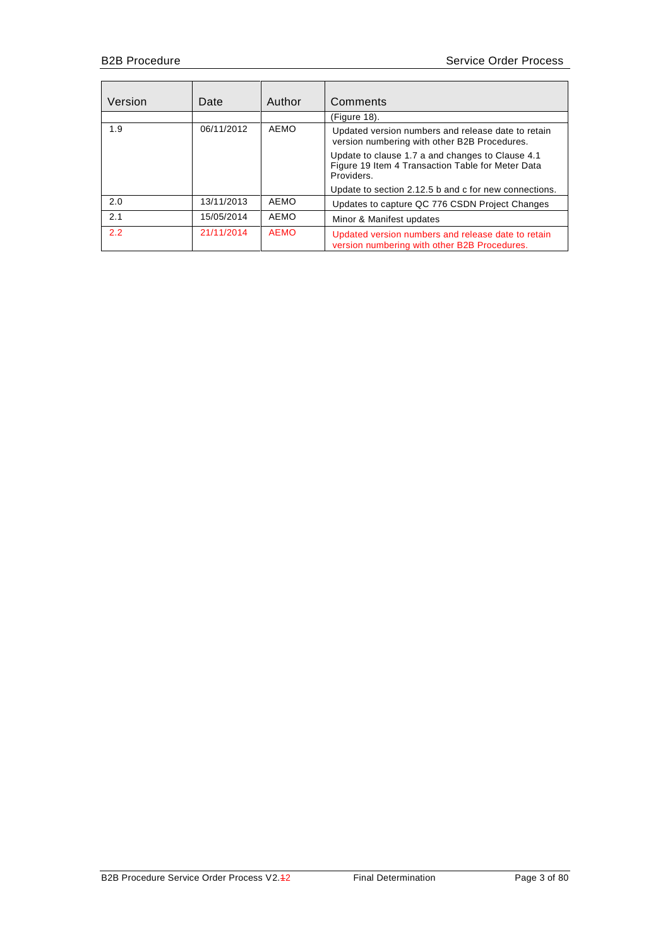| Version | Date       | Author      | Comments                                                                                                            |  |
|---------|------------|-------------|---------------------------------------------------------------------------------------------------------------------|--|
|         |            |             | (Figure 18).                                                                                                        |  |
| 1.9     | 06/11/2012 | AEMO        | Updated version numbers and release date to retain<br>version numbering with other B2B Procedures.                  |  |
|         |            |             | Update to clause 1.7 a and changes to Clause 4.1<br>Figure 19 Item 4 Transaction Table for Meter Data<br>Providers. |  |
|         |            |             | Update to section 2.12.5 b and c for new connections.                                                               |  |
| 2.0     | 13/11/2013 | AEMO        | Updates to capture QC 776 CSDN Project Changes                                                                      |  |
| 2.1     | 15/05/2014 | AEMO        | Minor & Manifest updates                                                                                            |  |
| 2.2     | 21/11/2014 | <b>AEMO</b> | Updated version numbers and release date to retain<br>version numbering with other B2B Procedures.                  |  |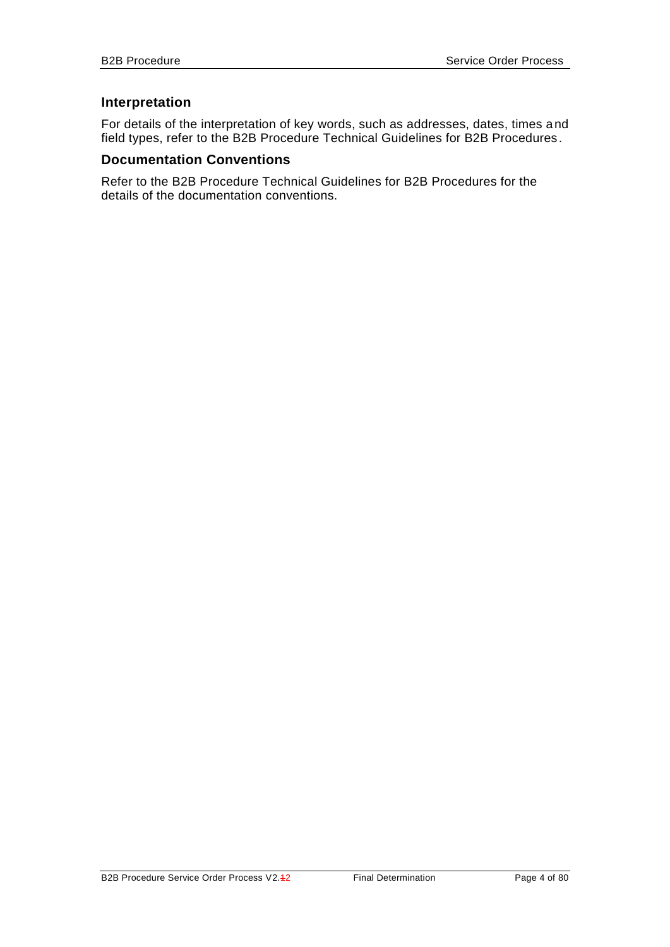#### **Interpretation**

For details of the interpretation of key words, such as addresses, dates, times and field types, refer to the B2B Procedure Technical Guidelines for B2B Procedures.

#### **Documentation Conventions**

Refer to the B2B Procedure Technical Guidelines for B2B Procedures for the details of the documentation conventions.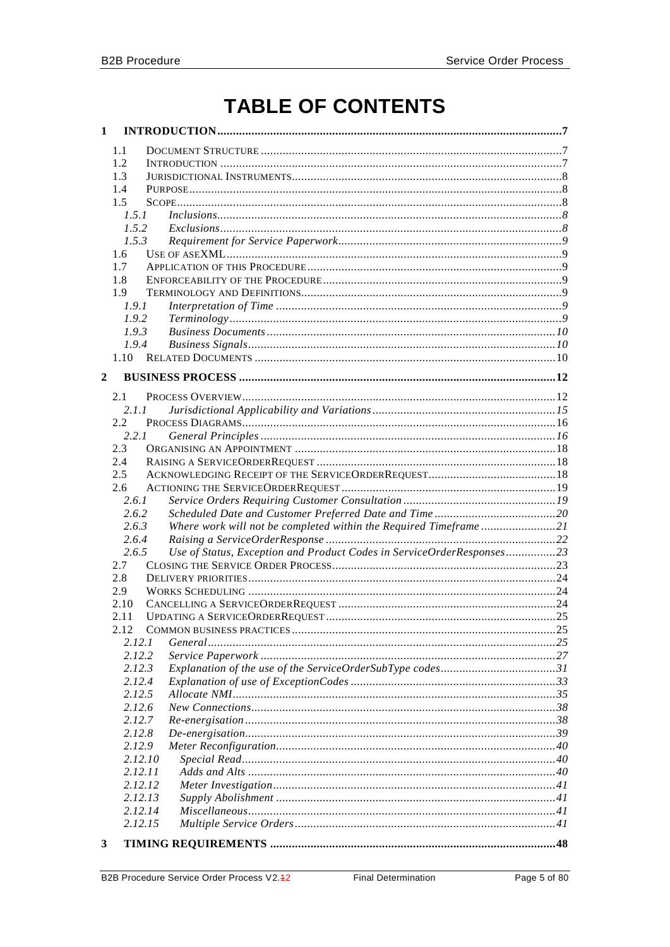# **TABLE OF CONTENTS**

| 1                |               |                                                                       |  |
|------------------|---------------|-----------------------------------------------------------------------|--|
|                  | 1.1           |                                                                       |  |
|                  | 1.2           |                                                                       |  |
|                  | 1.3           |                                                                       |  |
|                  | 1.4           |                                                                       |  |
|                  | 1.5           |                                                                       |  |
|                  | 1.5.1         | Inclusions. 88                                                        |  |
|                  | 1.5.2         |                                                                       |  |
|                  | 1.5.3         |                                                                       |  |
|                  | 1.6           |                                                                       |  |
|                  | 1.7           |                                                                       |  |
|                  | 1.8           |                                                                       |  |
|                  | 1.9           |                                                                       |  |
|                  | 1.9.1         |                                                                       |  |
|                  | 1.9.2         |                                                                       |  |
|                  | 1.9.3         |                                                                       |  |
|                  | 1.9.4         |                                                                       |  |
|                  | $1.10 -$      |                                                                       |  |
|                  |               |                                                                       |  |
| $\boldsymbol{2}$ |               |                                                                       |  |
|                  | 2.1           |                                                                       |  |
|                  | 2.1.1         |                                                                       |  |
|                  | $2.2^{\circ}$ |                                                                       |  |
|                  | 2.2.1         |                                                                       |  |
|                  | 2.3           |                                                                       |  |
|                  | 2.4           |                                                                       |  |
|                  | 2.5           |                                                                       |  |
|                  | 2.6           |                                                                       |  |
|                  | 2.6.1         |                                                                       |  |
|                  | 2.6.2         |                                                                       |  |
|                  | 2.6.3         | Where work will not be completed within the Required Timeframe21      |  |
|                  | 2.6.4         |                                                                       |  |
|                  | 2.6.5         | Use of Status, Exception and Product Codes in ServiceOrderResponses23 |  |
|                  | 2.7           |                                                                       |  |
|                  | 2.8           |                                                                       |  |
|                  | 2.9           |                                                                       |  |
|                  | 2.10          |                                                                       |  |
|                  | 2.11          |                                                                       |  |
|                  | 2.12          |                                                                       |  |
|                  | 2.12.1        |                                                                       |  |
|                  | 2.12.2        |                                                                       |  |
|                  | 2.12.3        | Explanation of the use of the ServiceOrderSubType codes31             |  |
|                  | 2.12.4        |                                                                       |  |
|                  | 2.12.5        |                                                                       |  |
|                  | 2.12.6        |                                                                       |  |
|                  | 2.12.7        |                                                                       |  |
|                  | 2.12.8        |                                                                       |  |
|                  | 2.12.9        |                                                                       |  |
|                  | 2.12.10       |                                                                       |  |
|                  | 2.12.11       |                                                                       |  |
|                  | 2.12.12       |                                                                       |  |
|                  | 2.12.13       |                                                                       |  |
|                  | 2.12.14       |                                                                       |  |
|                  | 2.12.15       |                                                                       |  |
|                  |               |                                                                       |  |
| 3                |               |                                                                       |  |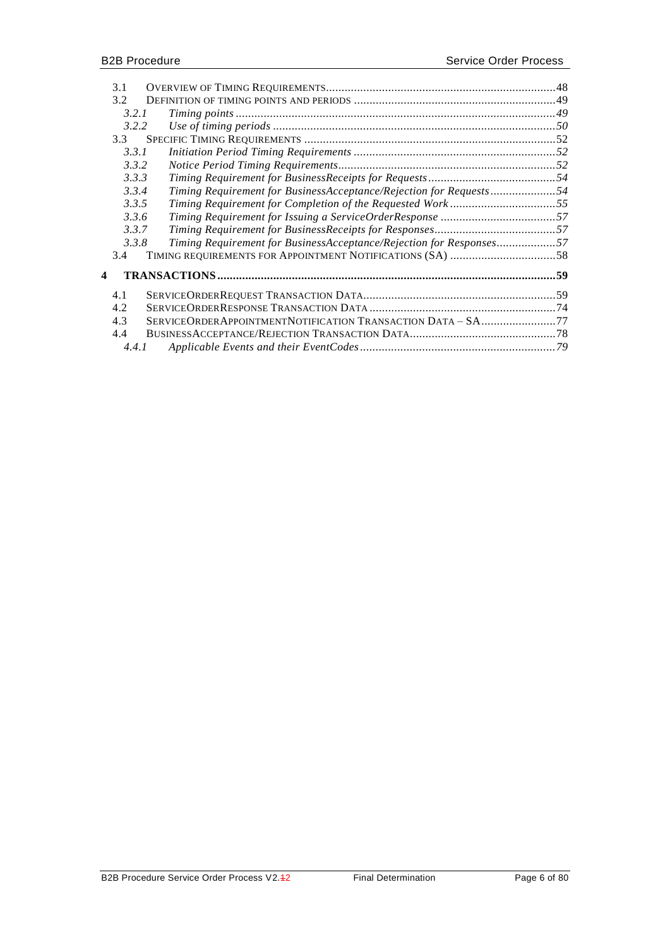|   | 3.1   |                                                                     |  |
|---|-------|---------------------------------------------------------------------|--|
|   | 3.2   |                                                                     |  |
|   | 3.2.1 |                                                                     |  |
|   | 3.2.2 |                                                                     |  |
|   | 3.3   |                                                                     |  |
|   | 3.3.1 |                                                                     |  |
|   | 3.3.2 |                                                                     |  |
|   | 3.3.3 |                                                                     |  |
|   | 3.3.4 | Timing Requirement for BusinessAcceptance/Rejection for Requests54  |  |
|   | 3.3.5 | Timing Requirement for Completion of the Requested Work55           |  |
|   | 3.3.6 |                                                                     |  |
|   | 3.3.7 |                                                                     |  |
|   | 3.3.8 | Timing Requirement for BusinessAcceptance/Rejection for Responses57 |  |
|   | 3.4   |                                                                     |  |
|   |       |                                                                     |  |
| 4 |       |                                                                     |  |
|   | 4.1   |                                                                     |  |
|   | 4.2   |                                                                     |  |
|   | 4.3   | SERVICEORDERAPPOINTMENTNOTIFICATION TRANSACTION DATA - SA77         |  |
|   | 4.4   |                                                                     |  |
|   | 4.4.1 |                                                                     |  |
|   |       |                                                                     |  |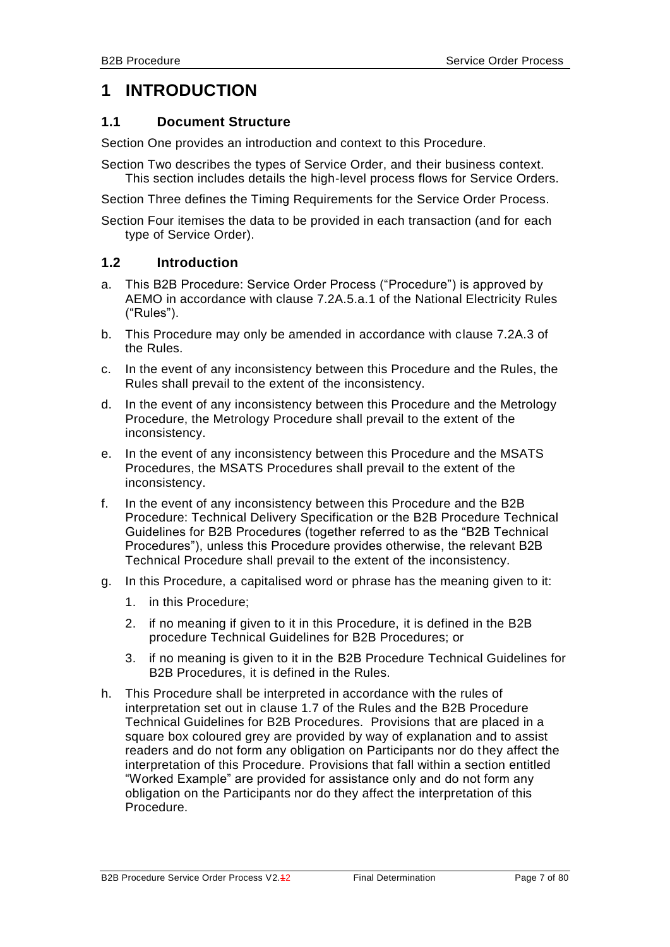## <span id="page-6-0"></span>**1 INTRODUCTION**

#### <span id="page-6-1"></span>**1.1 Document Structure**

Section One provides an introduction and context to this Procedure.

Section Two describes the types of Service Order, and their business context. This section includes details the high-level process flows for Service Orders.

Section Three defines the Timing Requirements for the Service Order Process.

Section Four itemises the data to be provided in each transaction (and for each type of Service Order).

#### <span id="page-6-2"></span>**1.2 Introduction**

- a. This B2B Procedure: Service Order Process ("Procedure") is approved by AEMO in accordance with clause 7.2A.5.a.1 of the National Electricity Rules ("Rules").
- b. This Procedure may only be amended in accordance with clause 7.2A.3 of the Rules.
- c. In the event of any inconsistency between this Procedure and the Rules, the Rules shall prevail to the extent of the inconsistency.
- d. In the event of any inconsistency between this Procedure and the Metrology Procedure, the Metrology Procedure shall prevail to the extent of the inconsistency.
- e. In the event of any inconsistency between this Procedure and the MSATS Procedures, the MSATS Procedures shall prevail to the extent of the inconsistency.
- f. In the event of any inconsistency between this Procedure and the B2B Procedure: Technical Delivery Specification or the B2B Procedure Technical Guidelines for B2B Procedures (together referred to as the "B2B Technical Procedures"), unless this Procedure provides otherwise, the relevant B2B Technical Procedure shall prevail to the extent of the inconsistency.
- g. In this Procedure, a capitalised word or phrase has the meaning given to it:
	- 1. in this Procedure;
	- 2. if no meaning if given to it in this Procedure, it is defined in the B2B procedure Technical Guidelines for B2B Procedures; or
	- 3. if no meaning is given to it in the B2B Procedure Technical Guidelines for B2B Procedures, it is defined in the Rules.
- h. This Procedure shall be interpreted in accordance with the rules of interpretation set out in clause 1.7 of the Rules and the B2B Procedure Technical Guidelines for B2B Procedures. Provisions that are placed in a square box coloured grey are provided by way of explanation and to assist readers and do not form any obligation on Participants nor do they affect the interpretation of this Procedure. Provisions that fall within a section entitled "Worked Example" are provided for assistance only and do not form any obligation on the Participants nor do they affect the interpretation of this Procedure.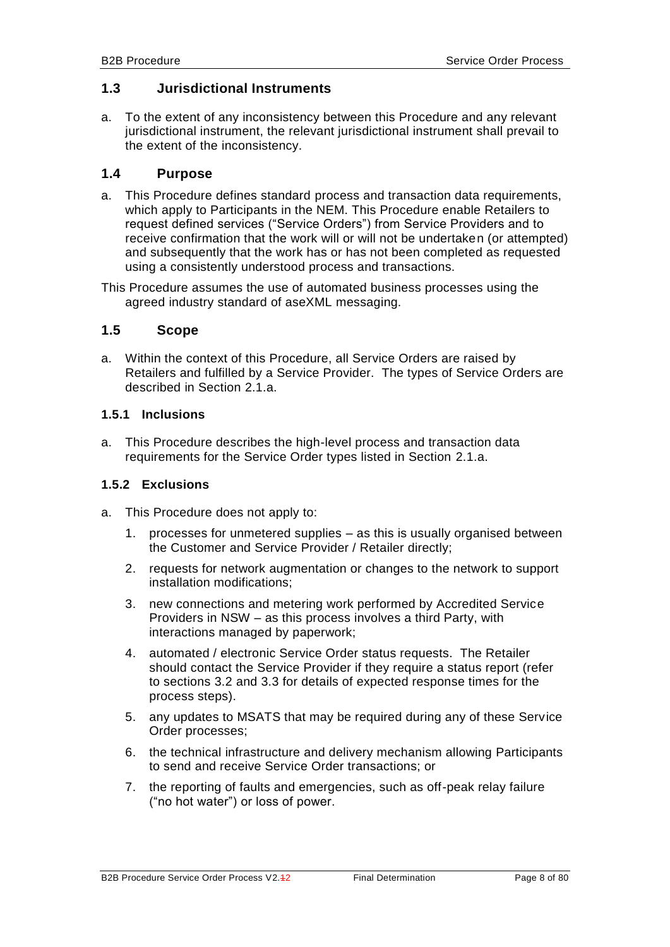#### <span id="page-7-0"></span>**1.3 Jurisdictional Instruments**

a. To the extent of any inconsistency between this Procedure and any relevant jurisdictional instrument, the relevant jurisdictional instrument shall prevail to the extent of the inconsistency.

#### <span id="page-7-1"></span>**1.4 Purpose**

a. This Procedure defines standard process and transaction data requirements, which apply to Participants in the NEM. This Procedure enable Retailers to request defined services ("Service Orders") from Service Providers and to receive confirmation that the work will or will not be undertaken (or attempted) and subsequently that the work has or has not been completed as requested using a consistently understood process and transactions.

This Procedure assumes the use of automated business processes using the agreed industry standard of aseXML messaging.

#### <span id="page-7-2"></span>**1.5 Scope**

a. Within the context of this Procedure, all Service Orders are raised by Retailers and fulfilled by a Service Provider. The types of Service Orders are described in Section [2.1.](#page-11-1)a.

#### <span id="page-7-3"></span>**1.5.1 Inclusions**

a. This Procedure describes the high-level process and transaction data requirements for the Service Order types listed in Section [2.1.](#page-11-1)a.

#### <span id="page-7-4"></span>**1.5.2 Exclusions**

- a. This Procedure does not apply to:
	- 1. processes for unmetered supplies as this is usually organised between the Customer and Service Provider / Retailer directly;
	- 2. requests for network augmentation or changes to the network to support installation modifications;
	- 3. new connections and metering work performed by Accredited Service Providers in NSW – as this process involves a third Party, with interactions managed by paperwork;
	- 4. automated / electronic Service Order status requests. The Retailer should contact the Service Provider if they require a status report (refer to sections [3.2](#page-48-0) and [3.3](#page-51-0) for details of expected response times for the process steps).
	- 5. any updates to MSATS that may be required during any of these Service Order processes;
	- 6. the technical infrastructure and delivery mechanism allowing Participants to send and receive Service Order transactions; or
	- 7. the reporting of faults and emergencies, such as off-peak relay failure ("no hot water") or loss of power.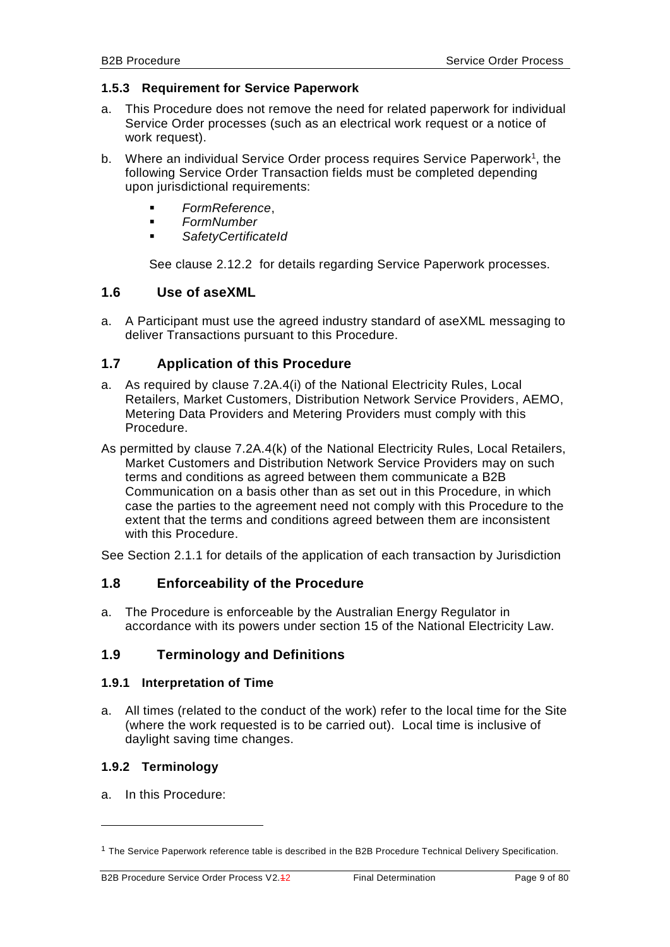#### <span id="page-8-0"></span>**1.5.3 Requirement for Service Paperwork**

- a. This Procedure does not remove the need for related paperwork for individual Service Order processes (such as an electrical work request or a notice of work request).
- b. Where an individual Service Order process requires Service Paperwork<sup>1</sup>, the following Service Order Transaction fields must be completed depending upon jurisdictional requirements:
	- *FormReference*,
	- *FormNumber*
	- *SafetyCertificateId*

See clause [2.12.2](#page-26-0) for details regarding Service Paperwork processes.

#### <span id="page-8-1"></span>**1.6 Use of aseXML**

a. A Participant must use the agreed industry standard of aseXML messaging to deliver Transactions pursuant to this Procedure.

#### <span id="page-8-2"></span>**1.7 Application of this Procedure**

- a. As required by clause 7.2A.4(i) of the National Electricity Rules, Local Retailers, Market Customers, Distribution Network Service Providers, AEMO, Metering Data Providers and Metering Providers must comply with this Procedure.
- As permitted by clause 7.2A.4(k) of the National Electricity Rules, Local Retailers, Market Customers and Distribution Network Service Providers may on such terms and conditions as agreed between them communicate a B2B Communication on a basis other than as set out in this Procedure, in which case the parties to the agreement need not comply with this Procedure to the extent that the terms and conditions agreed between them are inconsistent with this Procedure.

<span id="page-8-3"></span>See Section [2.1.1](#page-14-0) for details of the application of each transaction by Jurisdiction

#### **1.8 Enforceability of the Procedure**

a. The Procedure is enforceable by the Australian Energy Regulator in accordance with its powers under section 15 of the National Electricity Law.

#### <span id="page-8-4"></span>**1.9 Terminology and Definitions**

#### <span id="page-8-5"></span>**1.9.1 Interpretation of Time**

a. All times (related to the conduct of the work) refer to the local time for the Site (where the work requested is to be carried out). Local time is inclusive of daylight saving time changes.

#### <span id="page-8-6"></span>**1.9.2 Terminology**

a. In this Procedure:

-

<sup>&</sup>lt;sup>1</sup> The Service Paperwork reference table is described in the B2B Procedure Technical Delivery Specification.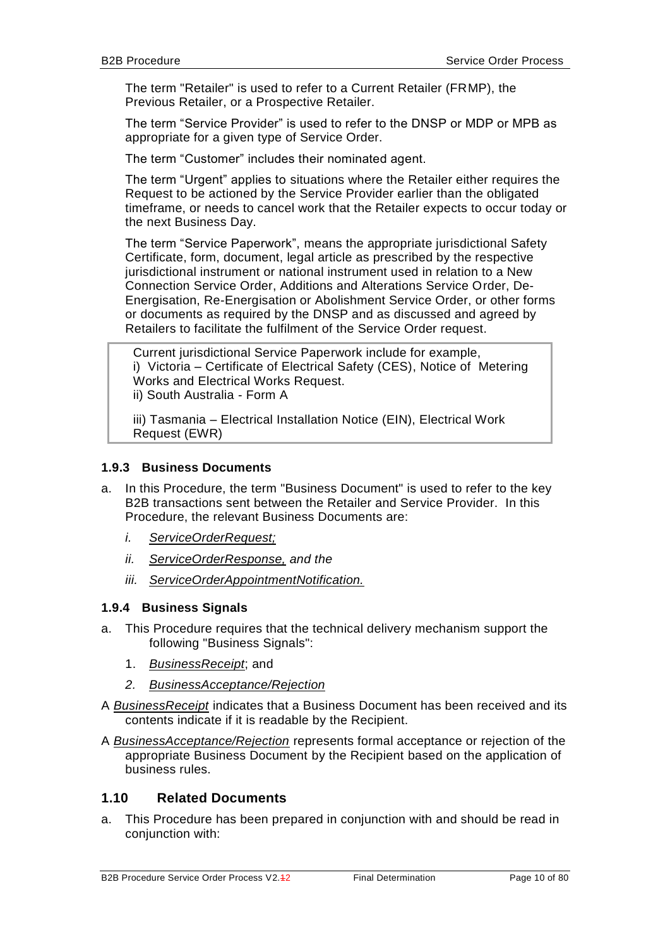The term "Retailer" is used to refer to a Current Retailer (FRMP), the Previous Retailer, or a Prospective Retailer.

The term "Service Provider" is used to refer to the DNSP or MDP or MPB as appropriate for a given type of Service Order.

The term "Customer" includes their nominated agent.

The term "Urgent" applies to situations where the Retailer either requires the Request to be actioned by the Service Provider earlier than the obligated timeframe, or needs to cancel work that the Retailer expects to occur today or the next Business Day.

The term "Service Paperwork", means the appropriate jurisdictional Safety Certificate, form, document, legal article as prescribed by the respective jurisdictional instrument or national instrument used in relation to a New Connection Service Order, Additions and Alterations Service Order, De-Energisation, Re-Energisation or Abolishment Service Order, or other forms or documents as required by the DNSP and as discussed and agreed by Retailers to facilitate the fulfilment of the Service Order request.

Current jurisdictional Service Paperwork include for example, i) Victoria – Certificate of Electrical Safety (CES), Notice of Metering Works and Electrical Works Request. ii) South Australia - Form A

iii) Tasmania – Electrical Installation Notice (EIN), Electrical Work Request (EWR)

#### <span id="page-9-0"></span>**1.9.3 Business Documents**

- a. In this Procedure, the term "Business Document" is used to refer to the key B2B transactions sent between the Retailer and Service Provider. In this Procedure, the relevant Business Documents are:
	- *i. ServiceOrderRequest;*
	- *ii. ServiceOrderResponse, and the*
	- *iii. ServiceOrderAppointmentNotification.*

#### <span id="page-9-1"></span>**1.9.4 Business Signals**

- a. This Procedure requires that the technical delivery mechanism support the following "Business Signals":
	- 1. *BusinessReceipt*; and
	- *2. BusinessAcceptance/Rejection*

A *BusinessReceipt* indicates that a Business Document has been received and its contents indicate if it is readable by the Recipient.

A *BusinessAcceptance/Rejection* represents formal acceptance or rejection of the appropriate Business Document by the Recipient based on the application of business rules.

#### <span id="page-9-2"></span>**1.10 Related Documents**

a. This Procedure has been prepared in conjunction with and should be read in conjunction with: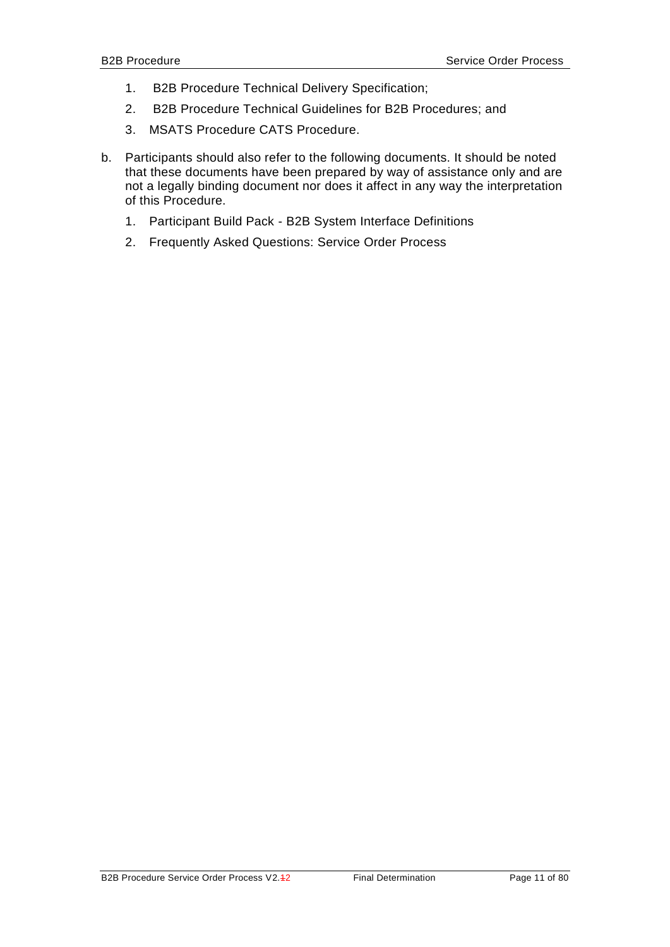- 1. B2B Procedure Technical Delivery Specification;
- 2. B2B Procedure Technical Guidelines for B2B Procedures; and
- 3. MSATS Procedure CATS Procedure.
- b. Participants should also refer to the following documents. It should be noted that these documents have been prepared by way of assistance only and are not a legally binding document nor does it affect in any way the interpretation of this Procedure.
	- 1. Participant Build Pack B2B System Interface Definitions
	- 2. Frequently Asked Questions: Service Order Process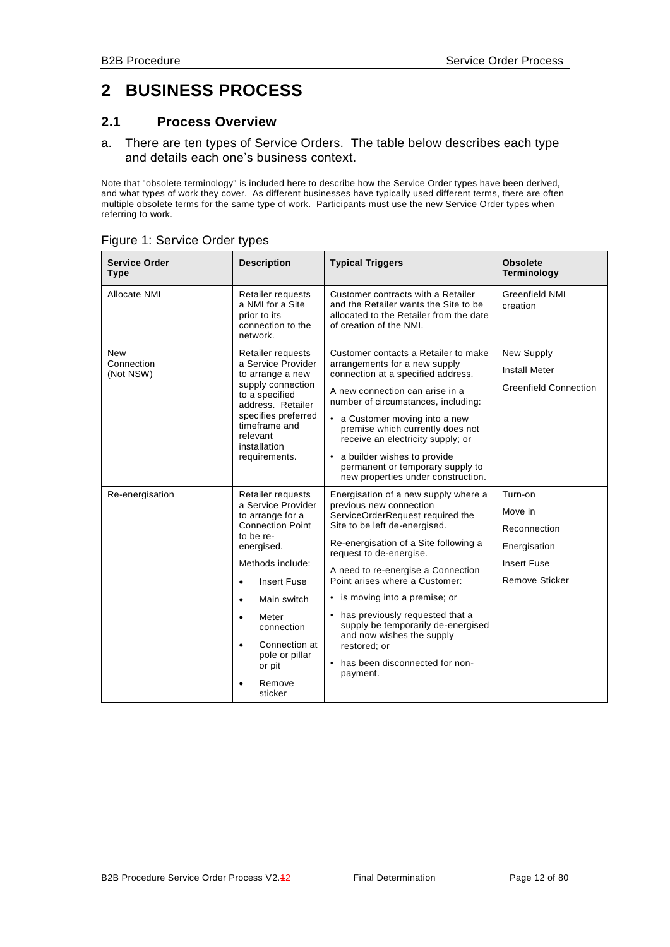# <span id="page-11-0"></span>**2 BUSINESS PROCESS**

#### <span id="page-11-1"></span>**2.1 Process Overview**

a. There are ten types of Service Orders. The table below describes each type and details each one's business context.

Note that "obsolete terminology" is included here to describe how the Service Order types have been derived, and what types of work they cover. As different businesses have typically used different terms, there are often multiple obsolete terms for the same type of work. Participants must use the new Service Order types when referring to work.

| <b>Service Order</b><br><b>Type</b> | <b>Description</b>                                                                                                                                                                                                                                                                                                                    | <b>Typical Triggers</b>                                                                                                                                                                                                                                                                                                                                                                                                                                                                    | <b>Obsolete</b><br>Terminology                                                                    |
|-------------------------------------|---------------------------------------------------------------------------------------------------------------------------------------------------------------------------------------------------------------------------------------------------------------------------------------------------------------------------------------|--------------------------------------------------------------------------------------------------------------------------------------------------------------------------------------------------------------------------------------------------------------------------------------------------------------------------------------------------------------------------------------------------------------------------------------------------------------------------------------------|---------------------------------------------------------------------------------------------------|
| Allocate NMI                        | Retailer requests<br>a NMI for a Site<br>prior to its<br>connection to the<br>network.                                                                                                                                                                                                                                                | Customer contracts with a Retailer<br>and the Retailer wants the Site to be<br>allocated to the Retailer from the date<br>of creation of the NMI.                                                                                                                                                                                                                                                                                                                                          | <b>Greenfield NMI</b><br>creation                                                                 |
| New<br>Connection<br>(Not NSW)      | Retailer requests<br>a Service Provider<br>to arrange a new<br>supply connection<br>to a specified<br>address. Retailer<br>specifies preferred<br>timeframe and<br>relevant<br>installation<br>requirements.                                                                                                                          | Customer contacts a Retailer to make<br>arrangements for a new supply<br>connection at a specified address.<br>A new connection can arise in a<br>number of circumstances, including:<br>• a Customer moving into a new<br>premise which currently does not<br>receive an electricity supply; or<br>• a builder wishes to provide<br>permanent or temporary supply to<br>new properties under construction.                                                                                | New Supply<br><b>Install Meter</b><br><b>Greenfield Connection</b>                                |
| Re-energisation                     | Retailer requests<br>a Service Provider<br>to arrange for a<br><b>Connection Point</b><br>to be re-<br>energised.<br>Methods include:<br><b>Insert Fuse</b><br>$\bullet$<br>Main switch<br>$\bullet$<br>Meter<br>$\bullet$<br>connection<br>Connection at<br>$\bullet$<br>pole or pillar<br>or pit<br>Remove<br>$\epsilon$<br>sticker | Energisation of a new supply where a<br>previous new connection<br>ServiceOrderRequest required the<br>Site to be left de-energised.<br>Re-energisation of a Site following a<br>request to de-energise.<br>A need to re-energise a Connection<br>Point arises where a Customer:<br>• is moving into a premise; or<br>• has previously requested that a<br>supply be temporarily de-energised<br>and now wishes the supply<br>restored; or<br>• has been disconnected for non-<br>payment. | Turn-on<br>Move in<br>Reconnection<br>Energisation<br><b>Insert Fuse</b><br><b>Remove Sticker</b> |

#### Figure 1: Service Order types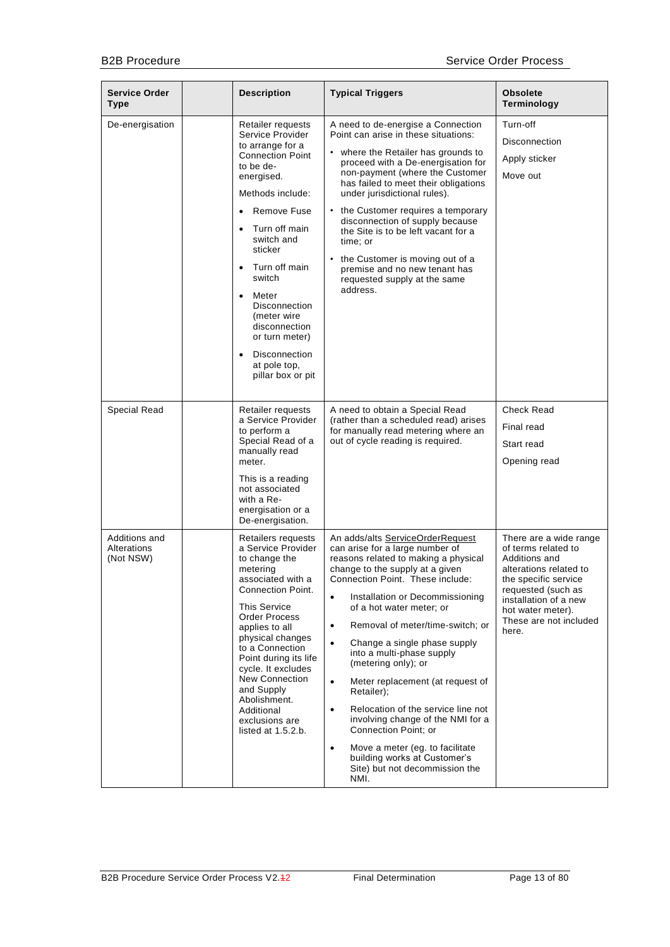| <b>Service Order</b><br><b>Type</b>       | <b>Description</b>                                                                                                                                                                                                                                                                                                                                                                                                                | <b>Typical Triggers</b>                                                                                                                                                                                                                                                                                                                                                                                                                                                                                                                                                                                                                                                                                                   | <b>Obsolete</b><br>Terminology                                                                                                                                                                                          |
|-------------------------------------------|-----------------------------------------------------------------------------------------------------------------------------------------------------------------------------------------------------------------------------------------------------------------------------------------------------------------------------------------------------------------------------------------------------------------------------------|---------------------------------------------------------------------------------------------------------------------------------------------------------------------------------------------------------------------------------------------------------------------------------------------------------------------------------------------------------------------------------------------------------------------------------------------------------------------------------------------------------------------------------------------------------------------------------------------------------------------------------------------------------------------------------------------------------------------------|-------------------------------------------------------------------------------------------------------------------------------------------------------------------------------------------------------------------------|
| De-energisation                           | Retailer requests<br>Service Provider<br>to arrange for a<br><b>Connection Point</b><br>to be de-<br>energised.<br>Methods include:<br>Remove Fuse<br>$\bullet$<br>Turn off main<br>$\bullet$<br>switch and<br>sticker<br>Turn off main<br>$\bullet$<br>switch<br>Meter<br>$\bullet$<br>Disconnection<br>(meter wire<br>disconnection<br>or turn meter)<br><b>Disconnection</b><br>$\bullet$<br>at pole top,<br>pillar box or pit | A need to de-energise a Connection<br>Point can arise in these situations:<br>• where the Retailer has grounds to<br>proceed with a De-energisation for<br>non-payment (where the Customer<br>has failed to meet their obligations<br>under jurisdictional rules).<br>• the Customer requires a temporary<br>disconnection of supply because<br>the Site is to be left vacant for a<br>time: or<br>• the Customer is moving out of a<br>premise and no new tenant has<br>requested supply at the same<br>address.                                                                                                                                                                                                         | Turn-off<br>Disconnection<br>Apply sticker<br>Move out                                                                                                                                                                  |
| Special Read                              | Retailer requests<br>a Service Provider<br>to perform a<br>Special Read of a<br>manually read<br>meter.<br>This is a reading<br>not associated<br>with a Re-<br>energisation or a<br>De-energisation.                                                                                                                                                                                                                             | A need to obtain a Special Read<br>(rather than a scheduled read) arises<br>for manually read metering where an<br>out of cycle reading is required.                                                                                                                                                                                                                                                                                                                                                                                                                                                                                                                                                                      | <b>Check Read</b><br>Final read<br>Start read<br>Opening read                                                                                                                                                           |
| Additions and<br>Alterations<br>(Not NSW) | Retailers requests<br>a Service Provider<br>to change the<br>metering<br>associated with a<br><b>Connection Point.</b><br><b>This Service</b><br>Order Process<br>applies to all<br>physical changes<br>to a Connection<br>Point during its life<br>cycle. It excludes<br>New Connection<br>and Supply<br>Abolishment.<br>Additional<br>exclusions are<br>listed at $1.5.2.b.$                                                    | An adds/alts ServiceOrderRequest<br>can arise for a large number of<br>reasons related to making a physical<br>change to the supply at a given<br>Connection Point. These include:<br>Installation or Decommissioning<br>$\bullet$<br>of a hot water meter; or<br>Removal of meter/time-switch; or<br>$\bullet$<br>Change a single phase supply<br>$\bullet$<br>into a multi-phase supply<br>(metering only); or<br>$\bullet$<br>Meter replacement (at request of<br>Retailer);<br>Relocation of the service line not<br>$\bullet$<br>involving change of the NMI for a<br>Connection Point; or<br>Move a meter (eg. to facilitate<br>$\bullet$<br>building works at Customer's<br>Site) but not decommission the<br>NMI. | There are a wide range<br>of terms related to<br>Additions and<br>alterations related to<br>the specific service<br>requested (such as<br>installation of a new<br>hot water meter).<br>These are not included<br>here. |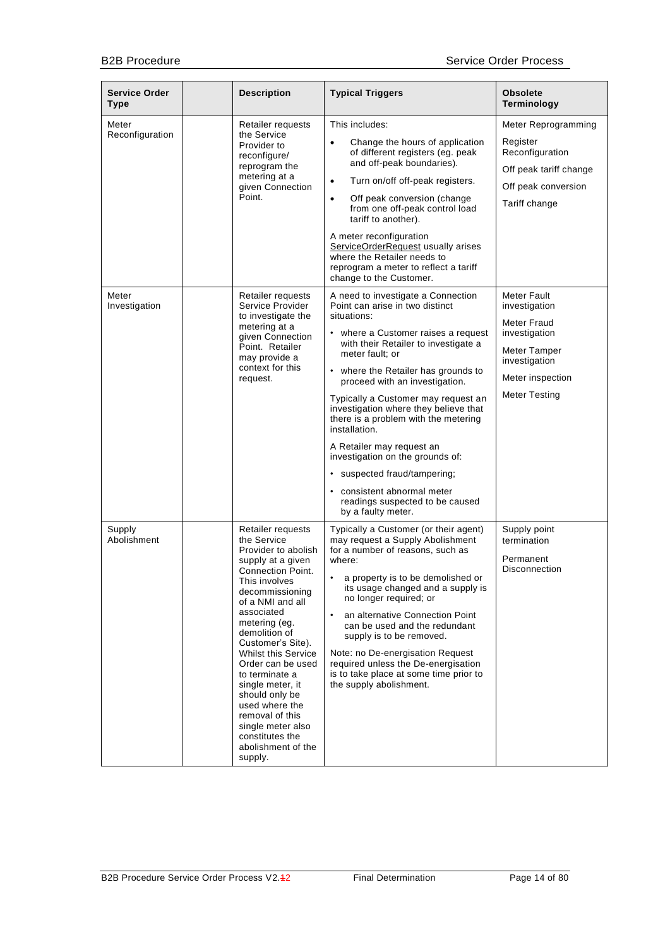| <b>Service Order</b><br><b>Type</b> | <b>Description</b>                                                                                                                                                                                                                                                                                                                                                                                                                                             | <b>Typical Triggers</b>                                                                                                                                                                                                                                                                                                                                                                                                                                                                                                                                                                         | <b>Obsolete</b><br>Terminology                                                                                                            |
|-------------------------------------|----------------------------------------------------------------------------------------------------------------------------------------------------------------------------------------------------------------------------------------------------------------------------------------------------------------------------------------------------------------------------------------------------------------------------------------------------------------|-------------------------------------------------------------------------------------------------------------------------------------------------------------------------------------------------------------------------------------------------------------------------------------------------------------------------------------------------------------------------------------------------------------------------------------------------------------------------------------------------------------------------------------------------------------------------------------------------|-------------------------------------------------------------------------------------------------------------------------------------------|
| Meter<br>Reconfiguration            | Retailer requests<br>the Service<br>Provider to<br>reconfigure/<br>reprogram the<br>metering at a<br>given Connection<br>Point.                                                                                                                                                                                                                                                                                                                                | This includes:<br>Change the hours of application<br>$\bullet$<br>of different registers (eg. peak<br>and off-peak boundaries).<br>Turn on/off off-peak registers.<br>$\bullet$<br>Off peak conversion (change<br>$\bullet$<br>from one off-peak control load<br>tariff to another).<br>A meter reconfiguration<br>ServiceOrderRequest usually arises<br>where the Retailer needs to<br>reprogram a meter to reflect a tariff<br>change to the Customer.                                                                                                                                        | Meter Reprogramming<br>Register<br>Reconfiguration<br>Off peak tariff change<br>Off peak conversion<br>Tariff change                      |
| Meter<br>Investigation              | Retailer requests<br>Service Provider<br>to investigate the<br>metering at a<br>given Connection<br>Point. Retailer<br>may provide a<br>context for this<br>request.                                                                                                                                                                                                                                                                                           | A need to investigate a Connection<br>Point can arise in two distinct<br>situations:<br>• where a Customer raises a request<br>with their Retailer to investigate a<br>meter fault; or<br>• where the Retailer has grounds to<br>proceed with an investigation.<br>Typically a Customer may request an<br>investigation where they believe that<br>there is a problem with the metering<br>installation.<br>A Retailer may request an<br>investigation on the grounds of:<br>• suspected fraud/tampering;<br>consistent abnormal meter<br>readings suspected to be caused<br>by a faulty meter. | Meter Fault<br>investigation<br>Meter Fraud<br>investigation<br>Meter Tamper<br>investigation<br>Meter inspection<br><b>Meter Testing</b> |
| Supply<br>Abolishment               | Retailer requests<br>the Service<br>Provider to abolish<br>supply at a given<br><b>Connection Point.</b><br>This involves<br>decommissioning<br>of a NMI and all<br>associated<br>metering (eg.<br>demolition of<br>Customer's Site).<br><b>Whilst this Service</b><br>Order can be used<br>to terminate a<br>single meter, it<br>should only be<br>used where the<br>removal of this<br>single meter also<br>constitutes the<br>abolishment of the<br>supply. | Typically a Customer (or their agent)<br>may request a Supply Abolishment<br>for a number of reasons, such as<br>where:<br>a property is to be demolished or<br>its usage changed and a supply is<br>no longer required; or<br>an alternative Connection Point<br>can be used and the redundant<br>supply is to be removed.<br>Note: no De-energisation Request<br>required unless the De-energisation<br>is to take place at some time prior to<br>the supply abolishment.                                                                                                                     | Supply point<br>termination<br>Permanent<br>Disconnection                                                                                 |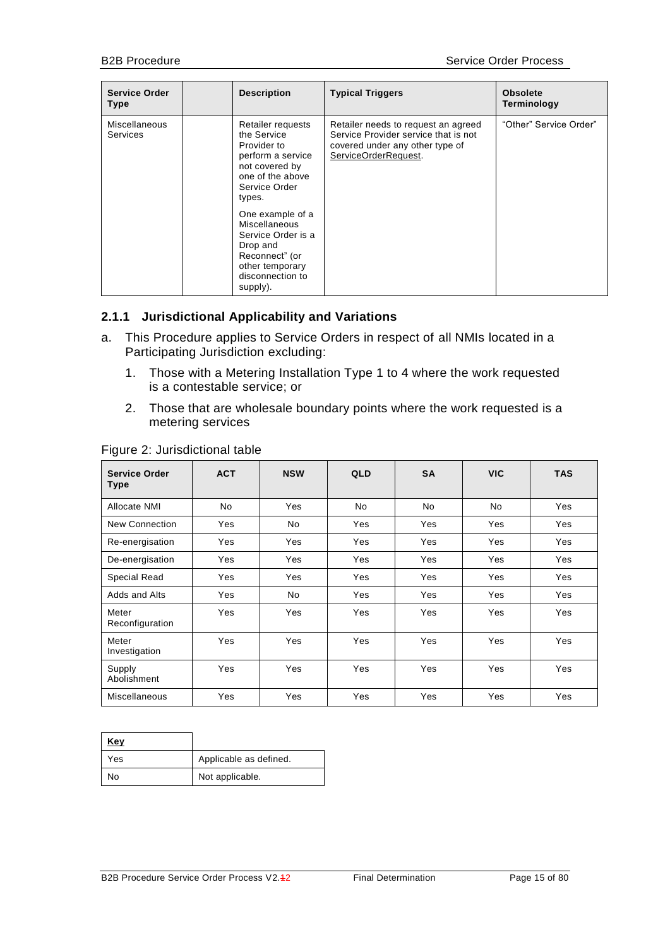| <b>Service Order</b><br><b>Type</b> | <b>Description</b>                                                                                                                                                                                                                                                                | <b>Typical Triggers</b>                                                                                                                | <b>Obsolete</b><br>Terminology |
|-------------------------------------|-----------------------------------------------------------------------------------------------------------------------------------------------------------------------------------------------------------------------------------------------------------------------------------|----------------------------------------------------------------------------------------------------------------------------------------|--------------------------------|
| Miscellaneous<br><b>Services</b>    | Retailer requests<br>the Service<br>Provider to<br>perform a service<br>not covered by<br>one of the above<br>Service Order<br>types.<br>One example of a<br>Miscellaneous<br>Service Order is a<br>Drop and<br>Reconnect" (or<br>other temporary<br>disconnection to<br>supply). | Retailer needs to request an agreed<br>Service Provider service that is not<br>covered under any other type of<br>ServiceOrderRequest. | "Other" Service Order"         |

#### <span id="page-14-0"></span>**2.1.1 Jurisdictional Applicability and Variations**

- a. This Procedure applies to Service Orders in respect of all NMIs located in a Participating Jurisdiction excluding:
	- 1. Those with a Metering Installation Type 1 to 4 where the work requested is a contestable service; or
	- 2. Those that are wholesale boundary points where the work requested is a metering services

| <b>Service Order</b><br>Type | <b>ACT</b> | <b>NSW</b> | <b>QLD</b> | <b>SA</b> | <b>VIC</b> | <b>TAS</b> |
|------------------------------|------------|------------|------------|-----------|------------|------------|
| Allocate NMI                 | <b>No</b>  | Yes        | No         | <b>No</b> | No         | Yes        |
| New Connection               | Yes        | No         | Yes        | Yes       | Yes        | Yes        |
| Re-energisation              | Yes        | Yes        | Yes        | Yes       | Yes        | Yes        |
| De-energisation              | Yes        | Yes        | Yes        | Yes       | Yes        | Yes        |
| <b>Special Read</b>          | Yes        | Yes        | Yes        | Yes       | Yes        | Yes        |
| Adds and Alts                | Yes        | No         | Yes        | Yes       | Yes        | Yes        |
| Meter<br>Reconfiguration     | Yes        | Yes        | Yes        | Yes       | Yes        | Yes        |
| Meter<br>Investigation       | Yes        | Yes        | Yes        | Yes       | Yes        | Yes        |
| Supply<br>Abolishment        | Yes        | Yes        | Yes        | Yes       | Yes        | Yes        |
| <b>Miscellaneous</b>         | Yes        | Yes        | Yes        | Yes       | Yes        | Yes        |

#### Figure 2: Jurisdictional table

| Key |                        |
|-----|------------------------|
| Yes | Applicable as defined. |
| No  | Not applicable.        |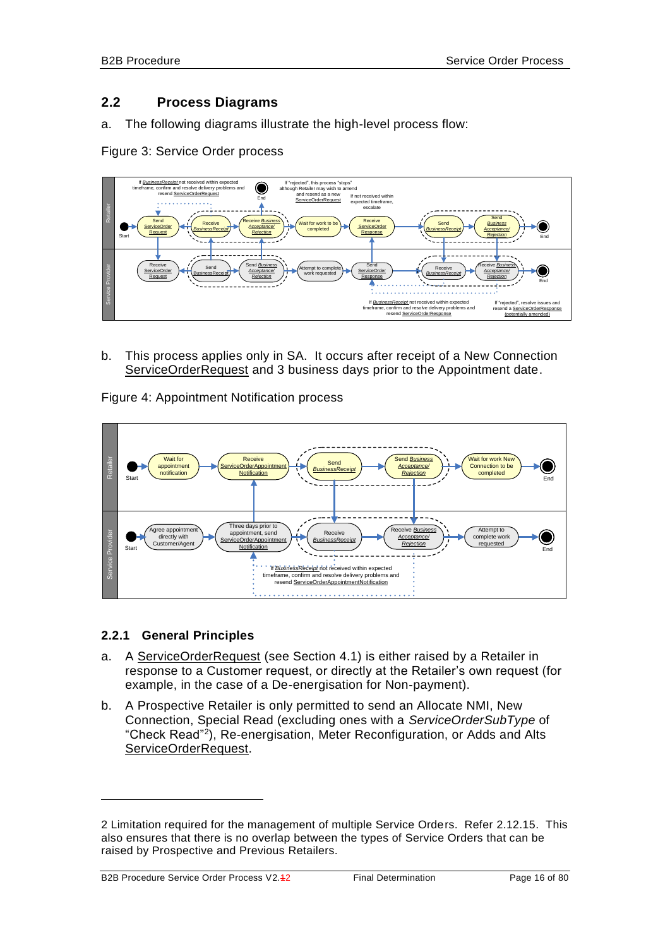#### <span id="page-15-0"></span>**2.2 Process Diagrams**

a. The following diagrams illustrate the high-level process flow:

Figure 3: Service Order process



b. This process applies only in SA. It occurs after receipt of a New Connection ServiceOrderRequest and 3 business days prior to the Appointment date.

Figure 4: Appointment Notification process



#### <span id="page-15-1"></span>**2.2.1 General Principles**

- a. A ServiceOrderRequest (see Section [4.1\)](#page-58-1) is either raised by a Retailer in response to a Customer request, or directly at the Retailer's own request (for example, in the case of a De-energisation for Non-payment).
- <span id="page-15-2"></span>b. A Prospective Retailer is only permitted to send an Allocate NMI, New Connection, Special Read (excluding ones with a *ServiceOrderSubType* of "Check Read"<sup>2</sup> ), Re-energisation, Meter Reconfiguration, or Adds and Alts ServiceOrderRequest.

-

<sup>2</sup> Limitation required for the management of multiple Service Orders. Refer [2.12.15.](#page-40-3) This also ensures that there is no overlap between the types of Service Orders that can be raised by Prospective and Previous Retailers.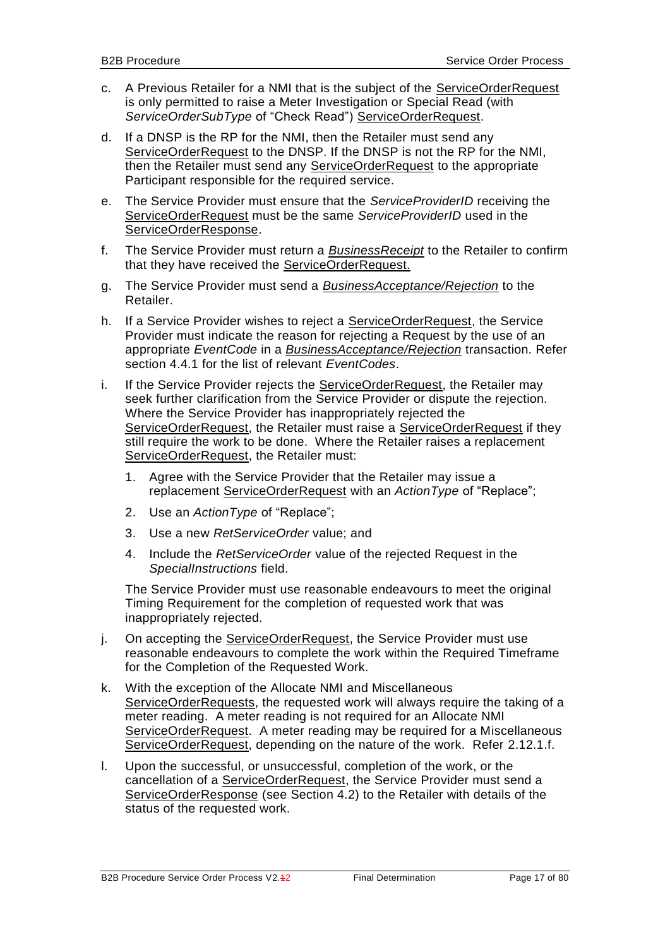- <span id="page-16-0"></span>c. A Previous Retailer for a NMI that is the subject of the ServiceOrderRequest is only permitted to raise a Meter Investigation or Special Read (with *ServiceOrderSubType* of "Check Read") ServiceOrderRequest.
- d. If a DNSP is the RP for the NMI, then the Retailer must send any ServiceOrderRequest to the DNSP. If the DNSP is not the RP for the NMI, then the Retailer must send any ServiceOrderRequest to the appropriate Participant responsible for the required service.
- e. The Service Provider must ensure that the *ServiceProviderID* receiving the ServiceOrderRequest must be the same *ServiceProviderID* used in the ServiceOrderResponse.
- f. The Service Provider must return a *BusinessReceipt* to the Retailer to confirm that they have received the ServiceOrderRequest.
- g. The Service Provider must send a *BusinessAcceptance/Rejection* to the Retailer.
- h. If a Service Provider wishes to reject a ServiceOrderRequest, the Service Provider must indicate the reason for rejecting a Request by the use of an appropriate *EventCode* in a *BusinessAcceptance/Rejection* transaction. Refer section [4.4.1](#page-78-0) for the list of relevant *EventCodes*.
- i. If the Service Provider rejects the ServiceOrderRequest, the Retailer may seek further clarification from the Service Provider or dispute the rejection. Where the Service Provider has inappropriately rejected the ServiceOrderRequest, the Retailer must raise a ServiceOrderRequest if they still require the work to be done. Where the Retailer raises a replacement ServiceOrderRequest, the Retailer must:
	- 1. Agree with the Service Provider that the Retailer may issue a replacement ServiceOrderRequest with an *ActionType* of "Replace";
	- 2. Use an *ActionType* of "Replace";
	- 3. Use a new *RetServiceOrder* value; and
	- 4. Include the *RetServiceOrder* value of the rejected Request in the *SpecialInstructions* field.

The Service Provider must use reasonable endeavours to meet the original Timing Requirement for the completion of requested work that was inappropriately rejected.

- j. On accepting the ServiceOrderRequest, the Service Provider must use reasonable endeavours to complete the work within the Required Timeframe for the Completion of the Requested Work.
- k. With the exception of the Allocate NMI and Miscellaneous ServiceOrderRequests, the requested work will always require the taking of a meter reading. A meter reading is not required for an Allocate NMI ServiceOrderRequest. A meter reading may be required for a Miscellaneous ServiceOrderRequest, depending on the nature of the work. Refer [2.12.1.](#page-24-2)f.
- l. Upon the successful, or unsuccessful, completion of the work, or the cancellation of a ServiceOrderRequest, the Service Provider must send a ServiceOrderResponse (see Section [4.2\)](#page-73-0) to the Retailer with details of the status of the requested work.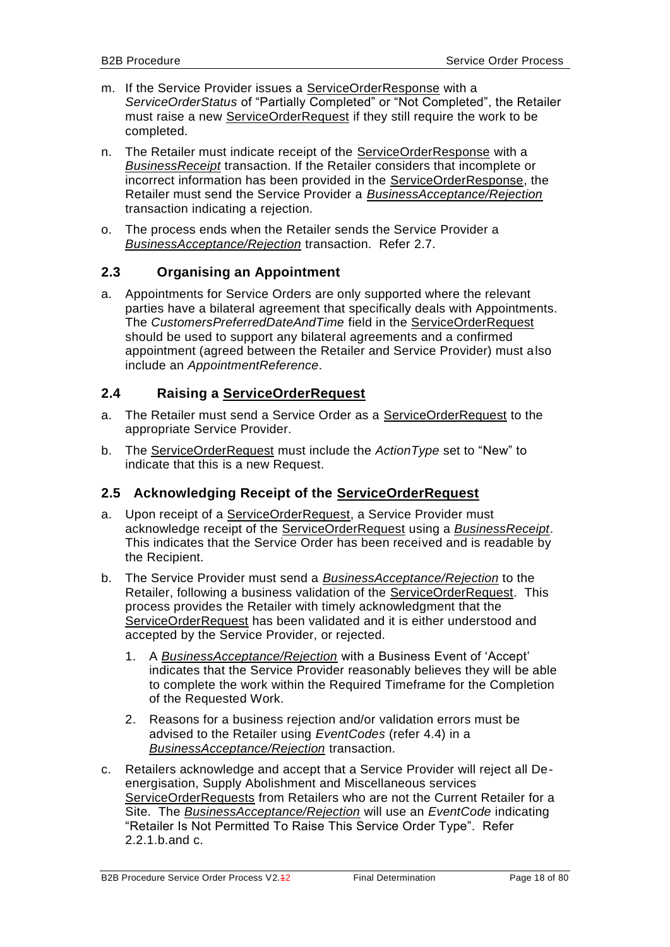- m. If the Service Provider issues a ServiceOrderResponse with a *ServiceOrderStatus* of "Partially Completed" or "Not Completed", the Retailer must raise a new ServiceOrderRequest if they still require the work to be completed.
- n. The Retailer must indicate receipt of the ServiceOrderResponse with a *BusinessReceipt* transaction. If the Retailer considers that incomplete or incorrect information has been provided in the ServiceOrderResponse, the Retailer must send the Service Provider a *BusinessAcceptance/Rejection* transaction indicating a rejection.
- o. The process ends when the Retailer sends the Service Provider a *BusinessAcceptance/Rejection* transaction. Refer [2.7.](#page-22-1)

#### <span id="page-17-0"></span>**2.3 Organising an Appointment**

a. Appointments for Service Orders are only supported where the relevant parties have a bilateral agreement that specifically deals with Appointments. The *CustomersPreferredDateAndTime* field in the ServiceOrderRequest should be used to support any bilateral agreements and a confirmed appointment (agreed between the Retailer and Service Provider) must also include an *AppointmentReference*.

#### <span id="page-17-1"></span>**2.4 Raising a ServiceOrderRequest**

- a. The Retailer must send a Service Order as a ServiceOrderRequest to the appropriate Service Provider.
- b. The ServiceOrderRequest must include the *ActionType* set to "New" to indicate that this is a new Request.

#### <span id="page-17-2"></span>**2.5 Acknowledging Receipt of the ServiceOrderRequest**

- a. Upon receipt of a ServiceOrderRequest, a Service Provider must acknowledge receipt of the ServiceOrderRequest using a *BusinessReceipt*. This indicates that the Service Order has been received and is readable by the Recipient.
- b. The Service Provider must send a *BusinessAcceptance/Rejection* to the Retailer, following a business validation of the ServiceOrderRequest. This process provides the Retailer with timely acknowledgment that the ServiceOrderRequest has been validated and it is either understood and accepted by the Service Provider, or rejected.
	- 1. A *BusinessAcceptance/Rejection* with a Business Event of 'Accept' indicates that the Service Provider reasonably believes they will be able to complete the work within the Required Timeframe for the Completion of the Requested Work.
	- 2. Reasons for a business rejection and/or validation errors must be advised to the Retailer using *EventCodes* (refer [4.4\)](#page-77-0) in a *BusinessAcceptance/Rejection* transaction.
- c. Retailers acknowledge and accept that a Service Provider will reject all Deenergisation, Supply Abolishment and Miscellaneous services ServiceOrderRequests from Retailers who are not the Current Retailer for a Site. The *BusinessAcceptance/Rejection* will use an *EventCode* indicating "Retailer Is Not Permitted To Raise This Service Order Type". Refer [2.2.1.](#page-15-1)[b.](#page-15-2)and [c.](#page-16-0)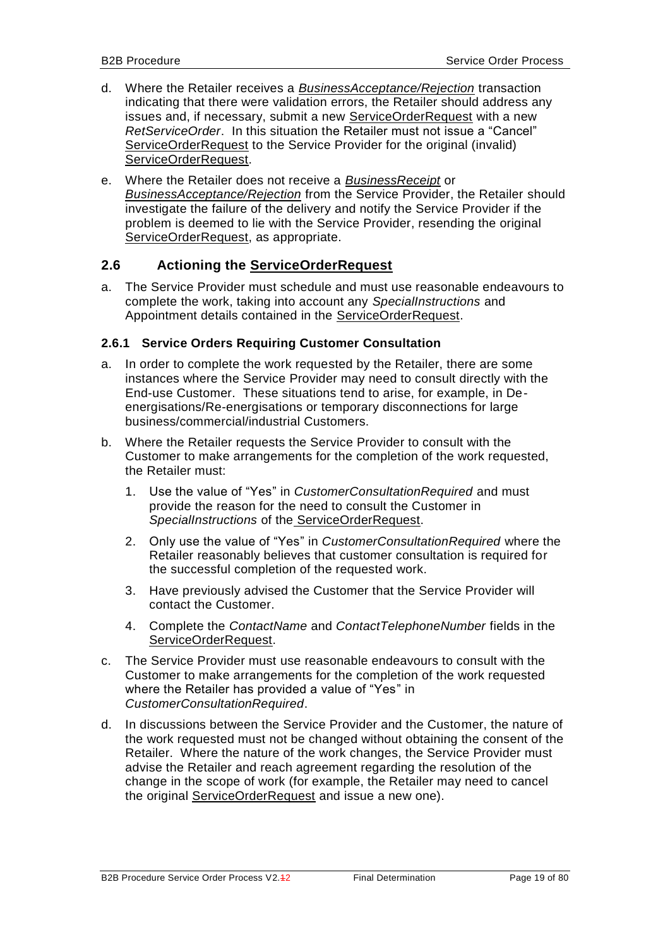- d. Where the Retailer receives a *BusinessAcceptance/Rejection* transaction indicating that there were validation errors, the Retailer should address any issues and, if necessary, submit a new ServiceOrderRequest with a new *RetServiceOrder*. In this situation the Retailer must not issue a "Cancel" ServiceOrderRequest to the Service Provider for the original (invalid) ServiceOrderRequest.
- e. Where the Retailer does not receive a *BusinessReceipt* or *BusinessAcceptance/Rejection* from the Service Provider, the Retailer should investigate the failure of the delivery and notify the Service Provider if the problem is deemed to lie with the Service Provider, resending the original ServiceOrderRequest, as appropriate.

#### <span id="page-18-0"></span>**2.6 Actioning the ServiceOrderRequest**

a. The Service Provider must schedule and must use reasonable endeavours to complete the work, taking into account any *SpecialInstructions* and Appointment details contained in the ServiceOrderRequest.

#### <span id="page-18-1"></span>**2.6.1 Service Orders Requiring Customer Consultation**

- a. In order to complete the work requested by the Retailer, there are some instances where the Service Provider may need to consult directly with the End-use Customer. These situations tend to arise, for example, in Deenergisations/Re-energisations or temporary disconnections for large business/commercial/industrial Customers.
- b. Where the Retailer requests the Service Provider to consult with the Customer to make arrangements for the completion of the work requested, the Retailer must:
	- 1. Use the value of "Yes" in *CustomerConsultationRequired* and must provide the reason for the need to consult the Customer in *SpecialInstructions* of the ServiceOrderRequest.
	- 2. Only use the value of "Yes" in *CustomerConsultationRequired* where the Retailer reasonably believes that customer consultation is required for the successful completion of the requested work.
	- 3. Have previously advised the Customer that the Service Provider will contact the Customer.
	- 4. Complete the *ContactName* and *ContactTelephoneNumber* fields in the ServiceOrderRequest.
- c. The Service Provider must use reasonable endeavours to consult with the Customer to make arrangements for the completion of the work requested where the Retailer has provided a value of "Yes" in *CustomerConsultationRequired*.
- d. In discussions between the Service Provider and the Customer, the nature of the work requested must not be changed without obtaining the consent of the Retailer. Where the nature of the work changes, the Service Provider must advise the Retailer and reach agreement regarding the resolution of the change in the scope of work (for example, the Retailer may need to cancel the original ServiceOrderRequest and issue a new one).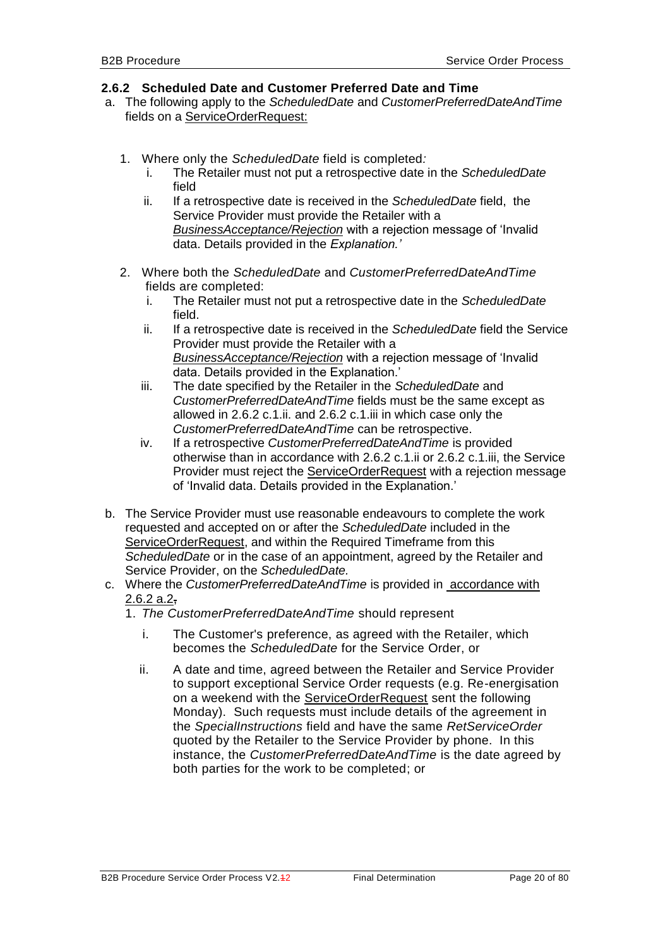#### <span id="page-19-2"></span><span id="page-19-0"></span>**2.6.2 Scheduled Date and Customer Preferred Date and Time**

- a. The following apply to the *ScheduledDate* and *CustomerPreferredDateAndTime*  fields on a ServiceOrderRequest:
	- 1. Where only the *ScheduledDate* field is completed*:*
		- i. The Retailer must not put a retrospective date in the *ScheduledDate* field
		- ii. If a retrospective date is received in the *ScheduledDate* field, the Service Provider must provide the Retailer with a *BusinessAcceptance/Rejection* with a rejection message of 'Invalid data. Details provided in the *Explanation.'*
	- 2. Where both the *ScheduledDate* and *CustomerPreferredDateAndTime* fields are completed:
		- i. The Retailer must not put a retrospective date in the *ScheduledDate* field.
		- ii. If a retrospective date is received in the *ScheduledDate* field the Service Provider must provide the Retailer with a *BusinessAcceptance/Rejection* with a rejection message of 'Invalid data. Details provided in the Explanation.'
		- iii. The date specified by the Retailer in the *ScheduledDate* and *CustomerPreferredDateAndTime* fields must be the same except as allowed in 2.6.2 c.1.ii. and 2.6.2 c.1.iii in which case only the *CustomerPreferredDateAndTime* can be retrospective.
		- iv. If a retrospective *CustomerPreferredDateAndTime* is provided otherwise than in accordance with 2.6.2 c.1.ii or 2.6.2 c.1.iii, the Service Provider must reject the ServiceOrderRequest with a rejection message of 'Invalid data. Details provided in the Explanation.'
- b. The Service Provider must use reasonable endeavours to complete the work requested and accepted on or after the *ScheduledDate* included in the ServiceOrderRequest, and within the Required Timeframe from this *ScheduledDate* or in the case of an appointment, agreed by the Retailer and Service Provider, on the *ScheduledDate.*
- <span id="page-19-3"></span><span id="page-19-1"></span>c. Where the *CustomerPreferredDateAndTime* is provided in accordance with  $2.6.2 a.2$ 
	- 1. *The CustomerPreferredDateAndTime* should represent
		- i. The Customer's preference, as agreed with the Retailer, which becomes the *ScheduledDate* for the Service Order, or
		- ii. A date and time, agreed between the Retailer and Service Provider to support exceptional Service Order requests (e.g. Re-energisation on a weekend with the ServiceOrderRequest sent the following Monday). Such requests must include details of the agreement in the *SpecialInstructions* field and have the same *RetServiceOrder* quoted by the Retailer to the Service Provider by phone. In this instance, the *CustomerPreferredDateAndTime* is the date agreed by both parties for the work to be completed; or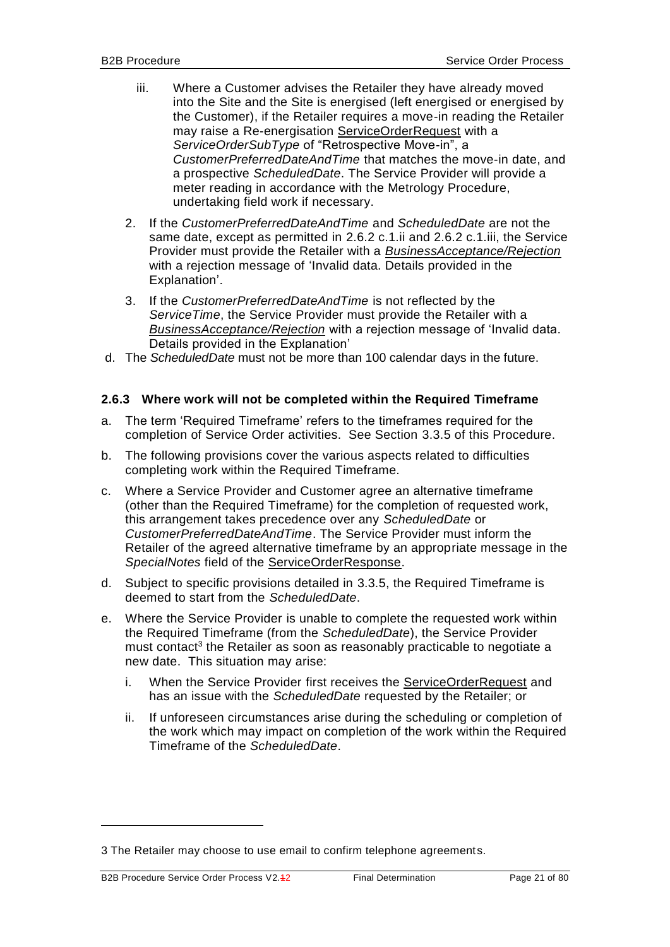- <span id="page-20-2"></span><span id="page-20-1"></span>iii. Where a Customer advises the Retailer they have already moved into the Site and the Site is energised (left energised or energised by the Customer), if the Retailer requires a move-in reading the Retailer may raise a Re-energisation ServiceOrderRequest with a *ServiceOrderSubType* of "Retrospective Move-in", a *CustomerPreferredDateAndTime* that matches the move-in date, and a prospective *ScheduledDate*. The Service Provider will provide a meter reading in accordance with the Metrology Procedure, undertaking field work if necessary.
- 2. If the *CustomerPreferredDateAndTime* and *ScheduledDate* are not the same date, except as permitted in [2.6.2](#page-19-0) [c.1.ii](#page-19-1) and [2.6.2](#page-19-0) [c.1.iii,](#page-20-1) the Service Provider must provide the Retailer with a *BusinessAcceptance/Rejection* with a rejection message of 'Invalid data. Details provided in the Explanation'.
- 3. If the *CustomerPreferredDateAndTime* is not reflected by the *ServiceTime*, the Service Provider must provide the Retailer with a *BusinessAcceptance/Rejection* with a rejection message of 'Invalid data. Details provided in the Explanation'
- d. The *ScheduledDate* must not be more than 100 calendar days in the future.

#### <span id="page-20-0"></span>**2.6.3 Where work will not be completed within the Required Timeframe**

- a. The term 'Required Timeframe' refers to the timeframes required for the completion of Service Order activities. See Section [3.3.5](#page-54-0) of this Procedure.
- b. The following provisions cover the various aspects related to difficulties completing work within the Required Timeframe.
- c. Where a Service Provider and Customer agree an alternative timeframe (other than the Required Timeframe) for the completion of requested work, this arrangement takes precedence over any *ScheduledDate* or *CustomerPreferredDateAndTime*. The Service Provider must inform the Retailer of the agreed alternative timeframe by an appropriate message in the *SpecialNotes* field of the ServiceOrderResponse.
- d. Subject to specific provisions detailed in [3.3.5,](#page-54-0) the Required Timeframe is deemed to start from the *ScheduledDate*.
- e. Where the Service Provider is unable to complete the requested work within the Required Timeframe (from the *ScheduledDate*), the Service Provider must contact<sup>3</sup> the Retailer as soon as reasonably practicable to negotiate a new date. This situation may arise:
	- i. When the Service Provider first receives the ServiceOrderRequest and has an issue with the *ScheduledDate* requested by the Retailer; or
	- ii. If unforeseen circumstances arise during the scheduling or completion of the work which may impact on completion of the work within the Required Timeframe of the *ScheduledDate*.

1

<sup>3</sup> The Retailer may choose to use email to confirm telephone agreements.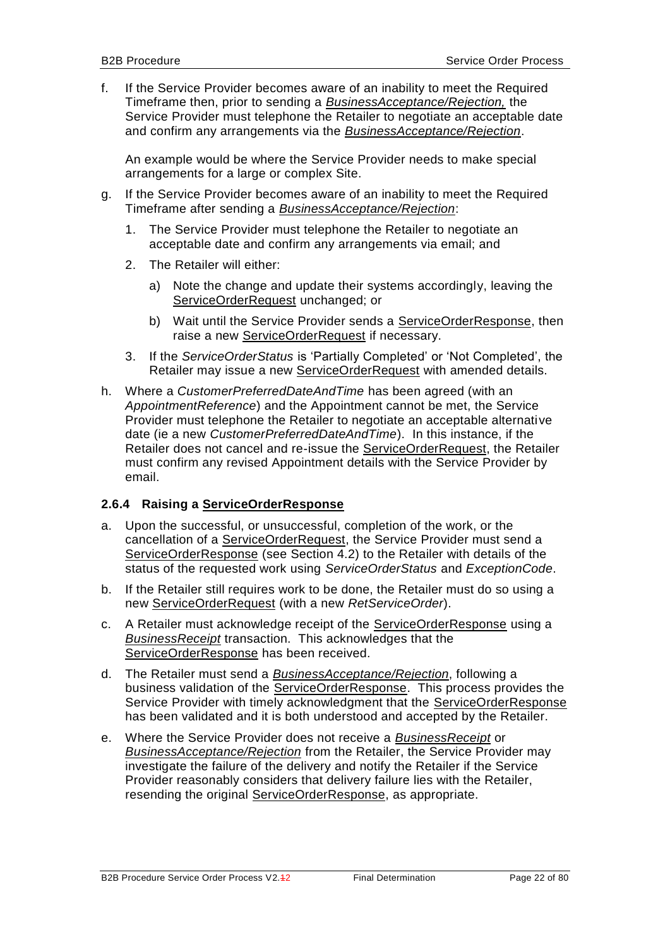f. If the Service Provider becomes aware of an inability to meet the Required Timeframe then, prior to sending a *BusinessAcceptance/Rejection,* the Service Provider must telephone the Retailer to negotiate an acceptable date and confirm any arrangements via the *BusinessAcceptance/Rejection*.

An example would be where the Service Provider needs to make special arrangements for a large or complex Site.

- g. If the Service Provider becomes aware of an inability to meet the Required Timeframe after sending a *BusinessAcceptance/Rejection*:
	- 1. The Service Provider must telephone the Retailer to negotiate an acceptable date and confirm any arrangements via email; and
	- 2. The Retailer will either:
		- a) Note the change and update their systems accordingly, leaving the ServiceOrderRequest unchanged; or
		- b) Wait until the Service Provider sends a ServiceOrderResponse, then raise a new ServiceOrderRequest if necessary.
	- 3. If the *ServiceOrderStatus* is 'Partially Completed' or 'Not Completed', the Retailer may issue a new ServiceOrderRequest with amended details.
- h. Where a *CustomerPreferredDateAndTime* has been agreed (with an *AppointmentReference*) and the Appointment cannot be met, the Service Provider must telephone the Retailer to negotiate an acceptable alternative date (ie a new *CustomerPreferredDateAndTime*). In this instance, if the Retailer does not cancel and re-issue the ServiceOrderRequest, the Retailer must confirm any revised Appointment details with the Service Provider by email.

#### <span id="page-21-0"></span>**2.6.4 Raising a ServiceOrderResponse**

- a. Upon the successful, or unsuccessful, completion of the work, or the cancellation of a ServiceOrderRequest, the Service Provider must send a ServiceOrderResponse (see Section [4.2\)](#page-73-0) to the Retailer with details of the status of the requested work using *ServiceOrderStatus* and *ExceptionCode*.
- b. If the Retailer still requires work to be done, the Retailer must do so using a new ServiceOrderRequest (with a new *RetServiceOrder*).
- c. A Retailer must acknowledge receipt of the ServiceOrderResponse using a *BusinessReceipt* transaction. This acknowledges that the ServiceOrderResponse has been received.
- d. The Retailer must send a *BusinessAcceptance/Rejection*, following a business validation of the ServiceOrderResponse. This process provides the Service Provider with timely acknowledgment that the ServiceOrderResponse has been validated and it is both understood and accepted by the Retailer.
- e. Where the Service Provider does not receive a *BusinessReceipt* or *BusinessAcceptance/Rejection* from the Retailer, the Service Provider may investigate the failure of the delivery and notify the Retailer if the Service Provider reasonably considers that delivery failure lies with the Retailer, resending the original ServiceOrderResponse, as appropriate.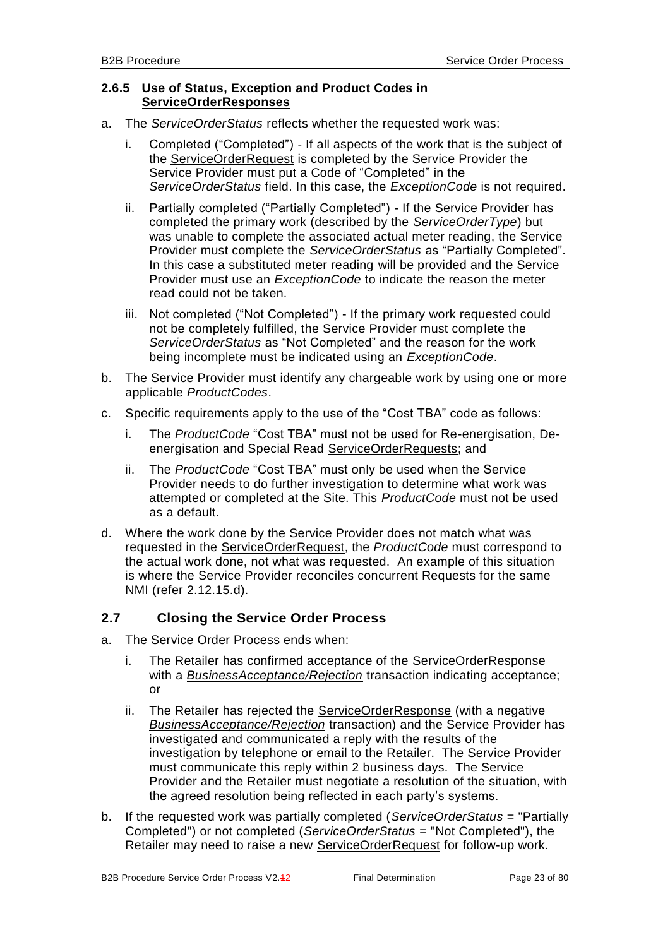#### <span id="page-22-0"></span>**2.6.5 Use of Status, Exception and Product Codes in ServiceOrderResponses**

- a. The *ServiceOrderStatus* reflects whether the requested work was:
	- i. Completed ("Completed") If all aspects of the work that is the subject of the ServiceOrderRequest is completed by the Service Provider the Service Provider must put a Code of "Completed" in the *ServiceOrderStatus* field. In this case, the *ExceptionCode* is not required.
	- ii. Partially completed ("Partially Completed") If the Service Provider has completed the primary work (described by the *ServiceOrderType*) but was unable to complete the associated actual meter reading, the Service Provider must complete the *ServiceOrderStatus* as "Partially Completed". In this case a substituted meter reading will be provided and the Service Provider must use an *ExceptionCode* to indicate the reason the meter read could not be taken.
	- iii. Not completed ("Not Completed") If the primary work requested could not be completely fulfilled, the Service Provider must complete the *ServiceOrderStatus* as "Not Completed" and the reason for the work being incomplete must be indicated using an *ExceptionCode*.
- b. The Service Provider must identify any chargeable work by using one or more applicable *ProductCodes*.
- c. Specific requirements apply to the use of the "Cost TBA" code as follows:
	- i. The *ProductCode* "Cost TBA" must not be used for Re-energisation, Deenergisation and Special Read ServiceOrderRequests; and
	- ii. The *ProductCode* "Cost TBA" must only be used when the Service Provider needs to do further investigation to determine what work was attempted or completed at the Site. This *ProductCode* must not be used as a default.
- d. Where the work done by the Service Provider does not match what was requested in the ServiceOrderRequest, the *ProductCode* must correspond to the actual work done, not what was requested. An example of this situation is where the Service Provider reconciles concurrent Requests for the same NMI (refer [2.12.15.](#page-40-3)d).

#### <span id="page-22-1"></span>**2.7 Closing the Service Order Process**

- a. The Service Order Process ends when:
	- i. The Retailer has confirmed acceptance of the ServiceOrderResponse with a *BusinessAcceptance/Rejection* transaction indicating acceptance; or
	- ii. The Retailer has rejected the ServiceOrderResponse (with a negative *BusinessAcceptance/Rejection* transaction) and the Service Provider has investigated and communicated a reply with the results of the investigation by telephone or email to the Retailer. The Service Provider must communicate this reply within 2 business days. The Service Provider and the Retailer must negotiate a resolution of the situation, with the agreed resolution being reflected in each party's systems.
- b. If the requested work was partially completed (*ServiceOrderStatus* = "Partially Completed") or not completed (*ServiceOrderStatus* = "Not Completed"), the Retailer may need to raise a new ServiceOrderRequest for follow-up work.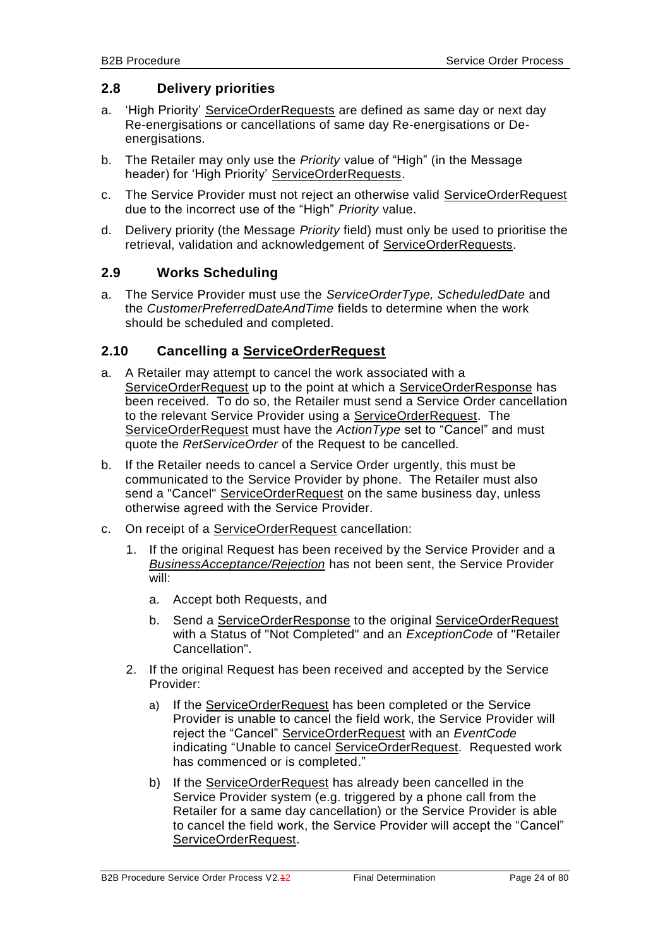#### <span id="page-23-0"></span>**2.8 Delivery priorities**

- a. 'High Priority' ServiceOrderRequests are defined as same day or next day Re-energisations or cancellations of same day Re-energisations or Deenergisations.
- b. The Retailer may only use the *Priority* value of "High" (in the Message header) for 'High Priority' ServiceOrderRequests.
- c. The Service Provider must not reject an otherwise valid ServiceOrderRequest due to the incorrect use of the "High" *Priority* value.
- d. Delivery priority (the Message *Priority* field) must only be used to prioritise the retrieval, validation and acknowledgement of ServiceOrderRequests.

#### <span id="page-23-1"></span>**2.9 Works Scheduling**

a. The Service Provider must use the *ServiceOrderType, ScheduledDate* and the *CustomerPreferredDateAndTime* fields to determine when the work should be scheduled and completed.

#### <span id="page-23-2"></span>**2.10 Cancelling a ServiceOrderRequest**

- a. A Retailer may attempt to cancel the work associated with a ServiceOrderRequest up to the point at which a ServiceOrderResponse has been received. To do so, the Retailer must send a Service Order cancellation to the relevant Service Provider using a ServiceOrderRequest. The ServiceOrderRequest must have the *ActionType* set to "Cancel" and must quote the *RetServiceOrder* of the Request to be cancelled.
- b. If the Retailer needs to cancel a Service Order urgently, this must be communicated to the Service Provider by phone. The Retailer must also send a "Cancel" ServiceOrderRequest on the same business day, unless otherwise agreed with the Service Provider.
- c. On receipt of a ServiceOrderRequest cancellation:
	- 1. If the original Request has been received by the Service Provider and a *BusinessAcceptance/Rejection* has not been sent, the Service Provider will:
		- a. Accept both Requests, and
		- b. Send a ServiceOrderResponse to the original ServiceOrderRequest with a Status of "Not Completed" and an *ExceptionCode* of "Retailer Cancellation".
	- 2. If the original Request has been received and accepted by the Service Provider:
		- a) If the ServiceOrderRequest has been completed or the Service Provider is unable to cancel the field work, the Service Provider will reject the "Cancel" ServiceOrderRequest with an *EventCode* indicating "Unable to cancel ServiceOrderRequest. Requested work has commenced or is completed."
		- b) If the ServiceOrderRequest has already been cancelled in the Service Provider system (e.g. triggered by a phone call from the Retailer for a same day cancellation) or the Service Provider is able to cancel the field work, the Service Provider will accept the "Cancel" ServiceOrderRequest.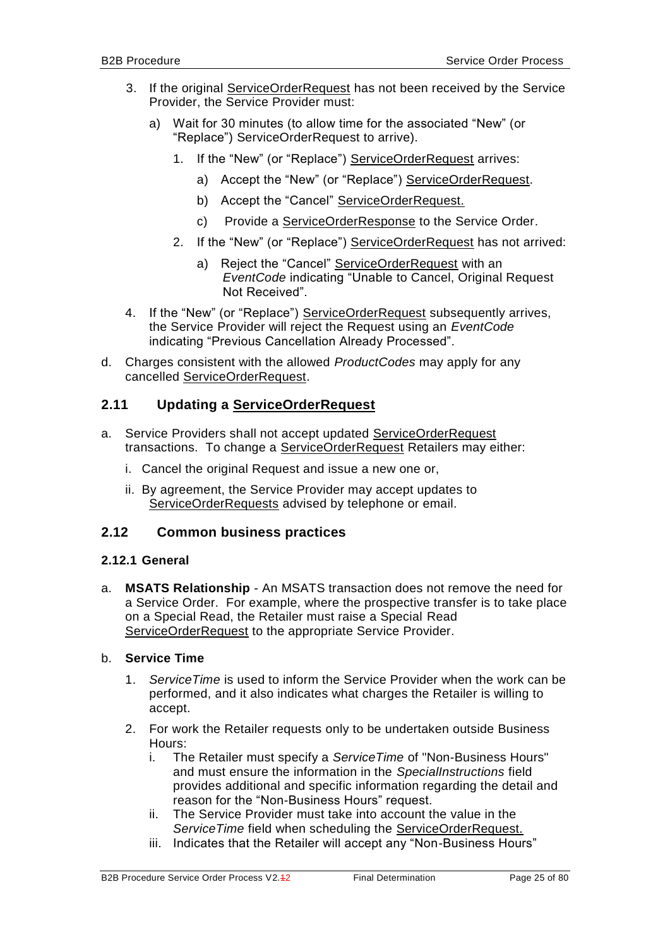- 3. If the original ServiceOrderRequest has not been received by the Service Provider, the Service Provider must:
	- a) Wait for 30 minutes (to allow time for the associated "New" (or "Replace") ServiceOrderRequest to arrive).
		- 1. If the "New" (or "Replace") ServiceOrderRequest arrives:
			- a) Accept the "New" (or "Replace") ServiceOrderRequest.
			- b) Accept the "Cancel" ServiceOrderRequest.
			- c) Provide a ServiceOrderResponse to the Service Order.
		- 2. If the "New" (or "Replace") ServiceOrderRequest has not arrived:
			- a) Reject the "Cancel" ServiceOrderRequest with an *EventCode* indicating "Unable to Cancel, Original Request Not Received".
- 4. If the "New" (or "Replace") ServiceOrderRequest subsequently arrives, the Service Provider will reject the Request using an *EventCode* indicating "Previous Cancellation Already Processed".
- d. Charges consistent with the allowed *ProductCodes* may apply for any cancelled ServiceOrderRequest.

#### <span id="page-24-0"></span>**2.11 Updating a ServiceOrderRequest**

- a. Service Providers shall not accept updated ServiceOrderRequest transactions. To change a ServiceOrderRequest Retailers may either:
	- i. Cancel the original Request and issue a new one or,
	- ii. By agreement, the Service Provider may accept updates to ServiceOrderRequests advised by telephone or email.

#### <span id="page-24-2"></span><span id="page-24-1"></span>**2.12 Common business practices**

#### **2.12.1 General**

a. **MSATS Relationship** - An MSATS transaction does not remove the need for a Service Order. For example, where the prospective transfer is to take place on a Special Read, the Retailer must raise a Special Read ServiceOrderRequest to the appropriate Service Provider.

#### b. **Service Time**

- 1. *ServiceTime* is used to inform the Service Provider when the work can be performed, and it also indicates what charges the Retailer is willing to accept.
- 2. For work the Retailer requests only to be undertaken outside Business Hours:
	- i. The Retailer must specify a *ServiceTime* of "Non-Business Hours" and must ensure the information in the *SpecialInstructions* field provides additional and specific information regarding the detail and reason for the "Non-Business Hours" request.
	- ii. The Service Provider must take into account the value in the *ServiceTime* field when scheduling the ServiceOrderRequest.
	- iii. Indicates that the Retailer will accept any "Non-Business Hours"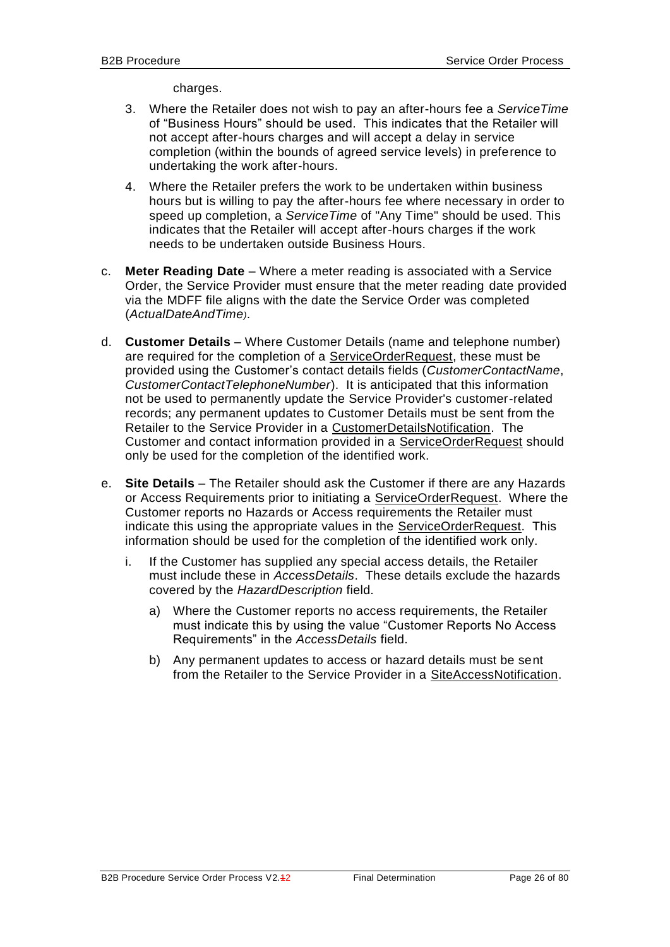charges.

- 3. Where the Retailer does not wish to pay an after-hours fee a *ServiceTime* of "Business Hours" should be used. This indicates that the Retailer will not accept after-hours charges and will accept a delay in service completion (within the bounds of agreed service levels) in preference to undertaking the work after-hours.
- 4. Where the Retailer prefers the work to be undertaken within business hours but is willing to pay the after-hours fee where necessary in order to speed up completion, a *ServiceTime* of "Any Time" should be used. This indicates that the Retailer will accept after-hours charges if the work needs to be undertaken outside Business Hours.
- c. **Meter Reading Date**  Where a meter reading is associated with a Service Order, the Service Provider must ensure that the meter reading date provided via the MDFF file aligns with the date the Service Order was completed (*ActualDateAndTime)*.
- d. **Customer Details**  Where Customer Details (name and telephone number) are required for the completion of a ServiceOrderRequest, these must be provided using the Customer's contact details fields (*CustomerContactName*, *CustomerContactTelephoneNumber*). It is anticipated that this information not be used to permanently update the Service Provider's customer-related records; any permanent updates to Customer Details must be sent from the Retailer to the Service Provider in a CustomerDetailsNotification. The Customer and contact information provided in a ServiceOrderRequest should only be used for the completion of the identified work.
- e. **Site Details**  The Retailer should ask the Customer if there are any Hazards or Access Requirements prior to initiating a ServiceOrderRequest. Where the Customer reports no Hazards or Access requirements the Retailer must indicate this using the appropriate values in the ServiceOrderRequest. This information should be used for the completion of the identified work only.
	- i. If the Customer has supplied any special access details, the Retailer must include these in *AccessDetails*. These details exclude the hazards covered by the *HazardDescription* field.
		- a) Where the Customer reports no access requirements, the Retailer must indicate this by using the value "Customer Reports No Access Requirements" in the *AccessDetails* field.
		- b) Any permanent updates to access or hazard details must be sent from the Retailer to the Service Provider in a SiteAccessNotification.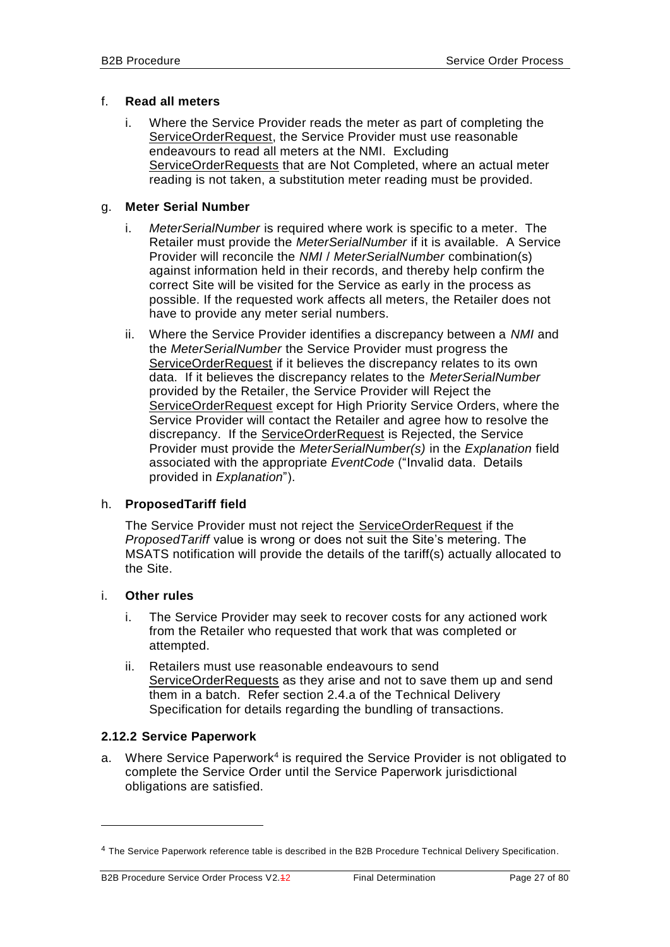#### f. **Read all meters**

i. Where the Service Provider reads the meter as part of completing the ServiceOrderRequest, the Service Provider must use reasonable endeavours to read all meters at the NMI. Excluding ServiceOrderRequests that are Not Completed, where an actual meter reading is not taken, a substitution meter reading must be provided.

#### g. **Meter Serial Number**

- i. *MeterSerialNumber* is required where work is specific to a meter. The Retailer must provide the *MeterSerialNumber* if it is available. A Service Provider will reconcile the *NMI* / *MeterSerialNumber* combination(s) against information held in their records, and thereby help confirm the correct Site will be visited for the Service as early in the process as possible. If the requested work affects all meters, the Retailer does not have to provide any meter serial numbers.
- ii. Where the Service Provider identifies a discrepancy between a *NMI* and the *MeterSerialNumber* the Service Provider must progress the ServiceOrderRequest if it believes the discrepancy relates to its own data. If it believes the discrepancy relates to the *MeterSerialNumber* provided by the Retailer, the Service Provider will Reject the ServiceOrderRequest except for High Priority Service Orders, where the Service Provider will contact the Retailer and agree how to resolve the discrepancy. If the **ServiceOrderRequest** is Rejected, the Service Provider must provide the *MeterSerialNumber(s)* in the *Explanation* field associated with the appropriate *EventCode* ("Invalid data. Details provided in *Explanation*").

#### h. **ProposedTariff field**

The Service Provider must not reject the ServiceOrderRequest if the *ProposedTariff* value is wrong or does not suit the Site's metering. The MSATS notification will provide the details of the tariff(s) actually allocated to the Site.

#### i. **Other rules**

1

- i. The Service Provider may seek to recover costs for any actioned work from the Retailer who requested that work that was completed or attempted.
- ii. Retailers must use reasonable endeavours to send ServiceOrderRequests as they arise and not to save them up and send them in a batch. Refer section 2.4.a of the Technical Delivery Specification for details regarding the bundling of transactions.

#### <span id="page-26-0"></span>**2.12.2 Service Paperwork**

a. Where Service Paperwork<sup>4</sup> is required the Service Provider is not obligated to complete the Service Order until the Service Paperwork jurisdictional obligations are satisfied.

<sup>&</sup>lt;sup>4</sup> The Service Paperwork reference table is described in the B2B Procedure Technical Delivery Specification.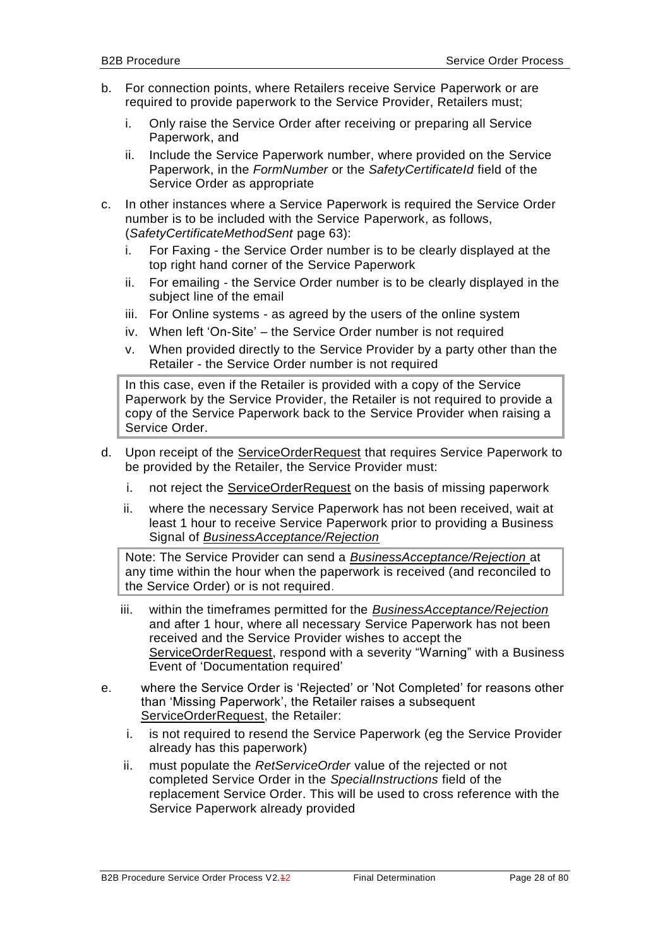- b. For connection points, where Retailers receive Service Paperwork or are required to provide paperwork to the Service Provider, Retailers must;
	- i. Only raise the Service Order after receiving or preparing all Service Paperwork, and
	- ii. Include the Service Paperwork number, where provided on the Service Paperwork, in the *FormNumber* or the *SafetyCertificateId* field of the Service Order as appropriate
- c. In other instances where a Service Paperwork is required the Service Order number is to be included with the Service Paperwork, as follows, (*SafetyCertificateMethodSent* page 63):
	- i. For Faxing the Service Order number is to be clearly displayed at the top right hand corner of the Service Paperwork
	- ii. For emailing the Service Order number is to be clearly displayed in the subject line of the email
	- iii. For Online systems as agreed by the users of the online system
	- iv. When left 'On-Site' the Service Order number is not required
	- v. When provided directly to the Service Provider by a party other than the Retailer - the Service Order number is not required

In this case, even if the Retailer is provided with a copy of the Service Paperwork by the Service Provider, the Retailer is not required to provide a copy of the Service Paperwork back to the Service Provider when raising a Service Order.

- d. Upon receipt of the ServiceOrderRequest that requires Service Paperwork to be provided by the Retailer, the Service Provider must:
	- i. not reject the ServiceOrderRequest on the basis of missing paperwork
	- ii. where the necessary Service Paperwork has not been received, wait at least 1 hour to receive Service Paperwork prior to providing a Business Signal of *BusinessAcceptance/Rejection*

Note: The Service Provider can send a *BusinessAcceptance/Rejection* at any time within the hour when the paperwork is received (and reconciled to the Service Order) or is not required.

- iii. within the timeframes permitted for the *BusinessAcceptance/Rejection* and after 1 hour, where all necessary Service Paperwork has not been received and the Service Provider wishes to accept the ServiceOrderRequest, respond with a severity "Warning" with a Business Event of 'Documentation required'
- e. where the Service Order is 'Rejected' or 'Not Completed' for reasons other than 'Missing Paperwork', the Retailer raises a subsequent ServiceOrderRequest, the Retailer:
	- i. is not required to resend the Service Paperwork (eg the Service Provider already has this paperwork)
	- ii. must populate the *RetServiceOrder* value of the rejected or not completed Service Order in the *SpecialInstructions* field of the replacement Service Order. This will be used to cross reference with the Service Paperwork already provided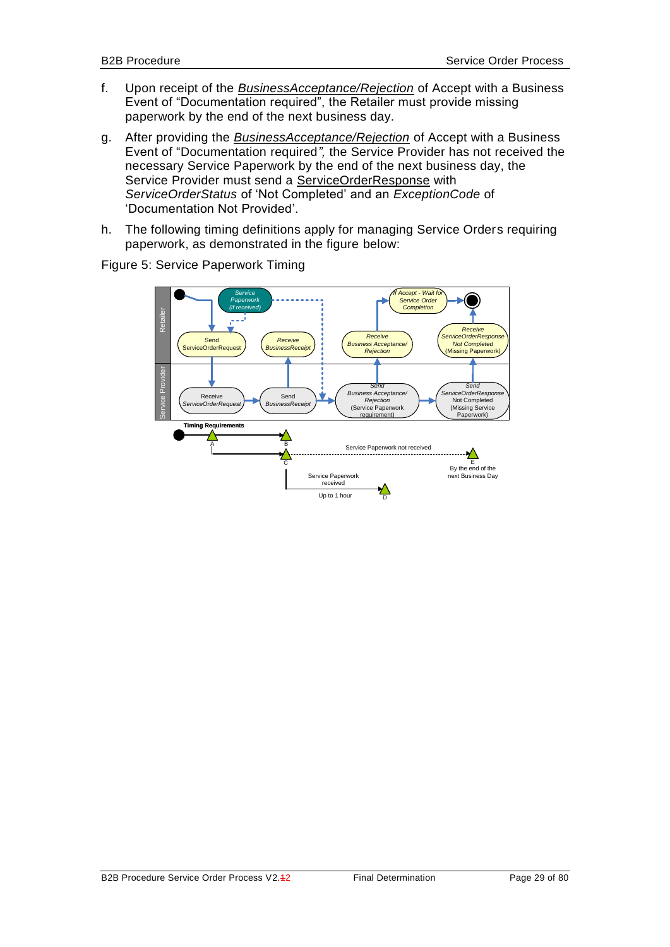- f. Upon receipt of the *BusinessAcceptance/Rejection* of Accept with a Business Event of "Documentation required", the Retailer must provide missing paperwork by the end of the next business day.
- g. After providing the *BusinessAcceptance/Rejection* of Accept with a Business Event of "Documentation required*",* the Service Provider has not received the necessary Service Paperwork by the end of the next business day, the Service Provider must send a ServiceOrderResponse with *ServiceOrderStatus* of 'Not Completed' and an *ExceptionCode* of 'Documentation Not Provided'.
- h. The following timing definitions apply for managing Service Orders requiring paperwork, as demonstrated in the figure below:

*If Accept - Wait for Service Service Order Paperwork*  $\qquad \qquad \bullet$ *Completion(if received)* Retailer *Receive Receive ServiceOrderResponse Receive* **Not Complete Business Acceptance Send Conserver Conserver Service OrderRequest (Business Receptance Second Service Order Service Service Service Service Service Service Service Service Service Service Service Service Service Service S BusinessRecei** Missing Paperwork Service Provider *Send ServiceOrderRequest Send Business Acceptance/ Rejection* (Service Paperwork *ServiceOrderResponse* Receive<br>*riceOrderRegu* Send Not Completed (Missing Service *BusinessReceipt* require Paperwork) **Timing Require** Λ A B Service Paperwork not received  $\mathcal{N}$ C F<br>
D Extraction Extraction of the next Business Day<br>
Up to 1 hour<br>
D Extraction ext Business Day<br>
Up to 1 hour Service Paperwork received

Figure 5: Service Paperwork Timing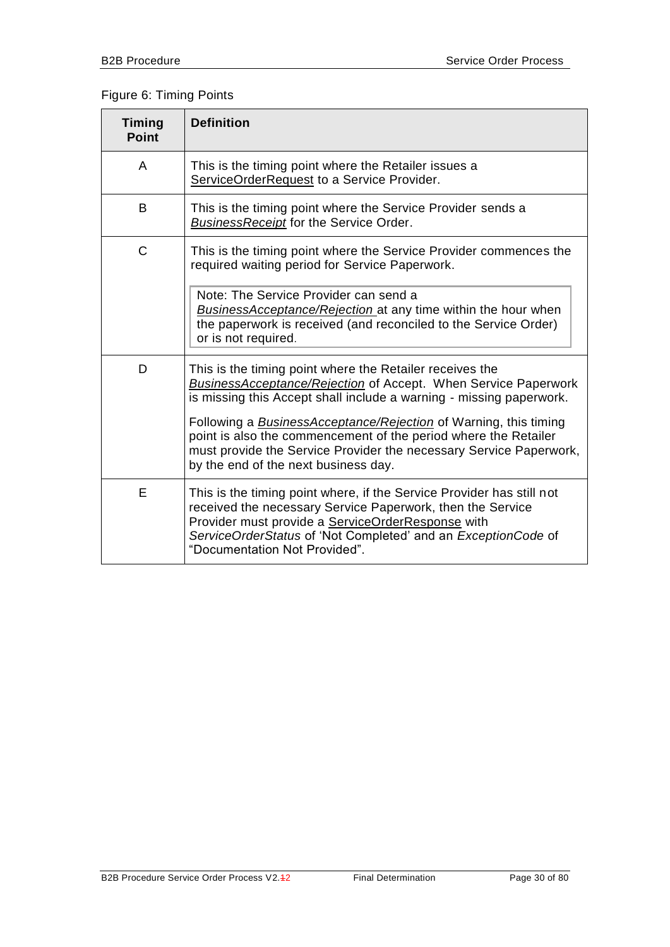#### Figure 6: Timing Points

| <b>Timing</b><br><b>Point</b> | <b>Definition</b>                                                                                                                                                                                                                                                                                                                                                                                                                                                    |
|-------------------------------|----------------------------------------------------------------------------------------------------------------------------------------------------------------------------------------------------------------------------------------------------------------------------------------------------------------------------------------------------------------------------------------------------------------------------------------------------------------------|
| A                             | This is the timing point where the Retailer issues a<br>ServiceOrderRequest to a Service Provider.                                                                                                                                                                                                                                                                                                                                                                   |
| B                             | This is the timing point where the Service Provider sends a<br><b>BusinessReceipt</b> for the Service Order.                                                                                                                                                                                                                                                                                                                                                         |
| C                             | This is the timing point where the Service Provider commences the<br>required waiting period for Service Paperwork.                                                                                                                                                                                                                                                                                                                                                  |
|                               | Note: The Service Provider can send a<br><b>BusinessAcceptance/Rejection</b> at any time within the hour when<br>the paperwork is received (and reconciled to the Service Order)<br>or is not required.                                                                                                                                                                                                                                                              |
| D                             | This is the timing point where the Retailer receives the<br><b>BusinessAcceptance/Rejection of Accept. When Service Paperwork</b><br>is missing this Accept shall include a warning - missing paperwork.<br>Following a <b>BusinessAcceptance/Rejection</b> of Warning, this timing<br>point is also the commencement of the period where the Retailer<br>must provide the Service Provider the necessary Service Paperwork,<br>by the end of the next business day. |
| Е                             | This is the timing point where, if the Service Provider has still not<br>received the necessary Service Paperwork, then the Service<br>Provider must provide a ServiceOrderResponse with<br>ServiceOrderStatus of 'Not Completed' and an ExceptionCode of<br>"Documentation Not Provided".                                                                                                                                                                           |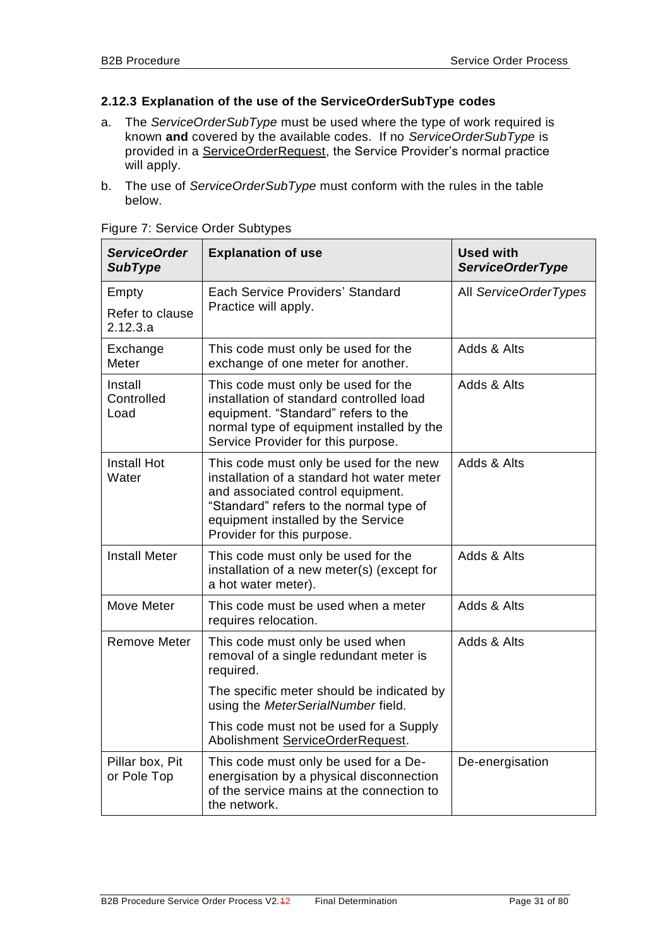#### <span id="page-30-1"></span><span id="page-30-0"></span>**2.12.3 Explanation of the use of the ServiceOrderSubType codes**

- <span id="page-30-2"></span>a. The *ServiceOrderSubType* must be used where the type of work required is known **and** covered by the available codes. If no *ServiceOrderSubType* is provided in a ServiceOrderRequest, the Service Provider's normal practice will apply.
- b. The use of *ServiceOrderSubType* must conform with the rules in the table below.

| <b>ServiceOrder</b><br><b>SubType</b> | <b>Explanation of use</b>                                                                                                                                                                                                                 | <b>Used with</b><br><b>ServiceOrderType</b> |
|---------------------------------------|-------------------------------------------------------------------------------------------------------------------------------------------------------------------------------------------------------------------------------------------|---------------------------------------------|
| Empty                                 | Each Service Providers' Standard                                                                                                                                                                                                          | All ServiceOrderTypes                       |
| Refer to clause<br>2.12.3.a           | Practice will apply.                                                                                                                                                                                                                      |                                             |
| Exchange<br>Meter                     | This code must only be used for the<br>exchange of one meter for another.                                                                                                                                                                 | Adds & Alts                                 |
| Install<br>Controlled<br>Load         | This code must only be used for the<br>installation of standard controlled load<br>equipment. "Standard" refers to the<br>normal type of equipment installed by the<br>Service Provider for this purpose.                                 | Adds & Alts                                 |
| <b>Install Hot</b><br>Water           | This code must only be used for the new<br>installation of a standard hot water meter<br>and associated control equipment.<br>"Standard" refers to the normal type of<br>equipment installed by the Service<br>Provider for this purpose. | Adds & Alts                                 |
| <b>Install Meter</b>                  | This code must only be used for the<br>installation of a new meter(s) (except for<br>a hot water meter).                                                                                                                                  | Adds & Alts                                 |
| Move Meter                            | This code must be used when a meter<br>requires relocation.                                                                                                                                                                               | Adds & Alts                                 |
| <b>Remove Meter</b>                   | This code must only be used when<br>removal of a single redundant meter is<br>required.                                                                                                                                                   | Adds & Alts                                 |
|                                       | The specific meter should be indicated by<br>using the MeterSerialNumber field.                                                                                                                                                           |                                             |
|                                       | This code must not be used for a Supply<br>Abolishment ServiceOrderRequest.                                                                                                                                                               |                                             |
| Pillar box, Pit<br>or Pole Top        | This code must only be used for a De-<br>energisation by a physical disconnection<br>of the service mains at the connection to<br>the network.                                                                                            | De-energisation                             |

Figure 7: Service Order Subtypes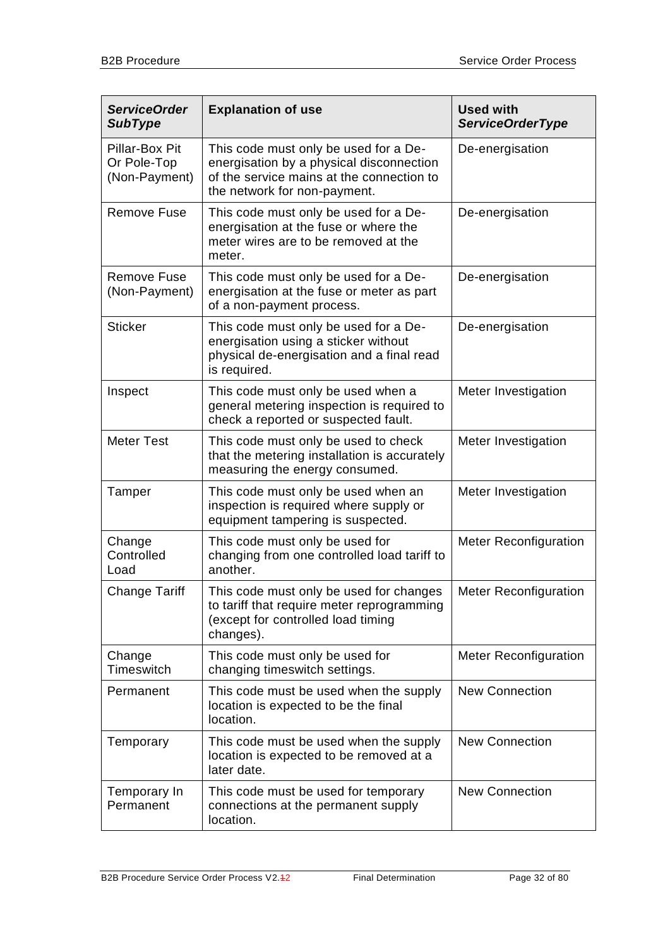| <b>ServiceOrder</b><br><b>SubType</b>          | <b>Explanation of use</b>                                                                                                                                      | <b>Used with</b><br><b>ServiceOrderType</b> |
|------------------------------------------------|----------------------------------------------------------------------------------------------------------------------------------------------------------------|---------------------------------------------|
| Pillar-Box Pit<br>Or Pole-Top<br>(Non-Payment) | This code must only be used for a De-<br>energisation by a physical disconnection<br>of the service mains at the connection to<br>the network for non-payment. | De-energisation                             |
| <b>Remove Fuse</b>                             | This code must only be used for a De-<br>energisation at the fuse or where the<br>meter wires are to be removed at the<br>meter.                               | De-energisation                             |
| <b>Remove Fuse</b><br>(Non-Payment)            | This code must only be used for a De-<br>energisation at the fuse or meter as part<br>of a non-payment process.                                                | De-energisation                             |
| <b>Sticker</b>                                 | This code must only be used for a De-<br>energisation using a sticker without<br>physical de-energisation and a final read<br>is required.                     | De-energisation                             |
| Inspect                                        | This code must only be used when a<br>general metering inspection is required to<br>check a reported or suspected fault.                                       | Meter Investigation                         |
| <b>Meter Test</b>                              | This code must only be used to check<br>that the metering installation is accurately<br>measuring the energy consumed.                                         | Meter Investigation                         |
| Tamper                                         | This code must only be used when an<br>inspection is required where supply or<br>equipment tampering is suspected.                                             | Meter Investigation                         |
| Change<br>Controlled<br>Load                   | This code must only be used for<br>changing from one controlled load tariff to<br>another.                                                                     | <b>Meter Reconfiguration</b>                |
| <b>Change Tariff</b>                           | This code must only be used for changes<br>to tariff that require meter reprogramming<br>(except for controlled load timing<br>changes).                       | <b>Meter Reconfiguration</b>                |
| Change<br>Timeswitch                           | This code must only be used for<br>changing timeswitch settings.                                                                                               | <b>Meter Reconfiguration</b>                |
| Permanent                                      | This code must be used when the supply<br>location is expected to be the final<br>location.                                                                    | <b>New Connection</b>                       |
| Temporary                                      | This code must be used when the supply<br>location is expected to be removed at a<br>later date.                                                               | <b>New Connection</b>                       |
| Temporary In<br>Permanent                      | This code must be used for temporary<br>connections at the permanent supply<br>location.                                                                       | <b>New Connection</b>                       |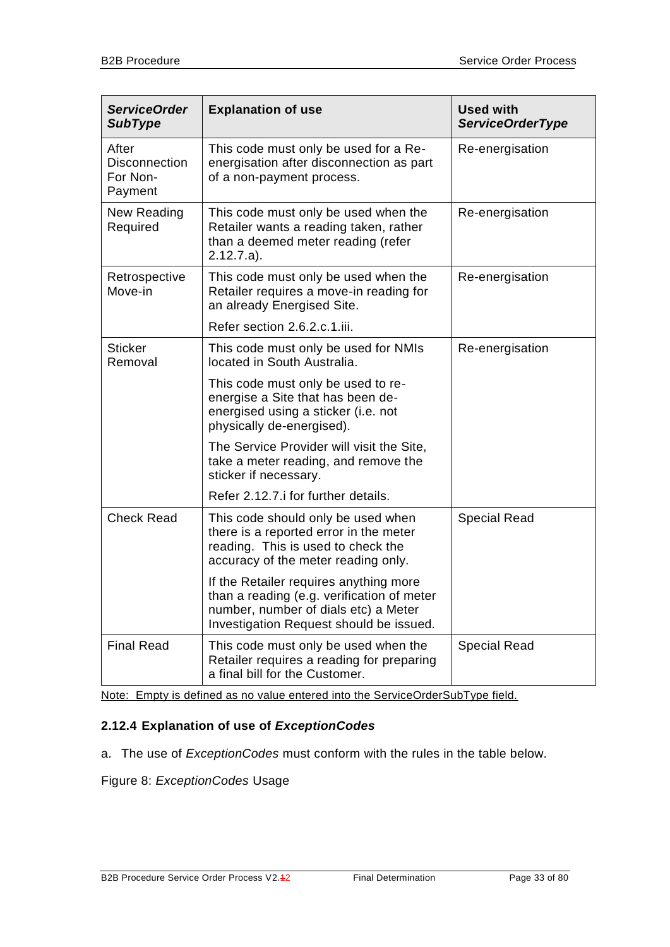| <b>ServiceOrder</b><br><b>SubType</b>                | <b>Explanation of use</b>                                                                                                                                               | <b>Used with</b><br><b>ServiceOrderType</b> |
|------------------------------------------------------|-------------------------------------------------------------------------------------------------------------------------------------------------------------------------|---------------------------------------------|
| After<br><b>Disconnection</b><br>For Non-<br>Payment | This code must only be used for a Re-<br>energisation after disconnection as part<br>of a non-payment process.                                                          | Re-energisation                             |
| New Reading<br>Required                              | This code must only be used when the<br>Retailer wants a reading taken, rather<br>than a deemed meter reading (refer<br>$2.12.7.a$ ).                                   | Re-energisation                             |
| Retrospective<br>Move-in                             | This code must only be used when the<br>Retailer requires a move-in reading for<br>an already Energised Site.                                                           | Re-energisation                             |
|                                                      | Refer section 2.6.2.c.1.iii.                                                                                                                                            |                                             |
| <b>Sticker</b><br>Removal                            | This code must only be used for NMIs<br>located in South Australia.                                                                                                     | Re-energisation                             |
|                                                      | This code must only be used to re-<br>energise a Site that has been de-<br>energised using a sticker (i.e. not<br>physically de-energised).                             |                                             |
|                                                      | The Service Provider will visit the Site,<br>take a meter reading, and remove the<br>sticker if necessary.                                                              |                                             |
|                                                      | Refer 2.12.7. i for further details.                                                                                                                                    |                                             |
| <b>Check Read</b>                                    | This code should only be used when<br>there is a reported error in the meter<br>reading. This is used to check the<br>accuracy of the meter reading only.               | <b>Special Read</b>                         |
|                                                      | If the Retailer requires anything more<br>than a reading (e.g. verification of meter<br>number, number of dials etc) a Meter<br>Investigation Request should be issued. |                                             |
| <b>Final Read</b>                                    | This code must only be used when the<br>Retailer requires a reading for preparing<br>a final bill for the Customer.                                                     | <b>Special Read</b>                         |

Note: Empty is defined as no value entered into the ServiceOrderSubType field.

### <span id="page-32-0"></span>**2.12.4 Explanation of use of** *ExceptionCodes*

a. The use of *ExceptionCodes* must conform with the rules in the table below.

Figure 8: *ExceptionCodes* Usage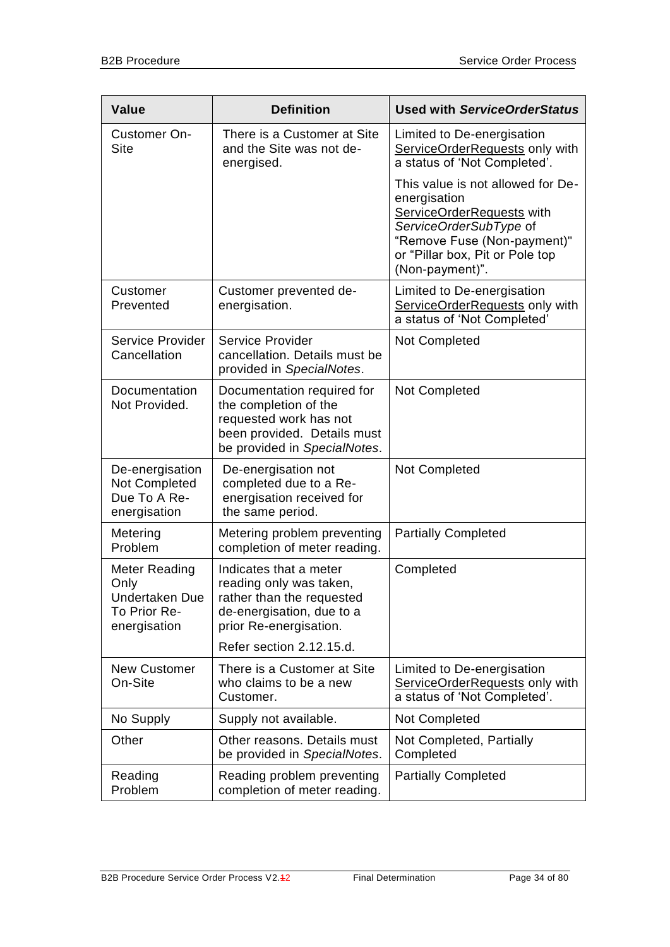| <b>Value</b>                                                                   | <b>Definition</b>                                                                                                                            | <b>Used with ServiceOrderStatus</b>                                                                                                                                                           |
|--------------------------------------------------------------------------------|----------------------------------------------------------------------------------------------------------------------------------------------|-----------------------------------------------------------------------------------------------------------------------------------------------------------------------------------------------|
| Customer On-<br><b>Site</b>                                                    | There is a Customer at Site<br>and the Site was not de-<br>energised.                                                                        | Limited to De-energisation<br>ServiceOrderRequests only with<br>a status of 'Not Completed'.                                                                                                  |
|                                                                                |                                                                                                                                              | This value is not allowed for De-<br>energisation<br>ServiceOrderRequests with<br>ServiceOrderSubType of<br>"Remove Fuse (Non-payment)"<br>or "Pillar box, Pit or Pole top<br>(Non-payment)". |
| Customer<br>Prevented                                                          | Customer prevented de-<br>energisation.                                                                                                      | Limited to De-energisation<br>ServiceOrderRequests only with<br>a status of 'Not Completed'                                                                                                   |
| Service Provider<br>Cancellation                                               | Service Provider<br>cancellation. Details must be<br>provided in SpecialNotes.                                                               | Not Completed                                                                                                                                                                                 |
| Documentation<br>Not Provided.                                                 | Documentation required for<br>the completion of the<br>requested work has not<br>been provided. Details must<br>be provided in SpecialNotes. | Not Completed                                                                                                                                                                                 |
| De-energisation<br>Not Completed<br>Due To A Re-<br>energisation               | De-energisation not<br>completed due to a Re-<br>energisation received for<br>the same period.                                               | Not Completed                                                                                                                                                                                 |
| Metering<br>Problem                                                            | Metering problem preventing<br>completion of meter reading.                                                                                  | <b>Partially Completed</b>                                                                                                                                                                    |
| Meter Reading<br>Only<br><b>Undertaken Due</b><br>To Prior Re-<br>energisation | Indicates that a meter<br>reading only was taken,<br>rather than the requested<br>de-energisation, due to a<br>prior Re-energisation.        | Completed                                                                                                                                                                                     |
|                                                                                | Refer section 2.12.15.d.                                                                                                                     |                                                                                                                                                                                               |
| <b>New Customer</b><br>On-Site                                                 | There is a Customer at Site<br>who claims to be a new<br>Customer.                                                                           | Limited to De-energisation<br>ServiceOrderRequests only with<br>a status of 'Not Completed'.                                                                                                  |
| No Supply                                                                      | Supply not available.                                                                                                                        | Not Completed                                                                                                                                                                                 |
| Other                                                                          | Other reasons. Details must<br>be provided in SpecialNotes.                                                                                  | Not Completed, Partially<br>Completed                                                                                                                                                         |
| Reading<br>Problem                                                             | Reading problem preventing<br>completion of meter reading.                                                                                   | <b>Partially Completed</b>                                                                                                                                                                    |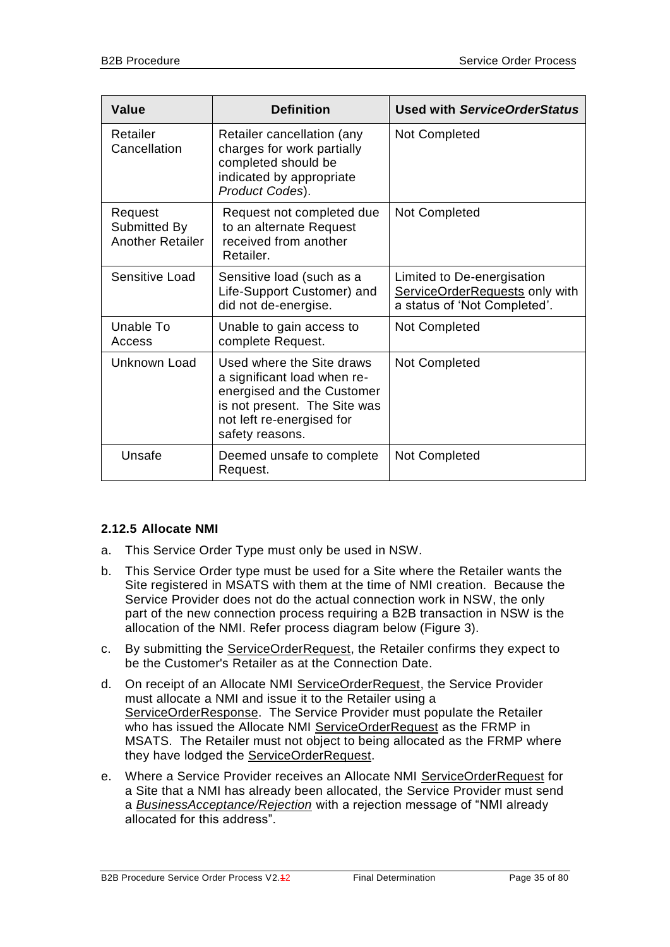| <b>Value</b>                                       | <b>Definition</b>                                                                                                                                                      | <b>Used with ServiceOrderStatus</b>                                                          |
|----------------------------------------------------|------------------------------------------------------------------------------------------------------------------------------------------------------------------------|----------------------------------------------------------------------------------------------|
| Retailer<br>Cancellation                           | Retailer cancellation (any<br>charges for work partially<br>completed should be<br>indicated by appropriate<br>Product Codes).                                         | Not Completed                                                                                |
| Request<br>Submitted By<br><b>Another Retailer</b> | Request not completed due<br>to an alternate Request<br>received from another<br>Retailer.                                                                             | <b>Not Completed</b>                                                                         |
| Sensitive Load                                     | Sensitive load (such as a<br>Life-Support Customer) and<br>did not de-energise.                                                                                        | Limited to De-energisation<br>ServiceOrderRequests only with<br>a status of 'Not Completed'. |
| Unable To<br>Access                                | Unable to gain access to<br>complete Request.                                                                                                                          | Not Completed                                                                                |
| Unknown Load                                       | Used where the Site draws<br>a significant load when re-<br>energised and the Customer<br>is not present. The Site was<br>not left re-energised for<br>safety reasons. | Not Completed                                                                                |
| Unsafe                                             | Deemed unsafe to complete<br>Request.                                                                                                                                  | Not Completed                                                                                |

#### <span id="page-34-0"></span>**2.12.5 Allocate NMI**

- a. This Service Order Type must only be used in NSW.
- b. This Service Order type must be used for a Site where the Retailer wants the Site registered in MSATS with them at the time of NMI creation. Because the Service Provider does not do the actual connection work in NSW, the only part of the new connection process requiring a B2B transaction in NSW is the allocation of the NMI. Refer process diagram below (Figure 3).
- c. By submitting the ServiceOrderRequest, the Retailer confirms they expect to be the Customer's Retailer as at the Connection Date.
- d. On receipt of an Allocate NMI ServiceOrderRequest, the Service Provider must allocate a NMI and issue it to the Retailer using a ServiceOrderResponse. The Service Provider must populate the Retailer who has issued the Allocate NMI ServiceOrderRequest as the FRMP in MSATS. The Retailer must not object to being allocated as the FRMP where they have lodged the ServiceOrderRequest.
- e. Where a Service Provider receives an Allocate NMI ServiceOrderRequest for a Site that a NMI has already been allocated, the Service Provider must send a *BusinessAcceptance/Rejection* with a rejection message of "NMI already allocated for this address".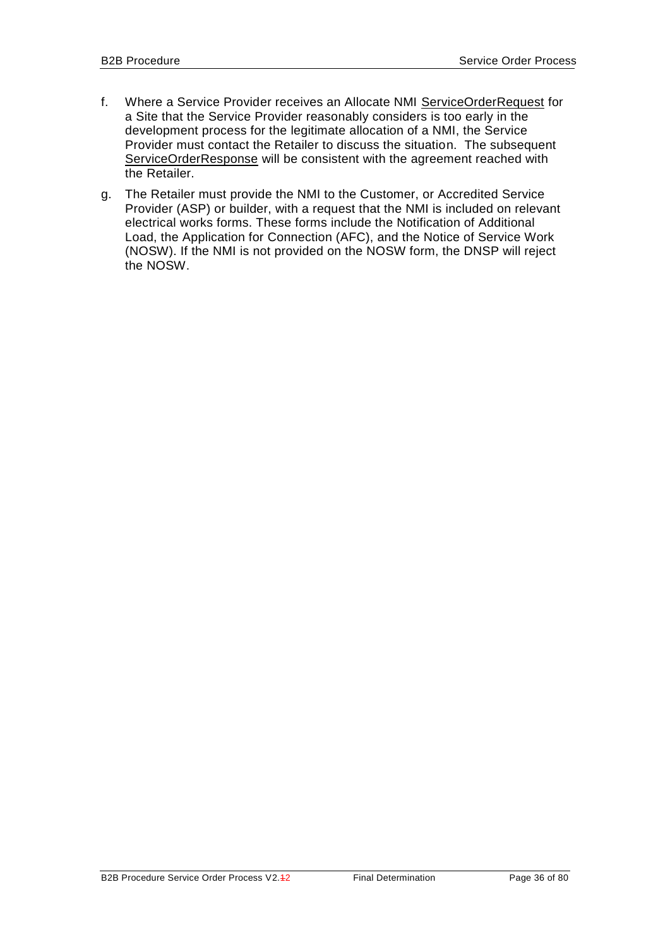- f. Where a Service Provider receives an Allocate NMI ServiceOrderRequest for a Site that the Service Provider reasonably considers is too early in the development process for the legitimate allocation of a NMI, the Service Provider must contact the Retailer to discuss the situation. The subsequent ServiceOrderResponse will be consistent with the agreement reached with the Retailer.
- g. The Retailer must provide the NMI to the Customer, or Accredited Service Provider (ASP) or builder, with a request that the NMI is included on relevant electrical works forms. These forms include the Notification of Additional Load, the Application for Connection (AFC), and the Notice of Service Work (NOSW). If the NMI is not provided on the NOSW form, the DNSP will reject the NOSW.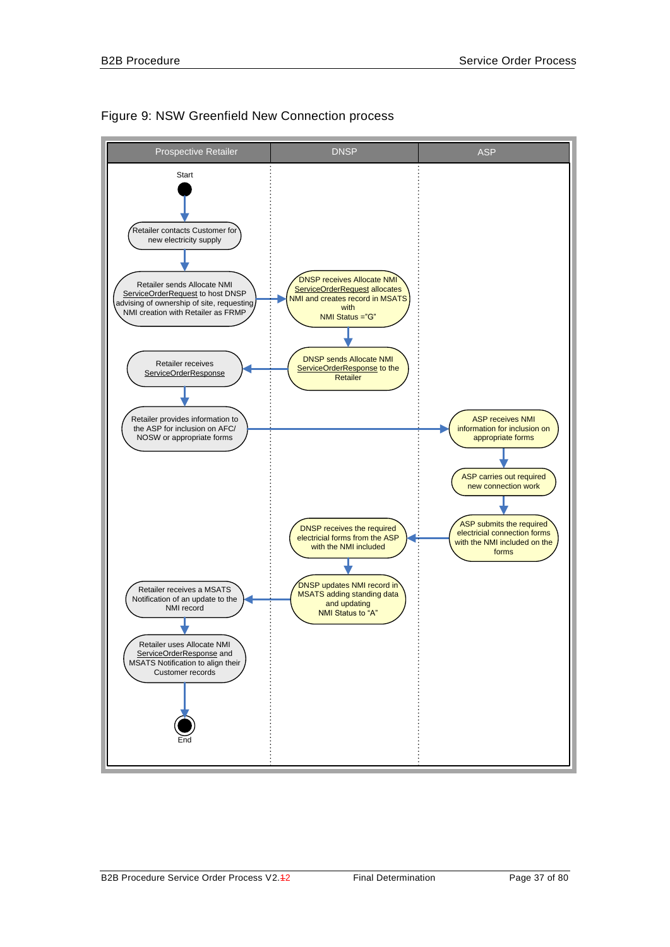

## Figure 9: NSW Greenfield New Connection process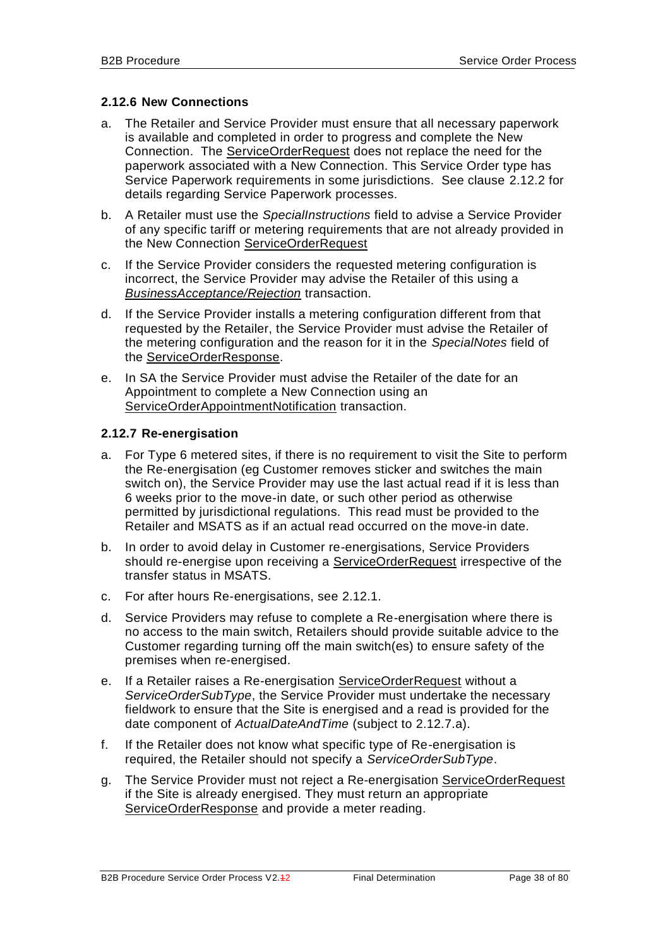## <span id="page-37-2"></span><span id="page-37-1"></span>**2.12.6 New Connections**

- a. The Retailer and Service Provider must ensure that all necessary paperwork is available and completed in order to progress and complete the New Connection. The ServiceOrderRequest does not replace the need for the paperwork associated with a New Connection. This Service Order type has Service Paperwork requirements in some jurisdictions. See clause [2.12.2](#page-26-0) for details regarding Service Paperwork processes.
- b. A Retailer must use the *SpecialInstructions* field to advise a Service Provider of any specific tariff or metering requirements that are not already provided in the New Connection ServiceOrderRequest
- c. If the Service Provider considers the requested metering configuration is incorrect, the Service Provider may advise the Retailer of this using a *BusinessAcceptance/Rejection* transaction.
- d. If the Service Provider installs a metering configuration different from that requested by the Retailer, the Service Provider must advise the Retailer of the metering configuration and the reason for it in the *SpecialNotes* field of the ServiceOrderResponse.
- e. In SA the Service Provider must advise the Retailer of the date for an Appointment to complete a New Connection using an ServiceOrderAppointmentNotification transaction.

## <span id="page-37-0"></span>**2.12.7 Re-energisation**

- a. For Type 6 metered sites, if there is no requirement to visit the Site to perform the Re-energisation (eg Customer removes sticker and switches the main switch on), the Service Provider may use the last actual read if it is less than 6 weeks prior to the move-in date, or such other period as otherwise permitted by jurisdictional regulations. This read must be provided to the Retailer and MSATS as if an actual read occurred on the move-in date.
- b. In order to avoid delay in Customer re-energisations, Service Providers should re-energise upon receiving a ServiceOrderRequest irrespective of the transfer status in MSATS.
- c. For after hours Re-energisations, see [2.12.1.](#page-24-0)
- d. Service Providers may refuse to complete a Re-energisation where there is no access to the main switch, Retailers should provide suitable advice to the Customer regarding turning off the main switch(es) to ensure safety of the premises when re-energised.
- e. If a Retailer raises a Re-energisation ServiceOrderRequest without a *ServiceOrderSubType*, the Service Provider must undertake the necessary fieldwork to ensure that the Site is energised and a read is provided for the date component of *ActualDateAndTime* (subject to [2.12.7.](#page-37-0)a).
- f. If the Retailer does not know what specific type of Re-energisation is required, the Retailer should not specify a *ServiceOrderSubType*.
- g. The Service Provider must not reject a Re-energisation ServiceOrderRequest if the Site is already energised. They must return an appropriate ServiceOrderResponse and provide a meter reading.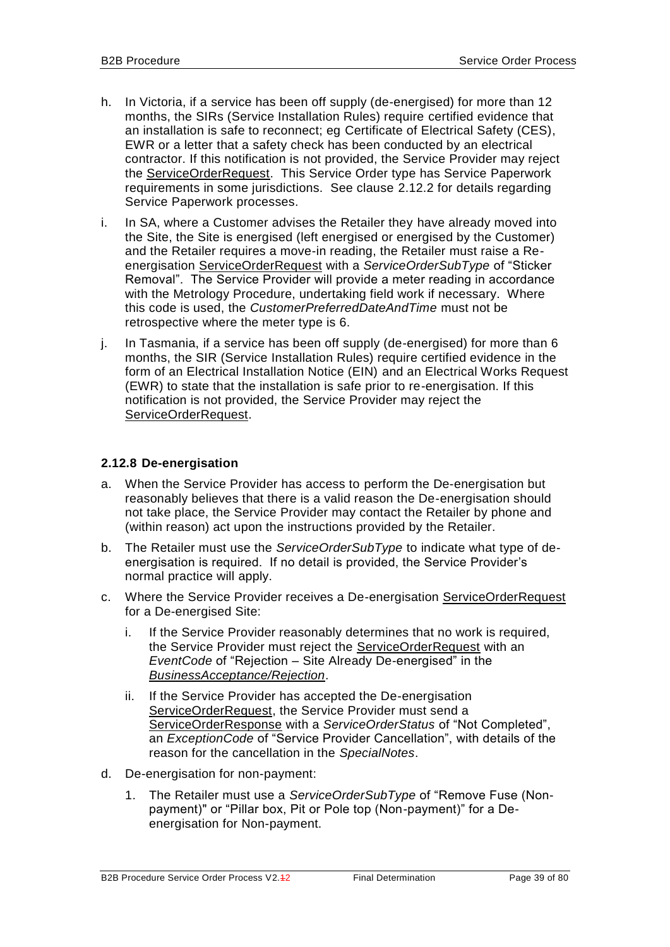- h. In Victoria, if a service has been off supply (de-energised) for more than 12 months, the SIRs (Service Installation Rules) require certified evidence that an installation is safe to reconnect; eg Certificate of Electrical Safety (CES), EWR or a letter that a safety check has been conducted by an electrical contractor. If this notification is not provided, the Service Provider may reject the ServiceOrderRequest. This Service Order type has Service Paperwork requirements in some jurisdictions. See clause [2.12.2](#page-26-0) for details regarding Service Paperwork processes.
- i. In SA, where a Customer advises the Retailer they have already moved into the Site, the Site is energised (left energised or energised by the Customer) and the Retailer requires a move-in reading, the Retailer must raise a Reenergisation ServiceOrderRequest with a *ServiceOrderSubType* of "Sticker Removal". The Service Provider will provide a meter reading in accordance with the Metrology Procedure, undertaking field work if necessary. Where this code is used, the *CustomerPreferredDateAndTime* must not be retrospective where the meter type is 6.
- j. In Tasmania, if a service has been off supply (de-energised) for more than 6 months, the SIR (Service Installation Rules) require certified evidence in the form of an Electrical Installation Notice (EIN) and an Electrical Works Request (EWR) to state that the installation is safe prior to re-energisation. If this notification is not provided, the Service Provider may reject the ServiceOrderRequest.

## **2.12.8 De-energisation**

- a. When the Service Provider has access to perform the De-energisation but reasonably believes that there is a valid reason the De-energisation should not take place, the Service Provider may contact the Retailer by phone and (within reason) act upon the instructions provided by the Retailer.
- b. The Retailer must use the *ServiceOrderSubType* to indicate what type of deenergisation is required. If no detail is provided, the Service Provider's normal practice will apply.
- c. Where the Service Provider receives a De-energisation ServiceOrderRequest for a De-energised Site:
	- i. If the Service Provider reasonably determines that no work is required, the Service Provider must reject the ServiceOrderRequest with an *EventCode* of "Rejection – Site Already De-energised" in the *BusinessAcceptance/Rejection*.
	- ii. If the Service Provider has accepted the De-energisation ServiceOrderRequest, the Service Provider must send a ServiceOrderResponse with a *ServiceOrderStatus* of "Not Completed", an *ExceptionCode* of "Service Provider Cancellation", with details of the reason for the cancellation in the *SpecialNotes*.
- d. De-energisation for non-payment:
	- 1. The Retailer must use a *ServiceOrderSubType* of "Remove Fuse (Nonpayment)" or "Pillar box, Pit or Pole top (Non-payment)" for a Deenergisation for Non-payment.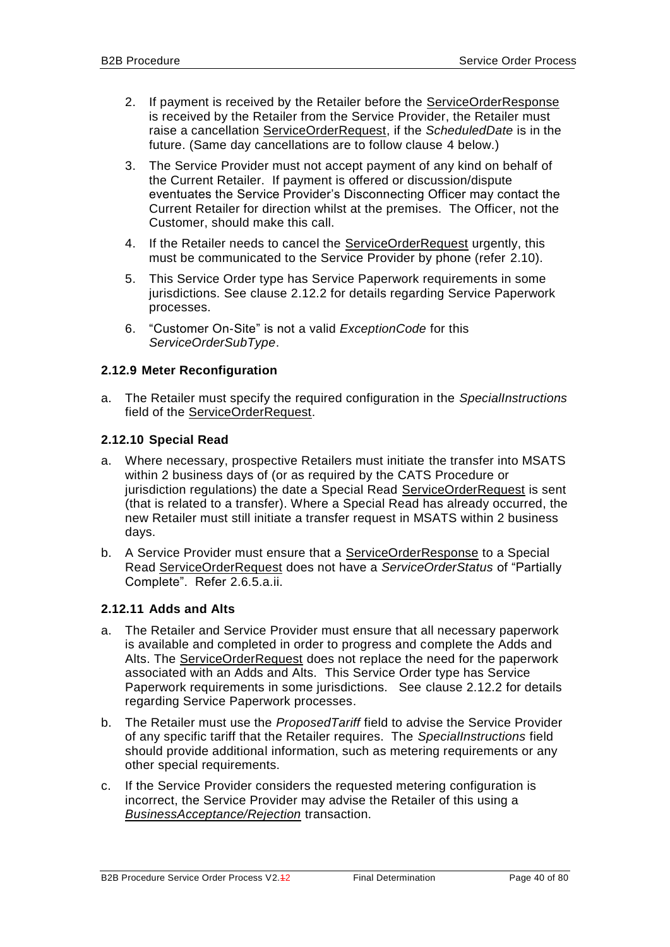- <span id="page-39-2"></span><span id="page-39-1"></span>2. If payment is received by the Retailer before the ServiceOrderResponse is received by the Retailer from the Service Provider, the Retailer must raise a cancellation ServiceOrderRequest, if the *ScheduledDate* is in the future. (Same day cancellations are to follow clause [4](#page-39-0) below.)
- 3. The Service Provider must not accept payment of any kind on behalf of the Current Retailer. If payment is offered or discussion/dispute eventuates the Service Provider's Disconnecting Officer may contact the Current Retailer for direction whilst at the premises. The Officer, not the Customer, should make this call.
- <span id="page-39-0"></span>4. If the Retailer needs to cancel the ServiceOrderRequest urgently, this must be communicated to the Service Provider by phone (refer [2.10\)](#page-23-0).
- 5. This Service Order type has Service Paperwork requirements in some jurisdictions. See clause [2.12.2](#page-26-0) for details regarding Service Paperwork processes.
- <span id="page-39-3"></span>6. "Customer On-Site" is not a valid *ExceptionCode* for this *ServiceOrderSubType*.

## **2.12.9 Meter Reconfiguration**

a. The Retailer must specify the required configuration in the *SpecialInstructions* field of the ServiceOrderRequest.

## <span id="page-39-4"></span>**2.12.10 Special Read**

- a. Where necessary, prospective Retailers must initiate the transfer into MSATS within 2 business days of (or as required by the CATS Procedure or jurisdiction regulations) the date a Special Read ServiceOrderRequest is sent (that is related to a transfer). Where a Special Read has already occurred, the new Retailer must still initiate a transfer request in MSATS within 2 business days.
- b. A Service Provider must ensure that a ServiceOrderResponse to a Special Read ServiceOrderRequest does not have a *ServiceOrderStatus* of "Partially Complete". Refer [2.6.5](#page-22-0)[.a.](#page-22-1)[ii.](#page-22-2)

## **2.12.11 Adds and Alts**

- a. The Retailer and Service Provider must ensure that all necessary paperwork is available and completed in order to progress and complete the Adds and Alts. The ServiceOrderRequest does not replace the need for the paperwork associated with an Adds and Alts. This Service Order type has Service Paperwork requirements in some jurisdictions. See clause [2.12.2](#page-26-0) for details regarding Service Paperwork processes.
- b. The Retailer must use the *ProposedTariff* field to advise the Service Provider of any specific tariff that the Retailer requires. The *SpecialInstructions* field should provide additional information, such as metering requirements or any other special requirements.
- c. If the Service Provider considers the requested metering configuration is incorrect, the Service Provider may advise the Retailer of this using a *BusinessAcceptance/Rejection* transaction.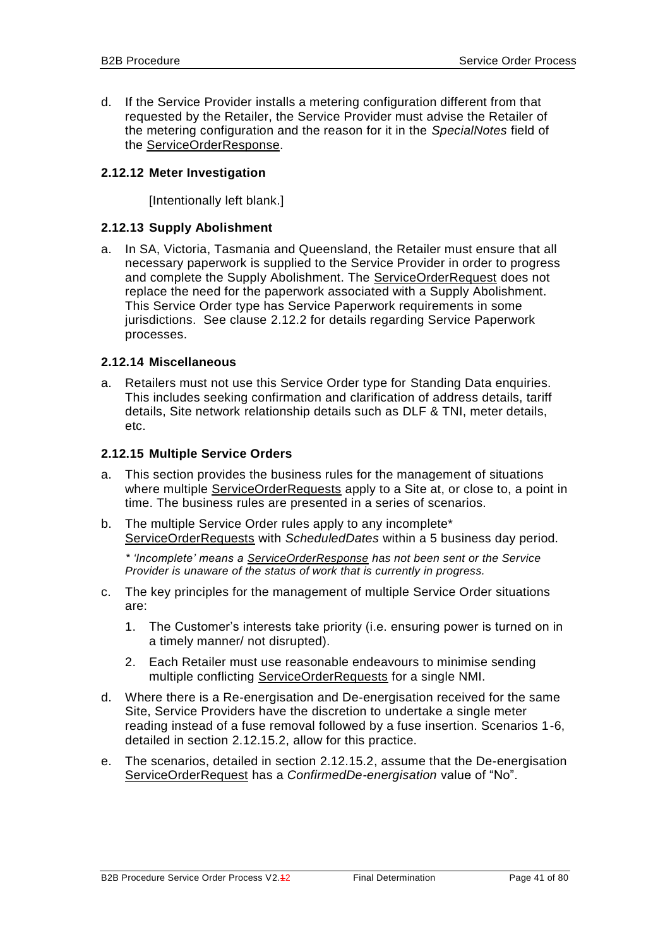d. If the Service Provider installs a metering configuration different from that requested by the Retailer, the Service Provider must advise the Retailer of the metering configuration and the reason for it in the *SpecialNotes* field of the ServiceOrderResponse.

### <span id="page-40-0"></span>**2.12.12 Meter Investigation**

[Intentionally left blank.]

### **2.12.13 Supply Abolishment**

a. In SA, Victoria, Tasmania and Queensland, the Retailer must ensure that all necessary paperwork is supplied to the Service Provider in order to progress and complete the Supply Abolishment. The ServiceOrderRequest does not replace the need for the paperwork associated with a Supply Abolishment. This Service Order type has Service Paperwork requirements in some jurisdictions. See clause [2.12.2](#page-26-0) for details regarding Service Paperwork processes.

### **2.12.14 Miscellaneous**

a. Retailers must not use this Service Order type for Standing Data enquiries. This includes seeking confirmation and clarification of address details, tariff details, Site network relationship details such as DLF & TNI, meter details, etc.

### **2.12.15 Multiple Service Orders**

- <span id="page-40-1"></span>a. This section provides the business rules for the management of situations where multiple ServiceOrderRequests apply to a Site at, or close to, a point in time. The business rules are presented in a series of scenarios.
- b. The multiple Service Order rules apply to any incomplete\* ServiceOrderRequests with *ScheduledDates* within a 5 business day period.

*\* 'Incomplete' means a ServiceOrderResponse has not been sent or the Service Provider is unaware of the status of work that is currently in progress.*

- c. The key principles for the management of multiple Service Order situations are:
	- 1. The Customer's interests take priority (i.e. ensuring power is turned on in a timely manner/ not disrupted).
	- 2. Each Retailer must use reasonable endeavours to minimise sending multiple conflicting ServiceOrderRequests for a single NMI.
- d. Where there is a Re-energisation and De-energisation received for the same Site, Service Providers have the discretion to undertake a single meter reading instead of a fuse removal followed by a fuse insertion. Scenarios 1-6, detailed in section [2.12.15.2,](#page-43-0) allow for this practice.
- e. The scenarios, detailed in section [2.12.15.2,](#page-43-0) assume that the De-energisation ServiceOrderRequest has a *ConfirmedDe-energisation* value of "No".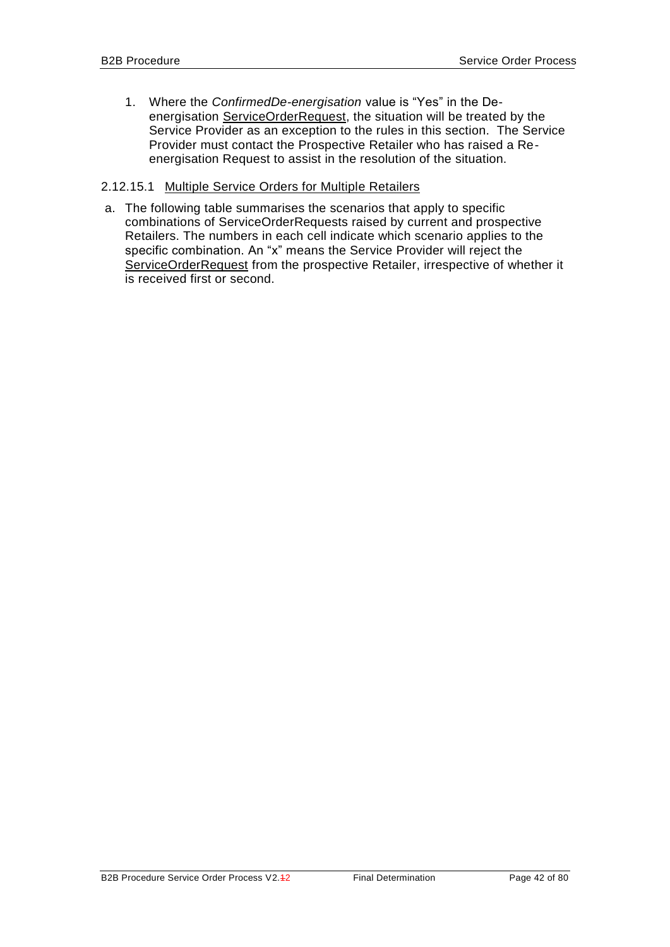1. Where the *ConfirmedDe-energisation* value is "Yes" in the Deenergisation ServiceOrderRequest, the situation will be treated by the Service Provider as an exception to the rules in this section. The Service Provider must contact the Prospective Retailer who has raised a Reenergisation Request to assist in the resolution of the situation.

### 2.12.15.1 Multiple Service Orders for Multiple Retailers

a. The following table summarises the scenarios that apply to specific combinations of ServiceOrderRequests raised by current and prospective Retailers. The numbers in each cell indicate which scenario applies to the specific combination. An "x" means the Service Provider will reject the ServiceOrderRequest from the prospective Retailer, irrespective of whether it is received first or second.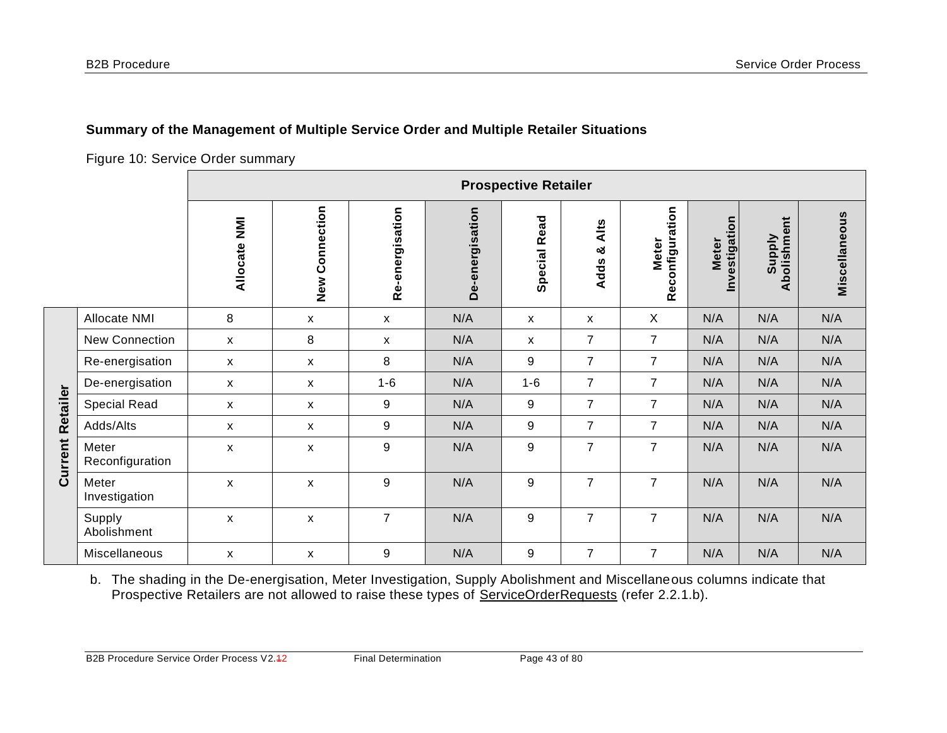**Current Retailer**

**Current Retailer** 

## **Summary of the Management of Multiple Service Order and Multiple Retailer Situations**

Figure 10: Service Order summary

|                          | <b>Prospective Retailer</b> |                           |                 |                 |                     |                          |                                     |                               |                              |               |
|--------------------------|-----------------------------|---------------------------|-----------------|-----------------|---------------------|--------------------------|-------------------------------------|-------------------------------|------------------------------|---------------|
|                          | Allocate NMI                | Connection<br>New         | Re-energisation | De-energisation | <b>Special Read</b> | Alts<br>ಯ<br><b>Adds</b> | onfiguration<br><b>Meter</b><br>Rec | Investigation<br><b>Meter</b> | Abolishment<br><b>Supply</b> | Miscellaneous |
| Allocate NMI             | 8                           | X                         | X               | N/A             | X                   | X                        | X                                   | N/A                           | N/A                          | N/A           |
| <b>New Connection</b>    | X                           | 8                         | X               | N/A             | X                   | $\overline{7}$           | $\overline{7}$                      | N/A                           | N/A                          | N/A           |
| Re-energisation          | X                           | $\mathsf{x}$              | 8               | N/A             | 9                   | $\overline{7}$           | $\overline{7}$                      | N/A                           | N/A                          | N/A           |
| De-energisation          | X                           | $\boldsymbol{\mathsf{X}}$ | $1 - 6$         | N/A             | $1 - 6$             | $\overline{7}$           | $\overline{7}$                      | N/A                           | N/A                          | N/A           |
| <b>Special Read</b>      | X                           | X                         | 9               | N/A             | 9                   | $\overline{7}$           | $\overline{7}$                      | N/A                           | N/A                          | N/A           |
| Adds/Alts                | X                           | X                         | 9               | N/A             | 9                   | $\overline{7}$           | $\overline{7}$                      | N/A                           | N/A                          | N/A           |
| Meter<br>Reconfiguration | X                           | $\boldsymbol{\mathsf{x}}$ | 9               | N/A             | 9                   | $\overline{7}$           | $\overline{7}$                      | N/A                           | N/A                          | N/A           |
| Meter<br>Investigation   | X                           | X                         | 9               | N/A             | 9                   | $\overline{7}$           | $\overline{7}$                      | N/A                           | N/A                          | N/A           |
| Supply<br>Abolishment    | X                           | $\boldsymbol{\mathsf{x}}$ | $\overline{7}$  | N/A             | 9                   | $\overline{7}$           | $\overline{7}$                      | N/A                           | N/A                          | N/A           |
| Miscellaneous            | X                           | $\pmb{\mathsf{x}}$        | 9               | N/A             | 9                   | $\overline{7}$           | $\overline{7}$                      | N/A                           | N/A                          | N/A           |

b. The shading in the De-energisation, Meter Investigation, Supply Abolishment and Miscellaneous columns indicate that Prospective Retailers are not allowed to raise these types of ServiceOrderRequests (refer [2.2.1.](#page-15-0)b).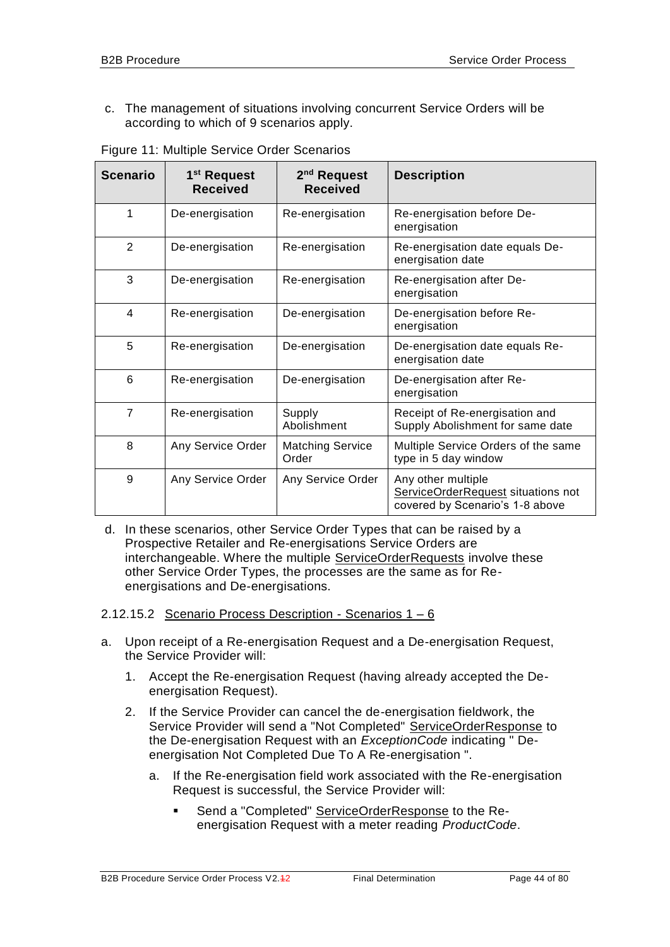c. The management of situations involving concurrent Service Orders will be according to which of 9 scenarios apply.

<span id="page-43-1"></span>

| <b>Scenario</b> | 1 <sup>st</sup> Request<br><b>Received</b> | 2 <sup>nd</sup> Request<br><b>Received</b> | <b>Description</b>                                                                          |
|-----------------|--------------------------------------------|--------------------------------------------|---------------------------------------------------------------------------------------------|
| 1               | De-energisation                            | Re-energisation                            | Re-energisation before De-<br>energisation                                                  |
| 2               | De-energisation                            | Re-energisation                            | Re-energisation date equals De-<br>energisation date                                        |
| 3               | De-energisation                            | Re-energisation                            | Re-energisation after De-<br>energisation                                                   |
| $\overline{4}$  | Re-energisation                            | De-energisation                            | De-energisation before Re-<br>energisation                                                  |
| 5               | Re-energisation                            | De-energisation                            | De-energisation date equals Re-<br>energisation date                                        |
| 6               | Re-energisation                            | De-energisation                            | De-energisation after Re-<br>energisation                                                   |
| $\overline{7}$  | Re-energisation                            | Supply<br>Abolishment                      | Receipt of Re-energisation and<br>Supply Abolishment for same date                          |
| 8               | Any Service Order                          | <b>Matching Service</b><br>Order           | Multiple Service Orders of the same<br>type in 5 day window                                 |
| 9               | Any Service Order                          | Any Service Order                          | Any other multiple<br>ServiceOrderRequest situations not<br>covered by Scenario's 1-8 above |

Figure 11: Multiple Service Order Scenarios

d. In these scenarios, other Service Order Types that can be raised by a Prospective Retailer and Re-energisations Service Orders are interchangeable. Where the multiple ServiceOrderRequests involve these other Service Order Types, the processes are the same as for Reenergisations and De-energisations.

### <span id="page-43-0"></span>2.12.15.2 Scenario Process Description - Scenarios 1 – 6

- a. Upon receipt of a Re-energisation Request and a De-energisation Request, the Service Provider will:
	- 1. Accept the Re-energisation Request (having already accepted the Deenergisation Request).
	- 2. If the Service Provider can cancel the de-energisation fieldwork, the Service Provider will send a "Not Completed" ServiceOrderResponse to the De-energisation Request with an *ExceptionCode* indicating " Deenergisation Not Completed Due To A Re-energisation ".
		- a. If the Re-energisation field work associated with the Re-energisation Request is successful, the Service Provider will:
			- Send a "Completed" ServiceOrderResponse to the Reenergisation Request with a meter reading *ProductCode*.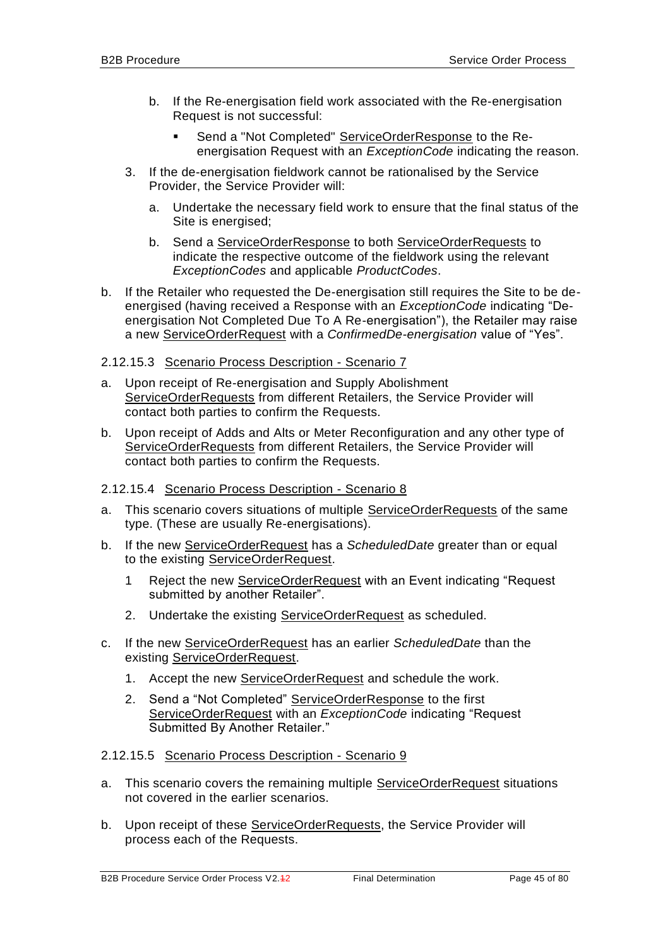- b. If the Re-energisation field work associated with the Re-energisation Request is not successful:
	- Send a "Not Completed" ServiceOrderResponse to the Reenergisation Request with an *ExceptionCode* indicating the reason.
- 3. If the de-energisation fieldwork cannot be rationalised by the Service Provider, the Service Provider will:
	- a. Undertake the necessary field work to ensure that the final status of the Site is energised;
	- b. Send a ServiceOrderResponse to both ServiceOrderRequests to indicate the respective outcome of the fieldwork using the relevant *ExceptionCodes* and applicable *ProductCodes*.
- b. If the Retailer who requested the De-energisation still requires the Site to be deenergised (having received a Response with an *ExceptionCode* indicating "Deenergisation Not Completed Due To A Re-energisation"), the Retailer may raise a new ServiceOrderRequest with a *ConfirmedDe-energisation* value of "Yes".
- 2.12.15.3 Scenario Process Description Scenario 7
- a. Upon receipt of Re-energisation and Supply Abolishment ServiceOrderRequests from different Retailers, the Service Provider will contact both parties to confirm the Requests.
- b. Upon receipt of Adds and Alts or Meter Reconfiguration and any other type of ServiceOrderRequests from different Retailers, the Service Provider will contact both parties to confirm the Requests.
- 2.12.15.4 Scenario Process Description Scenario 8
- a. This scenario covers situations of multiple ServiceOrderRequests of the same type. (These are usually Re-energisations).
- b. If the new ServiceOrderRequest has a *ScheduledDate* greater than or equal to the existing ServiceOrderRequest.
	- 1 Reject the new ServiceOrderRequest with an Event indicating "Request submitted by another Retailer".
	- 2. Undertake the existing ServiceOrderRequest as scheduled.
- c. If the new ServiceOrderRequest has an earlier *ScheduledDate* than the existing ServiceOrderRequest.
	- 1. Accept the new ServiceOrderRequest and schedule the work.
	- 2. Send a "Not Completed" ServiceOrderResponse to the first ServiceOrderRequest with an *ExceptionCode* indicating "Request Submitted By Another Retailer."

### 2.12.15.5 Scenario Process Description - Scenario 9

- a. This scenario covers the remaining multiple ServiceOrderRequest situations not covered in the earlier scenarios.
- b. Upon receipt of these ServiceOrderRequests, the Service Provider will process each of the Requests.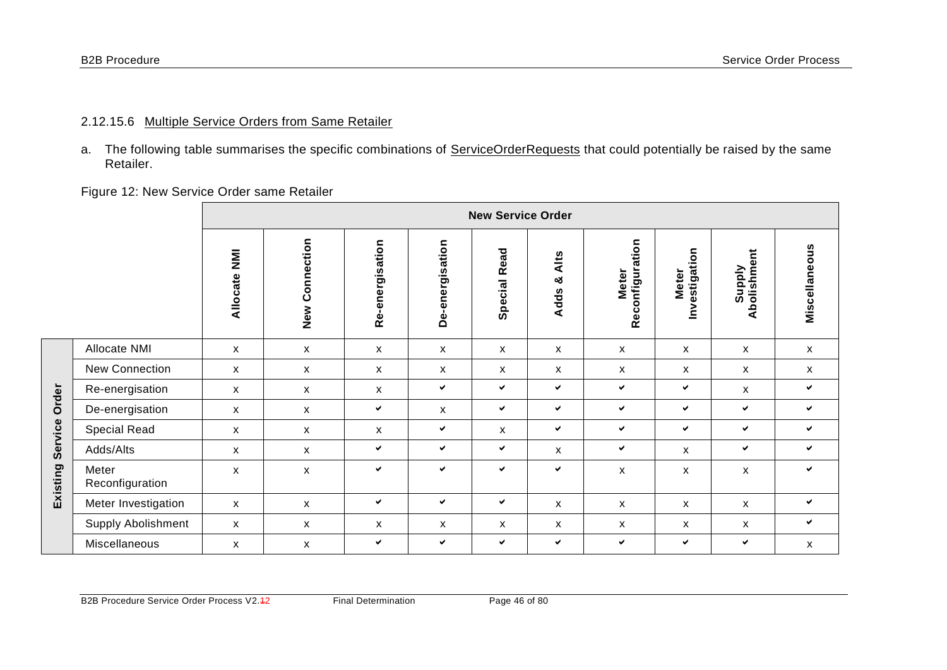**Existing Service Order**

Existing Service Order

a. The following table summarises the specific combinations of ServiceOrderRequests that could potentially be raised by the same Retailer.

Figure 12: New Service Order same Retailer

|                          | <b>New Service Order</b> |                    |                 |                 |                 |                          |                                 |                               |                       |               |
|--------------------------|--------------------------|--------------------|-----------------|-----------------|-----------------|--------------------------|---------------------------------|-------------------------------|-----------------------|---------------|
|                          | $\bar{z}$<br>Allocate    | New Connection     | Re-energisation | De-energisation | Read<br>Special | Alts<br>ೲ<br><b>Adds</b> | Reconfiguration<br><b>Meter</b> | Investigation<br><b>Meter</b> | Supply<br>Abolishment | Miscellaneous |
| Allocate NMI             | $\mathsf{x}$             | X                  | $\mathsf{x}$    | X               | X               | X                        | X                               | X                             | X                     | $\mathsf{x}$  |
| New Connection           | X                        | X                  | X               | X               | X               | X                        | X                               | X                             | X                     | X             |
| Re-energisation          | $\mathsf{x}$             | X                  | x               | ✓               | $\checkmark$    | ✔                        | $\checkmark$                    | $\checkmark$                  | X                     | $\checkmark$  |
| De-energisation          | $\mathsf{x}$             | X                  | ✔               | X               | $\checkmark$    | ✔                        | ✔                               | $\checkmark$                  | $\checkmark$          | $\checkmark$  |
| Special Read             | $\mathsf{x}$             | X                  | X               | ✓               | $\mathsf{x}$    | ✓                        | $\checkmark$                    | $\checkmark$                  | $\checkmark$          | $\checkmark$  |
| Adds/Alts                | X                        | X                  | ✔               | ✓               | ✓               | $\mathsf{x}$             | ✓                               | $\mathsf{x}$                  | ✔                     | $\checkmark$  |
| Meter<br>Reconfiguration | X                        | $\pmb{\mathsf{x}}$ | $\checkmark$    | ✓               | $\checkmark$    | ✔                        | $\pmb{\mathsf{X}}$              | X                             | $\pmb{\mathsf{x}}$    | $\checkmark$  |
| Meter Investigation      | $\mathsf{x}$             | X                  | ✔               | ✔               | ✓               | X                        | X                               | X                             | X                     | $\checkmark$  |
| Supply Abolishment       | $\mathsf{x}$             | X                  | X               | X               | X               | x                        | X                               | x                             | X                     | $\checkmark$  |
| Miscellaneous            | X                        | X                  | ✔               | ✓               | ✓               | ✔                        | $\checkmark$                    | $\checkmark$                  | ✔                     | X             |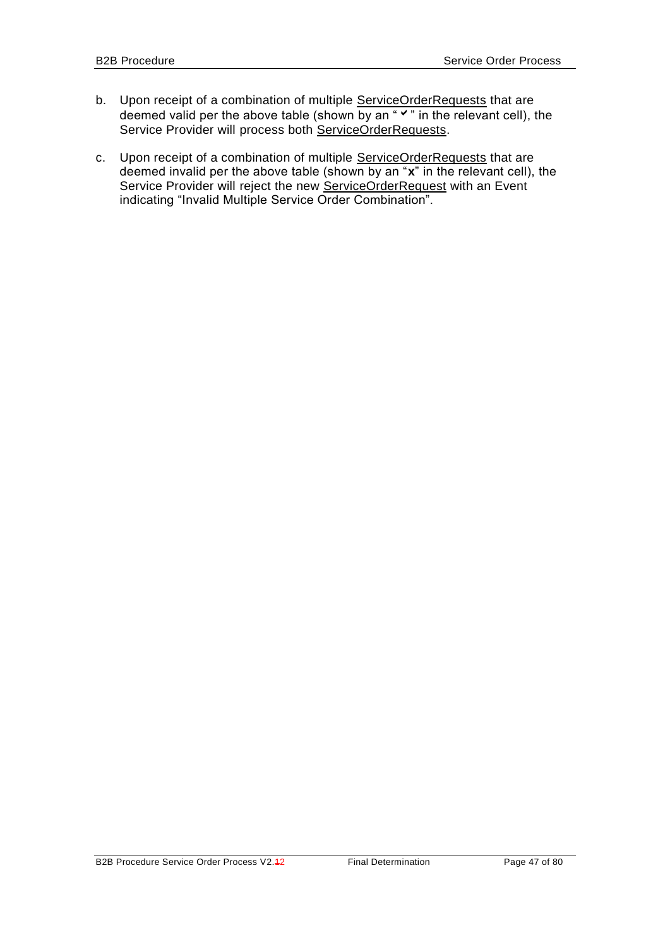- b. Upon receipt of a combination of multiple ServiceOrderRequests that are deemed valid per the above table (shown by an " $\checkmark$ " in the relevant cell), the Service Provider will process both ServiceOrderRequests.
- c. Upon receipt of a combination of multiple ServiceOrderRequests that are deemed invalid per the above table (shown by an "**x**" in the relevant cell), the Service Provider will reject the new ServiceOrderRequest with an Event indicating "Invalid Multiple Service Order Combination".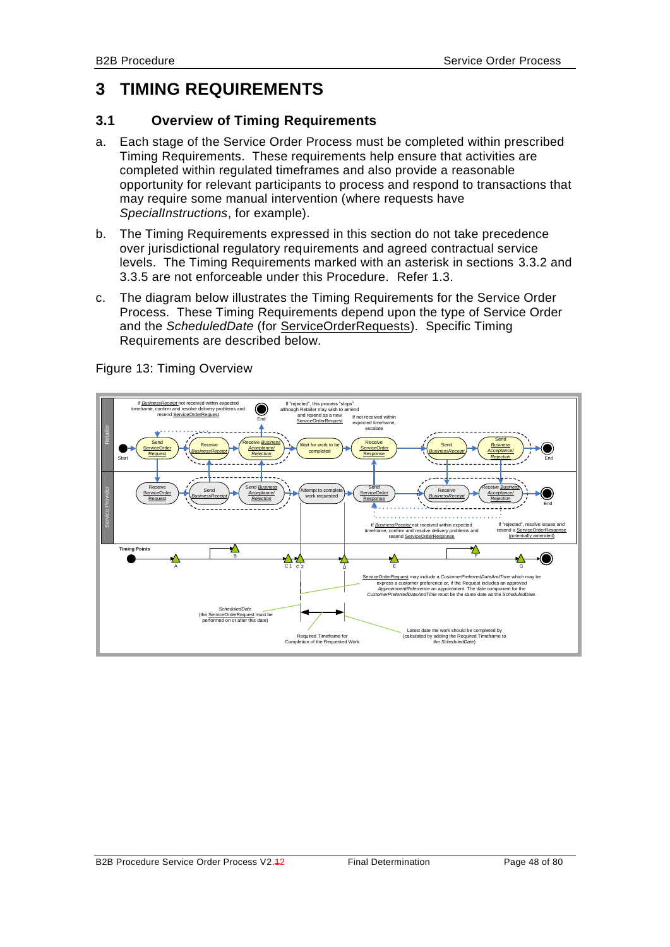# **3 TIMING REQUIREMENTS**

## **3.1 Overview of Timing Requirements**

- a. Each stage of the Service Order Process must be completed within prescribed Timing Requirements. These requirements help ensure that activities are completed within regulated timeframes and also provide a reasonable opportunity for relevant participants to process and respond to transactions that may require some manual intervention (where requests have *SpecialInstructions*, for example).
- b. The Timing Requirements expressed in this section do not take precedence over jurisdictional regulatory requirements and agreed contractual service levels. The Timing Requirements marked with an asterisk in sections [3.3.2](#page-51-0) and [3.3.5](#page-54-0) are not enforceable under this Procedure. Refer [1.3.](#page-7-0)
- c. The diagram below illustrates the Timing Requirements for the Service Order Process. These Timing Requirements depend upon the type of Service Order and the *ScheduledDate* (for ServiceOrderRequests). Specific Timing Requirements are described below.



Figure 13: Timing Overview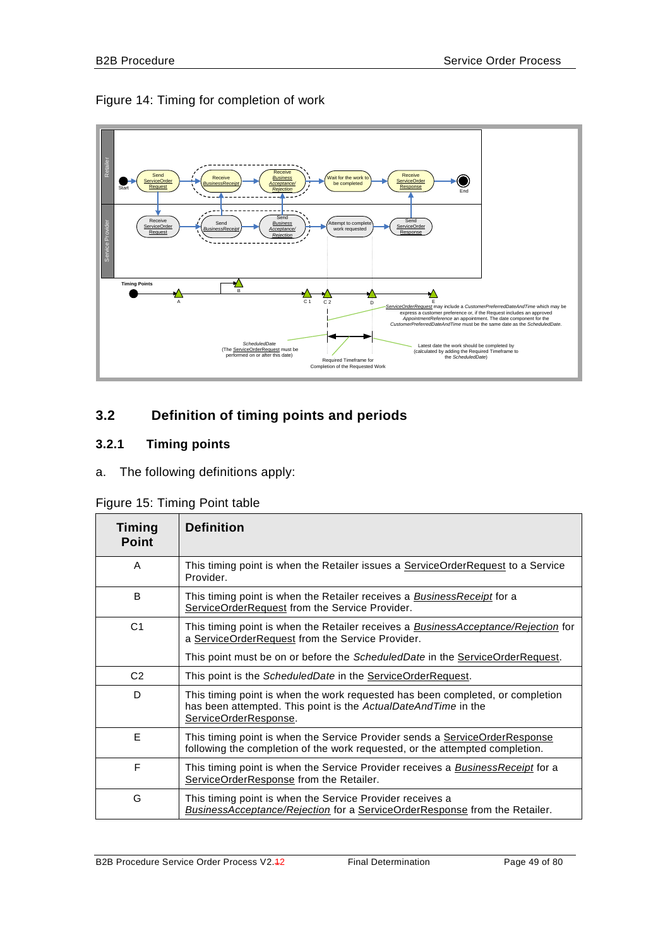## Figure 14: Timing for completion of work



## **3.2 Definition of timing points and periods**

## **3.2.1 Timing points**

a. The following definitions apply:

|  |  | Figure 15: Timing Point table |  |  |
|--|--|-------------------------------|--|--|
|--|--|-------------------------------|--|--|

| Timing<br><b>Point</b> | <b>Definition</b>                                                                                                                                                         |
|------------------------|---------------------------------------------------------------------------------------------------------------------------------------------------------------------------|
| A                      | This timing point is when the Retailer issues a ServiceOrderRequest to a Service<br>Provider.                                                                             |
| B                      | This timing point is when the Retailer receives a <b>Business Receipt</b> for a<br>ServiceOrderRequest from the Service Provider.                                         |
| C <sub>1</sub>         | This timing point is when the Retailer receives a <b>BusinessAcceptance/Rejection</b> for<br>a ServiceOrderRequest from the Service Provider.                             |
|                        | This point must be on or before the ScheduledDate in the ServiceOrderRequest.                                                                                             |
| C <sub>2</sub>         | This point is the ScheduledDate in the ServiceOrderRequest.                                                                                                               |
| D                      | This timing point is when the work requested has been completed, or completion<br>has been attempted. This point is the ActualDateAndTime in the<br>ServiceOrderResponse. |
| E                      | This timing point is when the Service Provider sends a ServiceOrderResponse<br>following the completion of the work requested, or the attempted completion.               |
| F                      | This timing point is when the Service Provider receives a <b>BusinessReceipt</b> for a<br>ServiceOrderResponse from the Retailer.                                         |
| G                      | This timing point is when the Service Provider receives a<br>BusinessAcceptance/Rejection for a ServiceOrderResponse from the Retailer.                                   |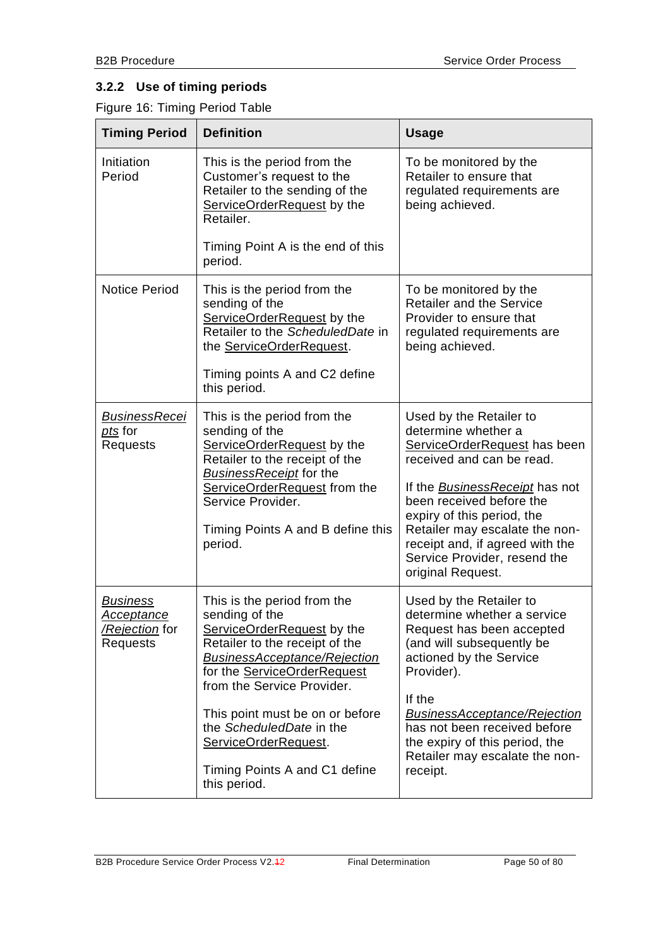# **3.2.2 Use of timing periods**

Figure 16: Timing Period Table

| <b>Timing Period</b>                                               | <b>Definition</b>                                                                                                                                                                                                                                                                                                                                                | <b>Usage</b>                                                                                                                                                                                                                                                                                                                      |
|--------------------------------------------------------------------|------------------------------------------------------------------------------------------------------------------------------------------------------------------------------------------------------------------------------------------------------------------------------------------------------------------------------------------------------------------|-----------------------------------------------------------------------------------------------------------------------------------------------------------------------------------------------------------------------------------------------------------------------------------------------------------------------------------|
| Initiation<br>Period                                               | This is the period from the<br>Customer's request to the<br>Retailer to the sending of the<br>ServiceOrderRequest by the<br>Retailer.                                                                                                                                                                                                                            | To be monitored by the<br>Retailer to ensure that<br>regulated requirements are<br>being achieved.                                                                                                                                                                                                                                |
|                                                                    | Timing Point A is the end of this<br>period.                                                                                                                                                                                                                                                                                                                     |                                                                                                                                                                                                                                                                                                                                   |
| <b>Notice Period</b>                                               | This is the period from the<br>sending of the<br>ServiceOrderRequest by the<br>Retailer to the ScheduledDate in<br>the ServiceOrderRequest.<br>Timing points A and C2 define<br>this period.                                                                                                                                                                     | To be monitored by the<br><b>Retailer and the Service</b><br>Provider to ensure that<br>regulated requirements are<br>being achieved.                                                                                                                                                                                             |
| <b>BusinessRecei</b><br>pts for<br>Requests                        | This is the period from the<br>sending of the<br>ServiceOrderRequest by the<br>Retailer to the receipt of the<br><b>BusinessReceipt for the</b><br>ServiceOrderRequest from the<br>Service Provider.<br>Timing Points A and B define this<br>period.                                                                                                             | Used by the Retailer to<br>determine whether a<br>ServiceOrderRequest has been<br>received and can be read.<br>If the BusinessReceipt has not<br>been received before the<br>expiry of this period, the<br>Retailer may escalate the non-<br>receipt and, if agreed with the<br>Service Provider, resend the<br>original Request. |
| <b>Business</b><br><u>Acceptance</u><br>/Rejection for<br>Requests | This is the period from the<br>sending of the<br>ServiceOrderRequest by the<br>Retailer to the receipt of the<br><b>BusinessAcceptance/Rejection</b><br>for the <b>ServiceOrderRequest</b><br>from the Service Provider.<br>This point must be on or before<br>the ScheduledDate in the<br>ServiceOrderRequest.<br>Timing Points A and C1 define<br>this period. | Used by the Retailer to<br>determine whether a service<br>Request has been accepted<br>(and will subsequently be<br>actioned by the Service<br>Provider).<br>If the<br><b>BusinessAcceptance/Rejection</b><br>has not been received before<br>the expiry of this period, the<br>Retailer may escalate the non-<br>receipt.        |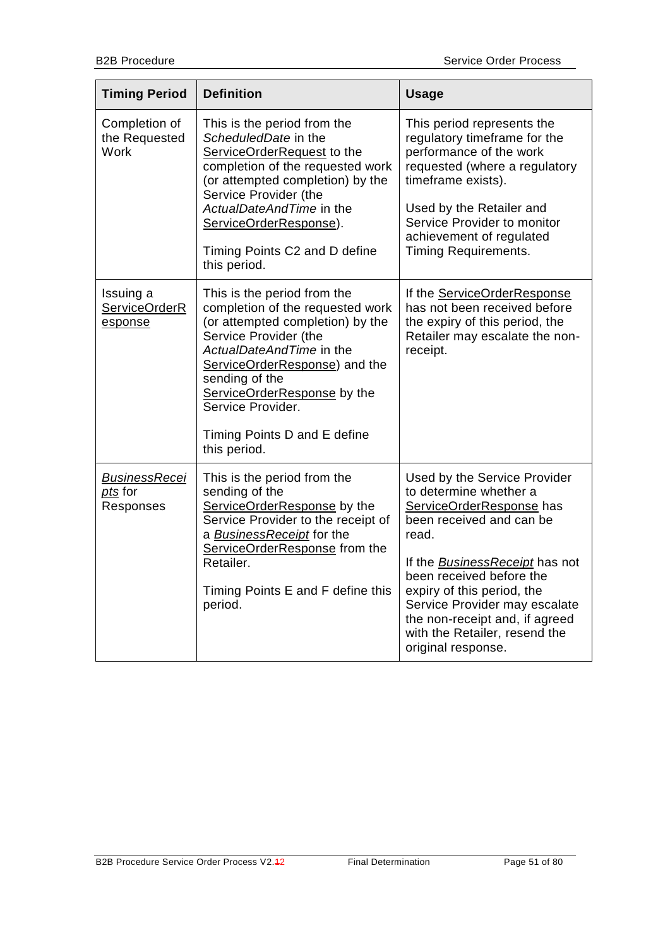| <b>Timing Period</b>                                | <b>Definition</b>                                                                                                                                                                                                                                                                                               | <b>Usage</b>                                                                                                                                                                                                                                                                                                                                         |
|-----------------------------------------------------|-----------------------------------------------------------------------------------------------------------------------------------------------------------------------------------------------------------------------------------------------------------------------------------------------------------------|------------------------------------------------------------------------------------------------------------------------------------------------------------------------------------------------------------------------------------------------------------------------------------------------------------------------------------------------------|
| Completion of<br>the Requested<br><b>Work</b>       | This is the period from the<br>ScheduledDate in the<br>ServiceOrderRequest to the<br>completion of the requested work<br>(or attempted completion) by the<br>Service Provider (the<br>ActualDateAndTime in the<br>ServiceOrderResponse).<br>Timing Points C2 and D define<br>this period.                       | This period represents the<br>regulatory timeframe for the<br>performance of the work<br>requested (where a regulatory<br>timeframe exists).<br>Used by the Retailer and<br>Service Provider to monitor<br>achievement of regulated<br><b>Timing Requirements.</b>                                                                                   |
| Issuing a<br>ServiceOrderR<br>esponse               | This is the period from the<br>completion of the requested work<br>(or attempted completion) by the<br>Service Provider (the<br>ActualDateAndTime in the<br>ServiceOrderResponse) and the<br>sending of the<br>ServiceOrderResponse by the<br>Service Provider.<br>Timing Points D and E define<br>this period. | If the ServiceOrderResponse<br>has not been received before<br>the expiry of this period, the<br>Retailer may escalate the non-<br>receipt.                                                                                                                                                                                                          |
| <b>BusinessRecei</b><br><u>pts</u> for<br>Responses | This is the period from the<br>sending of the<br>ServiceOrderResponse by the<br>Service Provider to the receipt of<br>a BusinessReceipt for the<br>ServiceOrderResponse from the<br>Retailer.<br>Timing Points E and F define this<br>period.                                                                   | Used by the Service Provider<br>to determine whether a<br>ServiceOrderResponse has<br>been received and can be<br>read.<br>If the <b>BusinessReceipt</b> has not<br>been received before the<br>expiry of this period, the<br>Service Provider may escalate<br>the non-receipt and, if agreed<br>with the Retailer, resend the<br>original response. |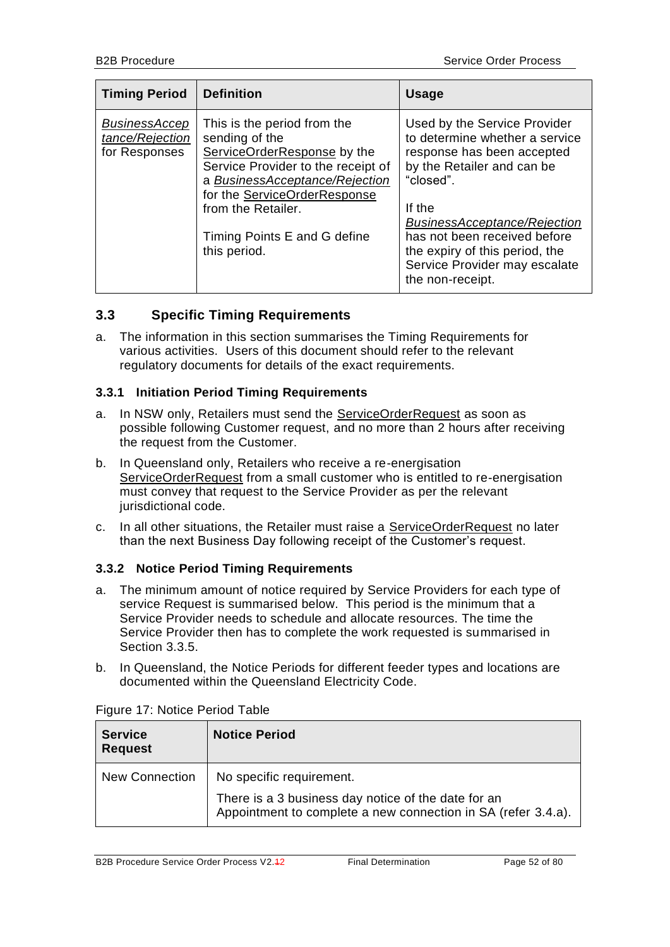| <b>Timing Period</b>                                     | <b>Definition</b>                                                                                                                                                                                                                                          | <b>Usage</b>                                                                                                                                                                                                                                                                                                    |
|----------------------------------------------------------|------------------------------------------------------------------------------------------------------------------------------------------------------------------------------------------------------------------------------------------------------------|-----------------------------------------------------------------------------------------------------------------------------------------------------------------------------------------------------------------------------------------------------------------------------------------------------------------|
| <b>BusinessAccep</b><br>tance/Rejection<br>for Responses | This is the period from the<br>sending of the<br>ServiceOrderResponse by the<br>Service Provider to the receipt of<br>a BusinessAcceptance/Rejection<br>for the ServiceOrderResponse<br>from the Retailer.<br>Timing Points E and G define<br>this period. | Used by the Service Provider<br>to determine whether a service<br>response has been accepted<br>by the Retailer and can be<br>"closed".<br>If the<br><b>BusinessAcceptance/Rejection</b><br>has not been received before<br>the expiry of this period, the<br>Service Provider may escalate<br>the non-receipt. |

## **3.3 Specific Timing Requirements**

a. The information in this section summarises the Timing Requirements for various activities. Users of this document should refer to the relevant regulatory documents for details of the exact requirements.

## **3.3.1 Initiation Period Timing Requirements**

- a. In NSW only, Retailers must send the ServiceOrderRequest as soon as possible following Customer request, and no more than 2 hours after receiving the request from the Customer.
- b. In Queensland only, Retailers who receive a re-energisation ServiceOrderRequest from a small customer who is entitled to re-energisation must convey that request to the Service Provider as per the relevant jurisdictional code.
- c. In all other situations, the Retailer must raise a ServiceOrderRequest no later than the next Business Day following receipt of the Customer's request.

## <span id="page-51-0"></span>**3.3.2 Notice Period Timing Requirements**

- a. The minimum amount of notice required by Service Providers for each type of service Request is summarised below. This period is the minimum that a Service Provider needs to schedule and allocate resources. The time the Service Provider then has to complete the work requested is summarised in Section [3.3.5.](#page-54-0)
- b. In Queensland, the Notice Periods for different feeder types and locations are documented within the Queensland Electricity Code.

| <b>Service</b><br><b>Request</b> | <b>Notice Period</b>                                                                                                 |
|----------------------------------|----------------------------------------------------------------------------------------------------------------------|
| <b>New Connection</b>            | No specific requirement.                                                                                             |
|                                  | There is a 3 business day notice of the date for an<br>Appointment to complete a new connection in SA (refer 3.4.a). |

Figure 17: Notice Period Table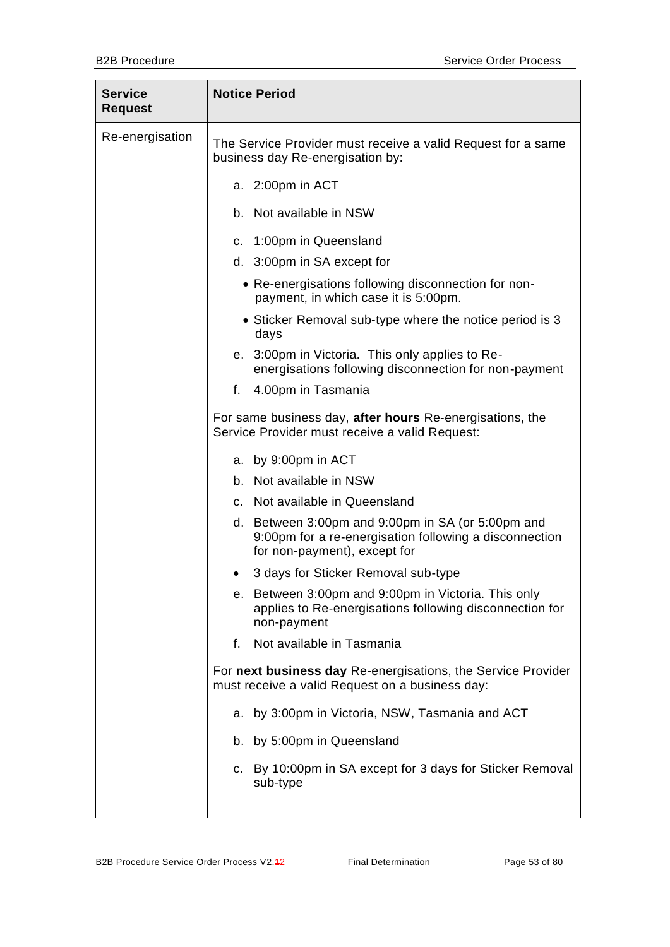| <b>Service</b><br><b>Request</b> | <b>Notice Period</b>                                                                                                                        |
|----------------------------------|---------------------------------------------------------------------------------------------------------------------------------------------|
| Re-energisation                  | The Service Provider must receive a valid Request for a same<br>business day Re-energisation by:                                            |
|                                  | a. 2:00pm in ACT                                                                                                                            |
|                                  | b. Not available in NSW                                                                                                                     |
|                                  | c. 1:00pm in Queensland                                                                                                                     |
|                                  | d. 3:00pm in SA except for                                                                                                                  |
|                                  | • Re-energisations following disconnection for non-<br>payment, in which case it is 5:00pm.                                                 |
|                                  | • Sticker Removal sub-type where the notice period is 3<br>days                                                                             |
|                                  | e. 3:00pm in Victoria. This only applies to Re-<br>energisations following disconnection for non-payment                                    |
|                                  | 4.00pm in Tasmania<br>f.                                                                                                                    |
|                                  | For same business day, after hours Re-energisations, the<br>Service Provider must receive a valid Request:                                  |
|                                  | a. by 9:00pm in ACT                                                                                                                         |
|                                  | b. Not available in NSW                                                                                                                     |
|                                  | c. Not available in Queensland                                                                                                              |
|                                  | d. Between 3:00pm and 9:00pm in SA (or 5:00pm and<br>9:00pm for a re-energisation following a disconnection<br>for non-payment), except for |
|                                  | 3 days for Sticker Removal sub-type                                                                                                         |
|                                  | e. Between 3:00pm and 9:00pm in Victoria. This only<br>applies to Re-energisations following disconnection for<br>non-payment               |
|                                  | Not available in Tasmania<br>f.                                                                                                             |
|                                  | For next business day Re-energisations, the Service Provider<br>must receive a valid Request on a business day:                             |
|                                  | by 3:00pm in Victoria, NSW, Tasmania and ACT<br>a.                                                                                          |
|                                  | b. by 5:00pm in Queensland                                                                                                                  |
|                                  | c. By 10:00pm in SA except for 3 days for Sticker Removal<br>sub-type                                                                       |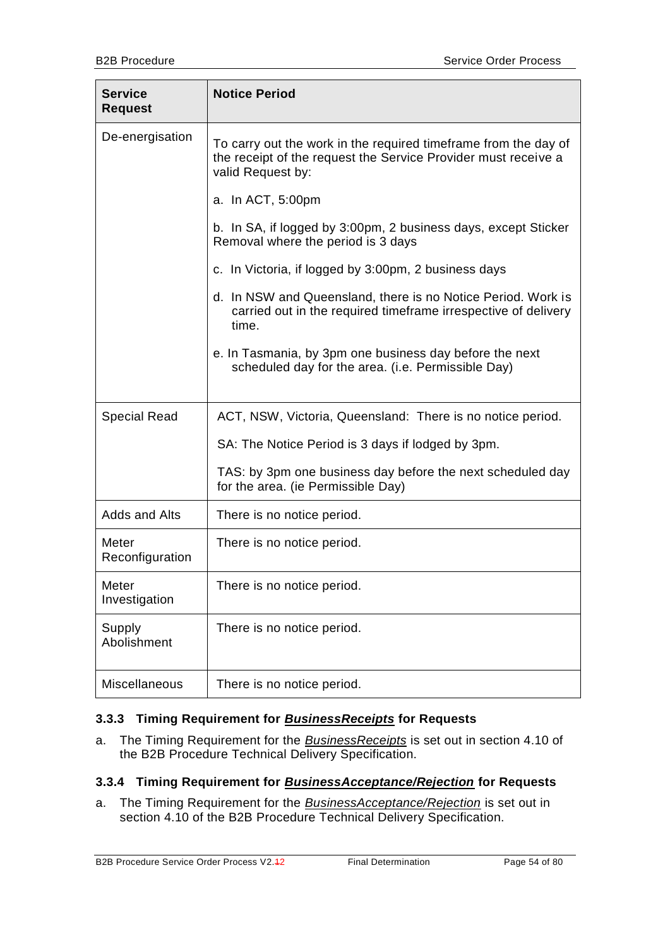| <b>Service</b><br><b>Request</b> | <b>Notice Period</b>                                                                                                                                   |
|----------------------------------|--------------------------------------------------------------------------------------------------------------------------------------------------------|
| De-energisation                  | To carry out the work in the required timeframe from the day of<br>the receipt of the request the Service Provider must receive a<br>valid Request by: |
|                                  | a. In ACT, 5:00pm                                                                                                                                      |
|                                  | b. In SA, if logged by 3:00pm, 2 business days, except Sticker<br>Removal where the period is 3 days                                                   |
|                                  | c. In Victoria, if logged by 3:00pm, 2 business days                                                                                                   |
|                                  | d. In NSW and Queensland, there is no Notice Period. Work is<br>carried out in the required timeframe irrespective of delivery<br>time.                |
|                                  | e. In Tasmania, by 3pm one business day before the next<br>scheduled day for the area. (i.e. Permissible Day)                                          |
| Special Read                     | ACT, NSW, Victoria, Queensland: There is no notice period.                                                                                             |
|                                  | SA: The Notice Period is 3 days if lodged by 3pm.                                                                                                      |
|                                  | TAS: by 3pm one business day before the next scheduled day<br>for the area. (ie Permissible Day)                                                       |
| Adds and Alts                    | There is no notice period.                                                                                                                             |
| Meter<br>Reconfiguration         | There is no notice period.                                                                                                                             |
| Meter<br>Investigation           | There is no notice period.                                                                                                                             |
| Supply<br>Abolishment            | There is no notice period.                                                                                                                             |
| Miscellaneous                    | There is no notice period.                                                                                                                             |

## **3.3.3 Timing Requirement for** *BusinessReceipts* **for Requests**

a. The Timing Requirement for the *BusinessReceipts* is set out in section 4.10 of the B2B Procedure Technical Delivery Specification.

## **3.3.4 Timing Requirement for** *BusinessAcceptance/Rejection* **for Requests**

a. The Timing Requirement for the *BusinessAcceptance/Rejection* is set out in section 4.10 of the B2B Procedure Technical Delivery Specification.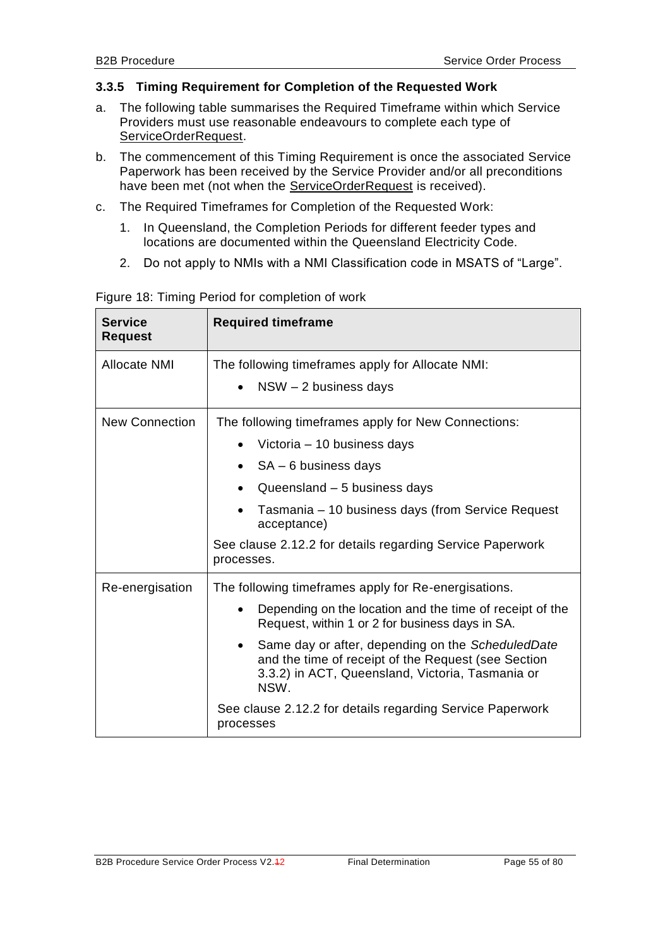## <span id="page-54-0"></span>**3.3.5 Timing Requirement for Completion of the Requested Work**

- a. The following table summarises the Required Timeframe within which Service Providers must use reasonable endeavours to complete each type of ServiceOrderRequest.
- b. The commencement of this Timing Requirement is once the associated Service Paperwork has been received by the Service Provider and/or all preconditions have been met (not when the ServiceOrderRequest is received).
- c. The Required Timeframes for Completion of the Requested Work:
	- 1. In Queensland, the Completion Periods for different feeder types and locations are documented within the Queensland Electricity Code.
	- 2. Do not apply to NMIs with a NMI Classification code in MSATS of "Large".

| <b>Service</b><br><b>Request</b> | <b>Required timeframe</b>                                                                                                                                                                                                                                                                                                                                                                                             |  |
|----------------------------------|-----------------------------------------------------------------------------------------------------------------------------------------------------------------------------------------------------------------------------------------------------------------------------------------------------------------------------------------------------------------------------------------------------------------------|--|
| Allocate NMI                     | The following timeframes apply for Allocate NMI:<br>$NSW - 2$ business days                                                                                                                                                                                                                                                                                                                                           |  |
| New Connection                   | The following timeframes apply for New Connections:<br>Victoria – 10 business days<br>SA – 6 business days<br>Queensland - 5 business days<br>Tasmania - 10 business days (from Service Request<br>acceptance)<br>See clause 2.12.2 for details regarding Service Paperwork<br>processes.                                                                                                                             |  |
| Re-energisation                  | The following timeframes apply for Re-energisations.<br>Depending on the location and the time of receipt of the<br>Request, within 1 or 2 for business days in SA.<br>Same day or after, depending on the ScheduledDate<br>and the time of receipt of the Request (see Section<br>3.3.2) in ACT, Queensland, Victoria, Tasmania or<br>NSW.<br>See clause 2.12.2 for details regarding Service Paperwork<br>processes |  |

Figure 18: Timing Period for completion of work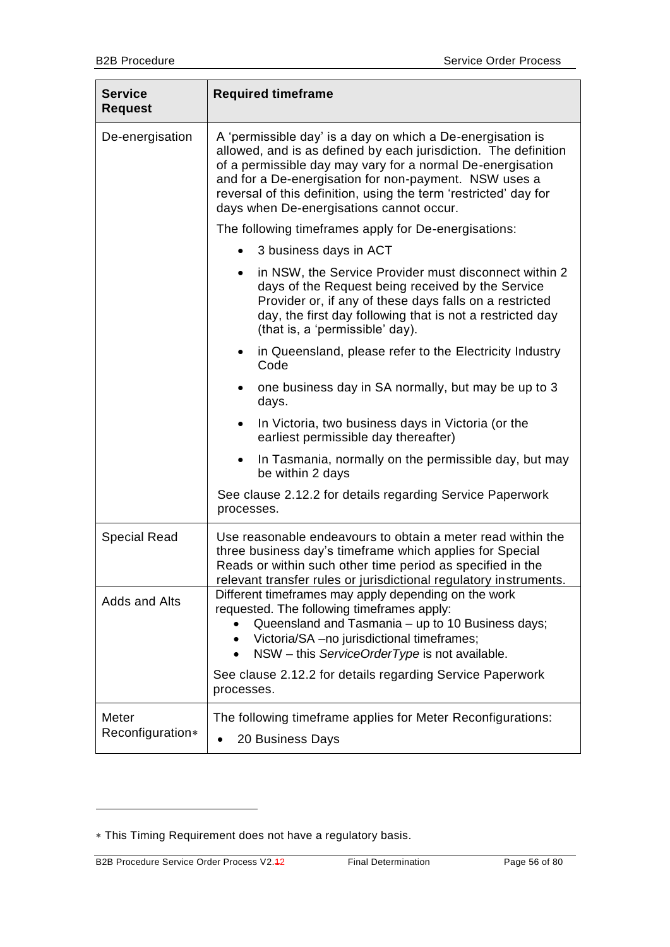| <b>Service</b><br><b>Request</b> | <b>Required timeframe</b>                                                                                                                                                                                                                                                                                                                                            |
|----------------------------------|----------------------------------------------------------------------------------------------------------------------------------------------------------------------------------------------------------------------------------------------------------------------------------------------------------------------------------------------------------------------|
| De-energisation                  | A 'permissible day' is a day on which a De-energisation is<br>allowed, and is as defined by each jurisdiction. The definition<br>of a permissible day may vary for a normal De-energisation<br>and for a De-energisation for non-payment. NSW uses a<br>reversal of this definition, using the term 'restricted' day for<br>days when De-energisations cannot occur. |
|                                  | The following timeframes apply for De-energisations:                                                                                                                                                                                                                                                                                                                 |
|                                  | 3 business days in ACT                                                                                                                                                                                                                                                                                                                                               |
|                                  | in NSW, the Service Provider must disconnect within 2<br>$\bullet$<br>days of the Request being received by the Service<br>Provider or, if any of these days falls on a restricted<br>day, the first day following that is not a restricted day<br>(that is, a 'permissible' day).                                                                                   |
|                                  | in Queensland, please refer to the Electricity Industry<br>٠<br>Code                                                                                                                                                                                                                                                                                                 |
|                                  | one business day in SA normally, but may be up to 3<br>days.                                                                                                                                                                                                                                                                                                         |
|                                  | In Victoria, two business days in Victoria (or the<br>earliest permissible day thereafter)                                                                                                                                                                                                                                                                           |
|                                  | In Tasmania, normally on the permissible day, but may<br>$\bullet$<br>be within 2 days                                                                                                                                                                                                                                                                               |
|                                  | See clause 2.12.2 for details regarding Service Paperwork<br>processes.                                                                                                                                                                                                                                                                                              |
| <b>Special Read</b>              | Use reasonable endeavours to obtain a meter read within the<br>three business day's timeframe which applies for Special<br>Reads or within such other time period as specified in the<br>relevant transfer rules or jurisdictional regulatory instruments                                                                                                            |
| Adds and Alts                    | Different timeframes may apply depending on the work<br>requested. The following timeframes apply:<br>Queensland and Tasmania - up to 10 Business days;<br>Victoria/SA - no jurisdictional timeframes;<br>NSW - this ServiceOrderType is not available.<br>$\bullet$<br>See clause 2.12.2 for details regarding Service Paperwork                                    |
|                                  | processes.                                                                                                                                                                                                                                                                                                                                                           |
| Meter<br>Reconfiguration*        | The following timeframe applies for Meter Reconfigurations:<br>20 Business Days                                                                                                                                                                                                                                                                                      |

-

This Timing Requirement does not have a regulatory basis.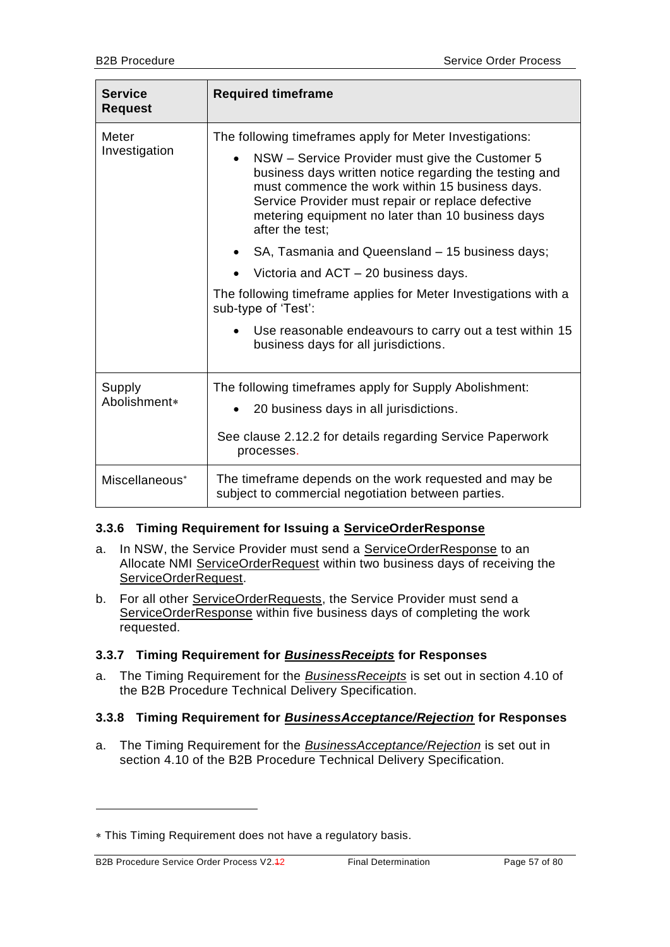| <b>Service</b><br><b>Request</b> | <b>Required timeframe</b>                                                                                                                                                                                                                                                                                                                                                                                                                                                                                                                                                                                                                                  |
|----------------------------------|------------------------------------------------------------------------------------------------------------------------------------------------------------------------------------------------------------------------------------------------------------------------------------------------------------------------------------------------------------------------------------------------------------------------------------------------------------------------------------------------------------------------------------------------------------------------------------------------------------------------------------------------------------|
| Meter<br>Investigation           | The following timeframes apply for Meter Investigations:<br>NSW - Service Provider must give the Customer 5<br>$\bullet$<br>business days written notice regarding the testing and<br>must commence the work within 15 business days.<br>Service Provider must repair or replace defective<br>metering equipment no later than 10 business days<br>after the test;<br>SA, Tasmania and Queensland - 15 business days;<br>Victoria and ACT - 20 business days.<br>The following timeframe applies for Meter Investigations with a<br>sub-type of 'Test':<br>Use reasonable endeavours to carry out a test within 15<br>business days for all jurisdictions. |
| Supply<br>Abolishment*           | The following timeframes apply for Supply Abolishment:<br>20 business days in all jurisdictions.<br>See clause 2.12.2 for details regarding Service Paperwork<br>processes.                                                                                                                                                                                                                                                                                                                                                                                                                                                                                |
| Miscellaneous <sup>*</sup>       | The timeframe depends on the work requested and may be<br>subject to commercial negotiation between parties.                                                                                                                                                                                                                                                                                                                                                                                                                                                                                                                                               |

## **3.3.6 Timing Requirement for Issuing a ServiceOrderResponse**

- a. In NSW, the Service Provider must send a ServiceOrderResponse to an Allocate NMI ServiceOrderRequest within two business days of receiving the ServiceOrderRequest.
- b. For all other ServiceOrderRequests, the Service Provider must send a ServiceOrderResponse within five business days of completing the work requested.

## **3.3.7 Timing Requirement for** *BusinessReceipts* **for Responses**

a. The Timing Requirement for the *BusinessReceipts* is set out in section 4.10 of the B2B Procedure Technical Delivery Specification.

## **3.3.8 Timing Requirement for** *BusinessAcceptance/Rejection* **for Responses**

a. The Timing Requirement for the *BusinessAcceptance/Rejection* is set out in section 4.10 of the B2B Procedure Technical Delivery Specification.

-

This Timing Requirement does not have a regulatory basis.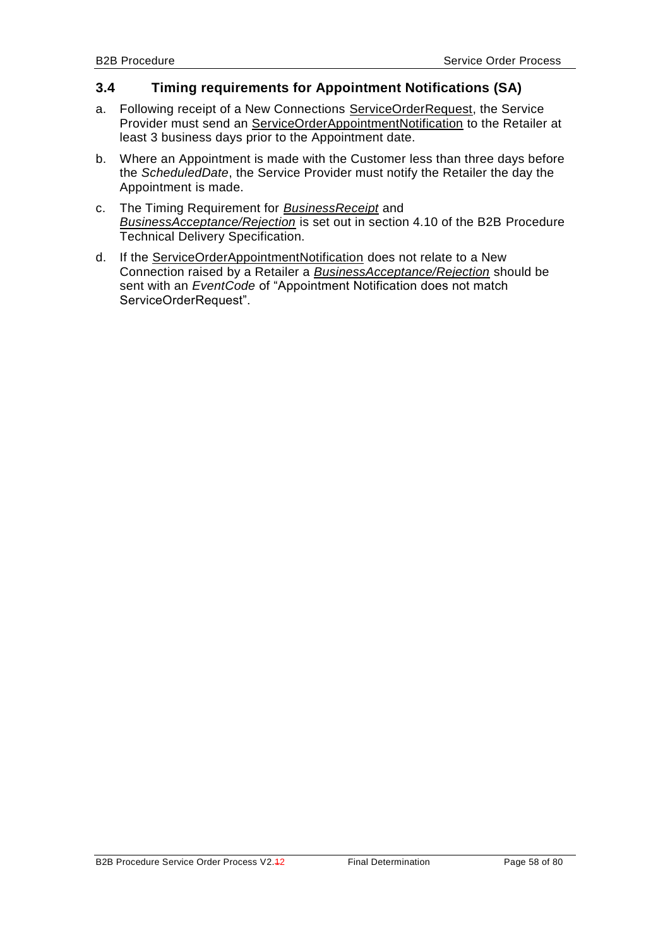## <span id="page-57-0"></span>**3.4 Timing requirements for Appointment Notifications (SA)**

- a. Following receipt of a New Connections ServiceOrderRequest, the Service Provider must send an ServiceOrderAppointmentNotification to the Retailer at least 3 business days prior to the Appointment date.
- b. Where an Appointment is made with the Customer less than three days before the *ScheduledDate*, the Service Provider must notify the Retailer the day the Appointment is made.
- c. The Timing Requirement for *BusinessReceipt* and *BusinessAcceptance/Rejection* is set out in section 4.10 of the B2B Procedure Technical Delivery Specification.
- d. If the ServiceOrderAppointmentNotification does not relate to a New Connection raised by a Retailer a *BusinessAcceptance/Rejection* should be sent with an *EventCode* of "Appointment Notification does not match ServiceOrderRequest".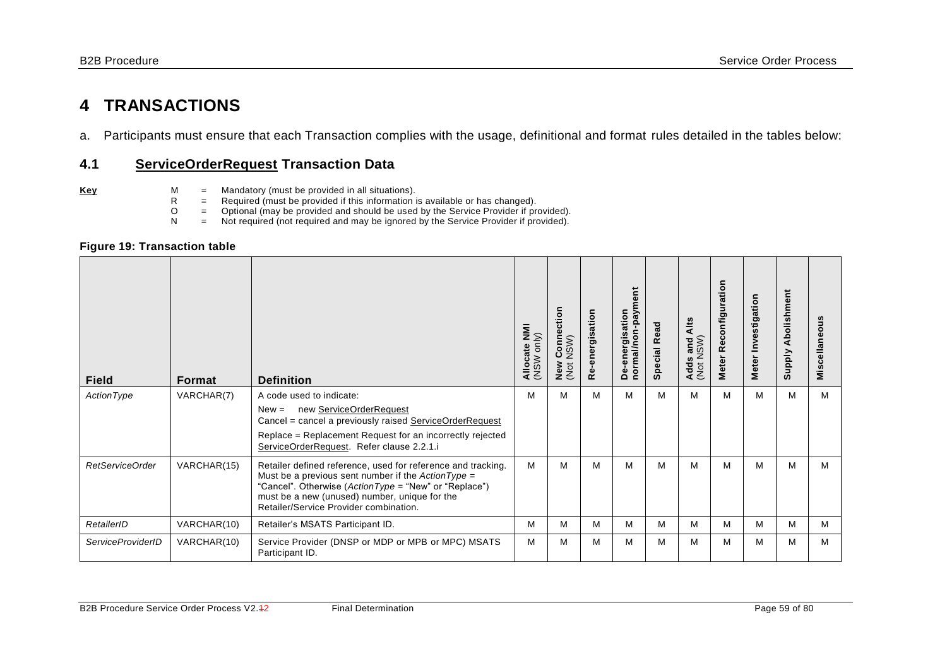# **4 TRANSACTIONS**

a. Participants must ensure that each Transaction complies with the usage, definitional and format rules detailed in the tables below:

## **4.1 ServiceOrderRequest Transaction Data**

- 
- **Key** M = Mandatory (must be provided in all situations).<br>R = Required (must be provided if this information in
	- $R$  = Required (must be provided if this information is available or has changed).<br>  $Q$  = Optional (may be provided and should be used by the Service Provider if pro
	- O = Optional (may be provided and should be used by the Service Provider if provided).<br>
	N = Not required (not required and may be ignored by the Service Provider if provided).
		- Not required (not required and may be ignored by the Service Provider if provided).

#### **Figure 19: Transaction table**

| <b>Field</b>             | Format      | <b>Definition</b>                                                                                                                                                                                                                                                        | Allocate NMI<br>(NSW only) | ection<br>Ξ<br>NSW)<br>$\circ$<br>ပ<br>New<br>$\overline{5}$<br>Ž | Re-energisation | normal/non-payment<br>De-energisation | <b>Special Read</b> | Alts<br>(Not NSW)<br>and<br>Adds | Reconfiguration<br><b>Meter</b> | Meter Investigation | Abolishment<br><b>Supply</b> | Miscellaneous |
|--------------------------|-------------|--------------------------------------------------------------------------------------------------------------------------------------------------------------------------------------------------------------------------------------------------------------------------|----------------------------|-------------------------------------------------------------------|-----------------|---------------------------------------|---------------------|----------------------------------|---------------------------------|---------------------|------------------------------|---------------|
| ActionType               | VARCHAR(7)  | A code used to indicate:<br>new ServiceOrderRequest<br>$New =$                                                                                                                                                                                                           | M                          | м                                                                 | м               | м                                     | м                   | M                                | м                               | м                   | M                            | м             |
|                          |             | Cancel = cancel a previously raised ServiceOrderRequest<br>Replace = Replacement Request for an incorrectly rejected<br>ServiceOrderRequest. Refer clause 2.2.1.i                                                                                                        |                            |                                                                   |                 |                                       |                     |                                  |                                 |                     |                              |               |
| RetServiceOrder          | VARCHAR(15) | Retailer defined reference, used for reference and tracking.<br>Must be a previous sent number if the $ActionType =$<br>"Cancel". Otherwise (ActionType = "New" or "Replace")<br>must be a new (unused) number, unique for the<br>Retailer/Service Provider combination. | M                          | м                                                                 | м               | м                                     | м                   | М                                | м                               | M                   | M                            | м             |
| RetailerID               | VARCHAR(10) | Retailer's MSATS Participant ID.                                                                                                                                                                                                                                         | M                          | м                                                                 | M               | M                                     | м                   | м                                | M                               | M                   | M                            | м             |
| <b>ServiceProviderID</b> | VARCHAR(10) | Service Provider (DNSP or MDP or MPB or MPC) MSATS<br>Participant ID.                                                                                                                                                                                                    | M                          | M                                                                 | M               | M                                     | м                   | M                                | м                               | M                   | M                            | м             |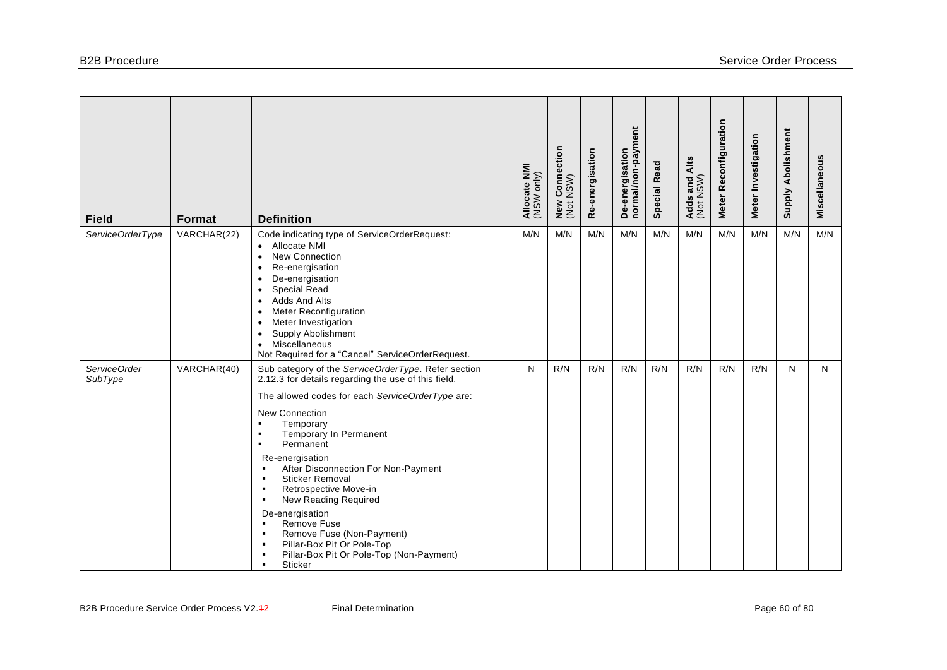| <b>Field</b>            | Format      | <b>Definition</b>                                                                                                                                                                                                                                                                                                                                                                                                                                                                                                                                                                                                                                                                                                                                            | Allocate NMI<br>(NSW only) | / Connection<br>NSW)<br>New <sub>1</sub> | Re-energisation | normal/non-payment<br>De-energisation | <b>Special Read</b> | Adds and Alts<br>(Not NSW) | Meter Reconfiguration | Meter Investigation | Supply Abolishment | Miscellaneous |
|-------------------------|-------------|--------------------------------------------------------------------------------------------------------------------------------------------------------------------------------------------------------------------------------------------------------------------------------------------------------------------------------------------------------------------------------------------------------------------------------------------------------------------------------------------------------------------------------------------------------------------------------------------------------------------------------------------------------------------------------------------------------------------------------------------------------------|----------------------------|------------------------------------------|-----------------|---------------------------------------|---------------------|----------------------------|-----------------------|---------------------|--------------------|---------------|
| ServiceOrderType        | VARCHAR(22) | Code indicating type of ServiceOrderRequest:<br>Allocate NMI<br>$\bullet$<br>New Connection<br>$\bullet$<br>Re-energisation<br>$\bullet$<br>De-energisation<br>$\bullet$<br><b>Special Read</b><br>$\bullet$<br>Adds And Alts<br>$\bullet$<br>Meter Reconfiguration<br>$\bullet$<br>Meter Investigation<br>$\bullet$<br>Supply Abolishment<br>$\bullet$<br>Miscellaneous<br>$\bullet$<br>Not Required for a "Cancel" ServiceOrderRequest.                                                                                                                                                                                                                                                                                                                    | M/N                        | M/N                                      | M/N             | M/N                                   | M/N                 | M/N                        | M/N                   | M/N                 | M/N                | M/N           |
| ServiceOrder<br>SubType | VARCHAR(40) | Sub category of the ServiceOrderType. Refer section<br>2.12.3 for details regarding the use of this field.<br>The allowed codes for each ServiceOrderType are:<br><b>New Connection</b><br>Temporary<br>$\blacksquare$<br>Temporary In Permanent<br>$\blacksquare$<br>Permanent<br>$\blacksquare$<br>Re-energisation<br>After Disconnection For Non-Payment<br>$\blacksquare$<br><b>Sticker Removal</b><br>$\blacksquare$<br>Retrospective Move-in<br>$\blacksquare$<br>New Reading Required<br>$\blacksquare$<br>De-energisation<br>Remove Fuse<br>$\blacksquare$<br>Remove Fuse (Non-Payment)<br>$\blacksquare$<br>Pillar-Box Pit Or Pole-Top<br>$\blacksquare$<br>Pillar-Box Pit Or Pole-Top (Non-Payment)<br>$\blacksquare$<br>Sticker<br>$\blacksquare$ | N                          | R/N                                      | R/N             | R/N                                   | R/N                 | R/N                        | R/N                   | R/N                 | N                  | N             |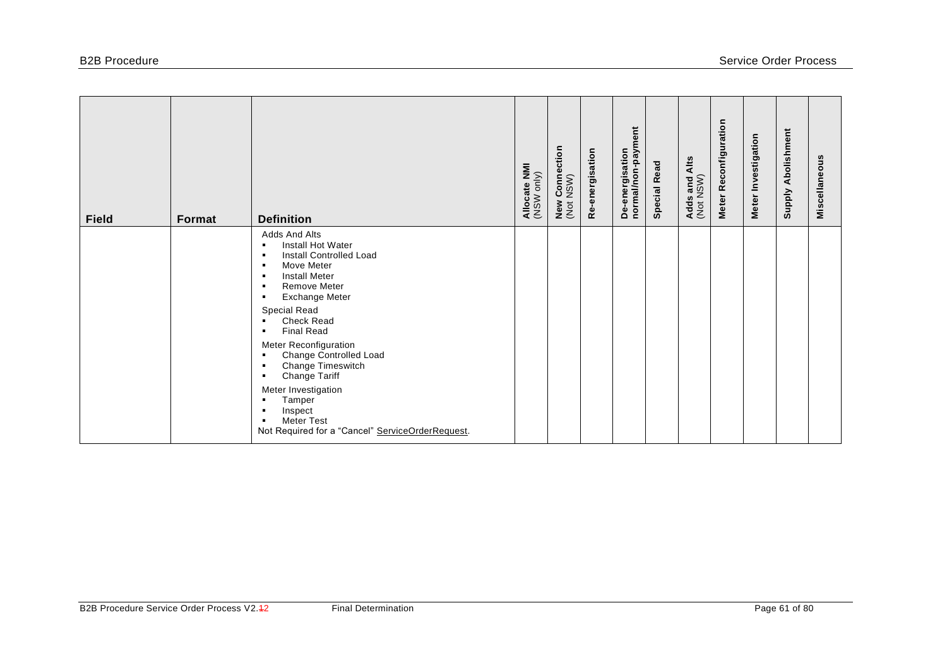| <b>Field</b> | Format | <b>Definition</b>                                                                                                                                              | Allocate NMI<br>(NSW only) | <b>New Connection</b><br>(Not NSW) | Re-energisation | De-energisation<br>normal/non-payment | <b>Special Read</b> | Alts<br>Adds and <i>I</i><br>(Not NSW) | Meter Reconfiguration | Meter Investigation | Abolishment<br>Supply | Miscellaneous |
|--------------|--------|----------------------------------------------------------------------------------------------------------------------------------------------------------------|----------------------------|------------------------------------|-----------------|---------------------------------------|---------------------|----------------------------------------|-----------------------|---------------------|-----------------------|---------------|
|              |        | Adds And Alts<br>Install Hot Water<br>$\blacksquare$<br>Install Controlled Load<br>Move Meter<br><b>Install Meter</b><br><b>Remove Meter</b><br>Exchange Meter |                            |                                    |                 |                                       |                     |                                        |                       |                     |                       |               |
|              |        | Special Read<br><b>Check Read</b><br><b>Final Read</b><br>Meter Reconfiguration                                                                                |                            |                                    |                 |                                       |                     |                                        |                       |                     |                       |               |
|              |        | Change Controlled Load<br>Change Timeswitch<br>Change Tariff                                                                                                   |                            |                                    |                 |                                       |                     |                                        |                       |                     |                       |               |
|              |        | Meter Investigation<br>Tamper<br>Inspect<br><b>Meter Test</b><br>Not Required for a "Cancel" ServiceOrderRequest.                                              |                            |                                    |                 |                                       |                     |                                        |                       |                     |                       |               |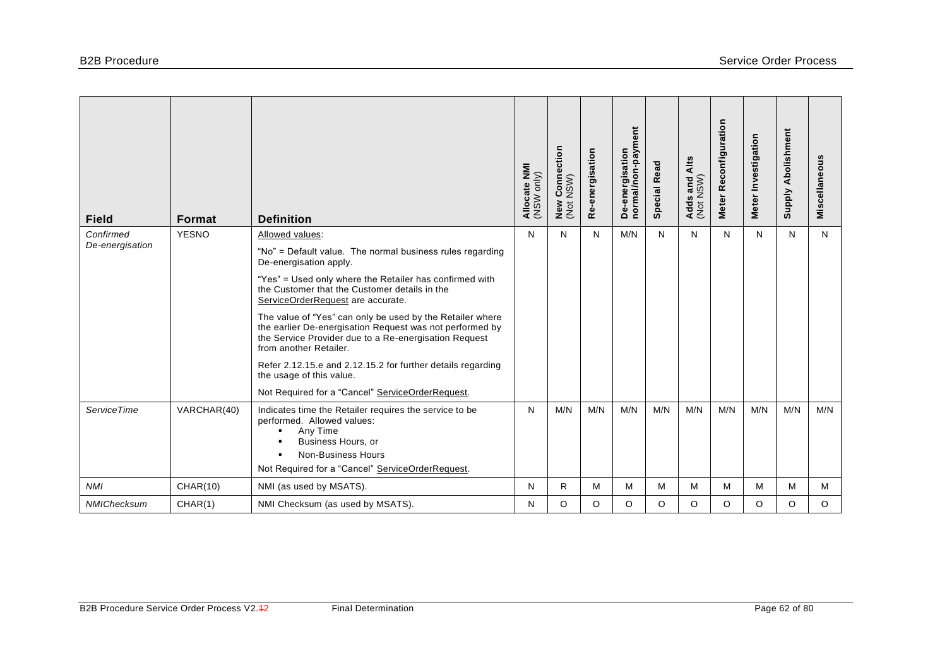| <b>Field</b>                 | <b>Format</b>   | <b>Definition</b>                                                                                                                                                                                        | Allocate NMI<br>(NSW only) | r Connection<br>NSW)<br>New<br>(Not | Re-energisation | De-energisation<br>normal/non-payment | <b>Special Read</b> | Alts<br>Adds and /<br>(Not NSW) | Reconfiguration<br>Meter | Meter Investigation | <b>Supply Abolishment</b> | Miscellaneous |
|------------------------------|-----------------|----------------------------------------------------------------------------------------------------------------------------------------------------------------------------------------------------------|----------------------------|-------------------------------------|-----------------|---------------------------------------|---------------------|---------------------------------|--------------------------|---------------------|---------------------------|---------------|
| Confirmed<br>De-energisation | <b>YESNO</b>    | Allowed values:                                                                                                                                                                                          | N                          | N                                   | N               | M/N                                   | N                   | N                               | N                        | N                   | N                         | N             |
|                              |                 | "No" = Default value. The normal business rules regarding<br>De-energisation apply.                                                                                                                      |                            |                                     |                 |                                       |                     |                                 |                          |                     |                           |               |
|                              |                 | "Yes" = Used only where the Retailer has confirmed with<br>the Customer that the Customer details in the<br>ServiceOrderRequest are accurate.                                                            |                            |                                     |                 |                                       |                     |                                 |                          |                     |                           |               |
|                              |                 | The value of "Yes" can only be used by the Retailer where<br>the earlier De-energisation Request was not performed by<br>the Service Provider due to a Re-energisation Request<br>from another Retailer. |                            |                                     |                 |                                       |                     |                                 |                          |                     |                           |               |
|                              |                 | Refer 2.12.15.e and 2.12.15.2 for further details regarding<br>the usage of this value.                                                                                                                  |                            |                                     |                 |                                       |                     |                                 |                          |                     |                           |               |
|                              |                 | Not Required for a "Cancel" ServiceOrderRequest.                                                                                                                                                         |                            |                                     |                 |                                       |                     |                                 |                          |                     |                           |               |
| <b>ServiceTime</b>           | VARCHAR(40)     | Indicates time the Retailer requires the service to be<br>performed. Allowed values:<br>Any Time<br>$\blacksquare$<br>Business Hours, or<br>٠<br><b>Non-Business Hours</b><br>$\blacksquare$             | N                          | M/N                                 | M/N             | M/N                                   | M/N                 | M/N                             | M/N                      | M/N                 | M/N                       | M/N           |
|                              |                 | Not Required for a "Cancel" ServiceOrderRequest.                                                                                                                                                         |                            |                                     |                 |                                       |                     |                                 |                          |                     |                           |               |
| <b>NMI</b>                   | <b>CHAR(10)</b> | NMI (as used by MSATS).                                                                                                                                                                                  | N                          | R                                   | M               | M                                     | M                   | M                               | M                        | M                   | M                         | M             |
| NMIChecksum                  | CHAR(1)         | NMI Checksum (as used by MSATS).                                                                                                                                                                         | N                          | O                                   | O               | O                                     | $\circ$             | O                               | O                        | O                   | O                         | $\circ$       |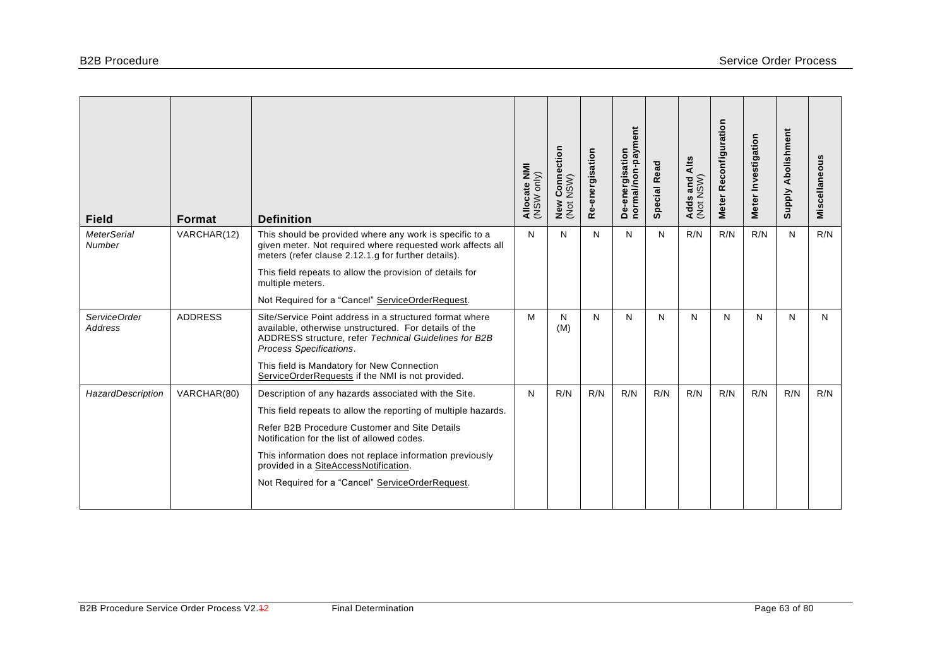| <b>Field</b>                        | <b>Format</b>  | <b>Definition</b>                                                                                                                                                                                    | Allocate NMI<br>(NSW only) | ection<br>$\mathop{\mathrm{Conn}}\limits_{\mathsf{N}\in\mathsf{N}\mathsf{N}}$<br>New<br>(Not | Re-energisation | De-energisation<br>normal/non-payment | <b>Special Read</b> | Alts<br>Adds and /<br>(Not NSW) | Reconfiguration<br><b>Meter</b> | Meter Investigation | <b>Supply Abolishment</b> | Miscellaneous |
|-------------------------------------|----------------|------------------------------------------------------------------------------------------------------------------------------------------------------------------------------------------------------|----------------------------|----------------------------------------------------------------------------------------------|-----------------|---------------------------------------|---------------------|---------------------------------|---------------------------------|---------------------|---------------------------|---------------|
| <b>MeterSerial</b><br><b>Number</b> | VARCHAR(12)    | This should be provided where any work is specific to a<br>given meter. Not required where requested work affects all<br>meters (refer clause 2.12.1.g for further details).                         | N                          | N                                                                                            | N               | N                                     | N                   | R/N                             | R/N                             | R/N                 | N                         | R/N           |
|                                     |                | This field repeats to allow the provision of details for<br>multiple meters.                                                                                                                         |                            |                                                                                              |                 |                                       |                     |                                 |                                 |                     |                           |               |
|                                     |                | Not Required for a "Cancel" ServiceOrderRequest.                                                                                                                                                     |                            |                                                                                              |                 |                                       |                     |                                 |                                 |                     |                           |               |
| ServiceOrder<br><b>Address</b>      | <b>ADDRESS</b> | Site/Service Point address in a structured format where<br>available, otherwise unstructured. For details of the<br>ADDRESS structure, refer Technical Guidelines for B2B<br>Process Specifications. | М                          | N<br>(M)                                                                                     | N               | N                                     | N                   | N                               | N                               | N                   | N                         | N             |
|                                     |                | This field is Mandatory for New Connection<br>ServiceOrderRequests if the NMI is not provided.                                                                                                       |                            |                                                                                              |                 |                                       |                     |                                 |                                 |                     |                           |               |
| HazardDescription                   | VARCHAR(80)    | Description of any hazards associated with the Site.                                                                                                                                                 | N                          | R/N                                                                                          | R/N             | R/N                                   | R/N                 | R/N                             | R/N                             | R/N                 | R/N                       | R/N           |
|                                     |                | This field repeats to allow the reporting of multiple hazards.                                                                                                                                       |                            |                                                                                              |                 |                                       |                     |                                 |                                 |                     |                           |               |
|                                     |                | Refer B2B Procedure Customer and Site Details<br>Notification for the list of allowed codes.                                                                                                         |                            |                                                                                              |                 |                                       |                     |                                 |                                 |                     |                           |               |
|                                     |                | This information does not replace information previously<br>provided in a SiteAccessNotification.                                                                                                    |                            |                                                                                              |                 |                                       |                     |                                 |                                 |                     |                           |               |
|                                     |                | Not Required for a "Cancel" ServiceOrderRequest.                                                                                                                                                     |                            |                                                                                              |                 |                                       |                     |                                 |                                 |                     |                           |               |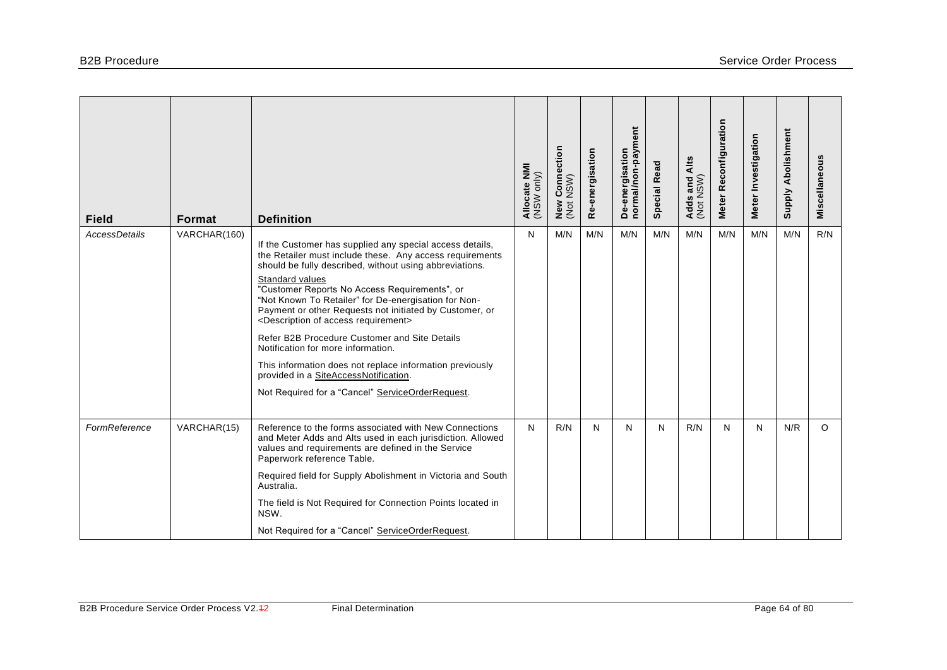| <b>Field</b>         | <b>Format</b> | <b>Definition</b>                                                                                                                                                                                                                                                                                                                                                                                                                                                                                                                                                                                                                                                                         | Allocate NMI<br>(NSW only) | / Connection<br>: NSW)<br>$N$<br>( $N$ ot | Re-energisation | De-energisation<br>normal/non-payment | <b>Special Read</b> | Adds and Alts<br>(Not NSW) | Meter Reconfiguration | Meter Investigation | Supply Abolishment | Miscellaneous |
|----------------------|---------------|-------------------------------------------------------------------------------------------------------------------------------------------------------------------------------------------------------------------------------------------------------------------------------------------------------------------------------------------------------------------------------------------------------------------------------------------------------------------------------------------------------------------------------------------------------------------------------------------------------------------------------------------------------------------------------------------|----------------------------|-------------------------------------------|-----------------|---------------------------------------|---------------------|----------------------------|-----------------------|---------------------|--------------------|---------------|
| <b>AccessDetails</b> | VARCHAR(160)  | If the Customer has supplied any special access details,<br>the Retailer must include these. Any access requirements<br>should be fully described, without using abbreviations.<br>Standard values<br>"Customer Reports No Access Requirements", or<br>"Not Known To Retailer" for De-energisation for Non-<br>Payment or other Requests not initiated by Customer, or<br><description access="" of="" requirement=""><br/>Refer B2B Procedure Customer and Site Details<br/>Notification for more information.<br/>This information does not replace information previously<br/>provided in a SiteAccessNotification.<br/>Not Required for a "Cancel" ServiceOrderRequest.</description> | N                          | M/N                                       | M/N             | M/N                                   | M/N                 | M/N                        | M/N                   | M/N                 | M/N                | R/N           |
| FormReference        | VARCHAR(15)   | Reference to the forms associated with New Connections<br>and Meter Adds and Alts used in each jurisdiction. Allowed<br>values and requirements are defined in the Service<br>Paperwork reference Table.<br>Required field for Supply Abolishment in Victoria and South<br>Australia.<br>The field is Not Required for Connection Points located in<br>NSW.<br>Not Required for a "Cancel" ServiceOrderRequest.                                                                                                                                                                                                                                                                           | N                          | R/N                                       | N               | N                                     | N                   | R/N                        | N                     | N                   | N/R                | $\circ$       |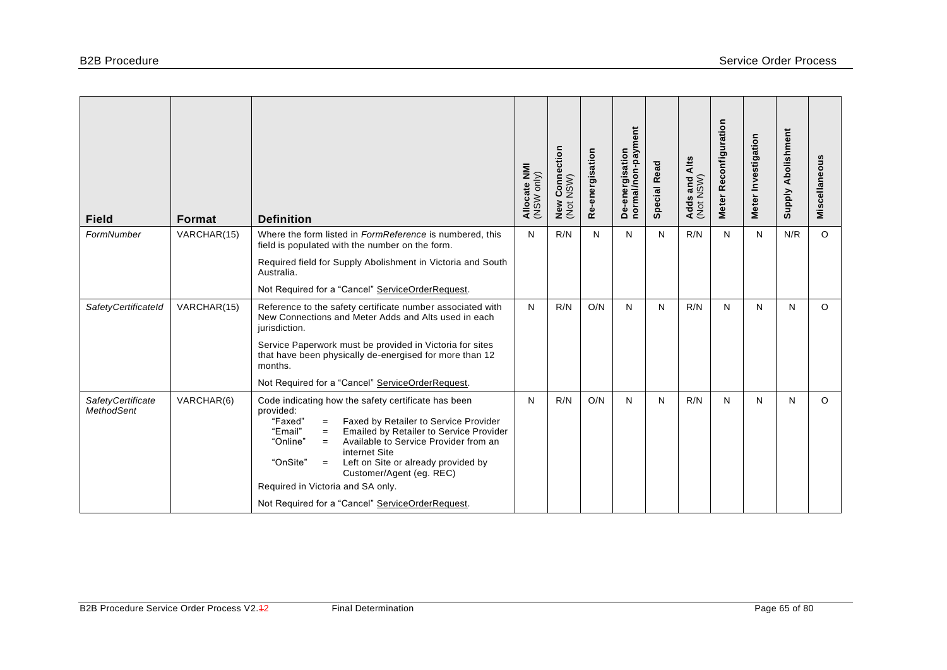| <b>Field</b>                                  | Format      | <b>Definition</b>                                                                                                                                                                                                                                                                                                                                           | Allocate NMI<br>(NSW only) | r Connection<br>NSW)<br>New<br>(Not | Re-energisation | De-energisation<br>normal/non-payment | <b>Special Read</b> | Adds and Alts<br>(Not NSW) | Meter Reconfiguration | Meter Investigation | Supply Abolishment | Miscellaneous |
|-----------------------------------------------|-------------|-------------------------------------------------------------------------------------------------------------------------------------------------------------------------------------------------------------------------------------------------------------------------------------------------------------------------------------------------------------|----------------------------|-------------------------------------|-----------------|---------------------------------------|---------------------|----------------------------|-----------------------|---------------------|--------------------|---------------|
| FormNumber                                    | VARCHAR(15) | Where the form listed in FormReference is numbered, this<br>field is populated with the number on the form.                                                                                                                                                                                                                                                 | N                          | R/N                                 | N               | N                                     | N                   | R/N                        | N                     | N                   | N/R                | $\circ$       |
|                                               |             | Required field for Supply Abolishment in Victoria and South<br>Australia.                                                                                                                                                                                                                                                                                   |                            |                                     |                 |                                       |                     |                            |                       |                     |                    |               |
|                                               |             | Not Required for a "Cancel" ServiceOrderRequest.                                                                                                                                                                                                                                                                                                            |                            |                                     |                 |                                       |                     |                            |                       |                     |                    |               |
| SafetyCertificateId                           | VARCHAR(15) | Reference to the safety certificate number associated with<br>New Connections and Meter Adds and Alts used in each<br>jurisdiction.                                                                                                                                                                                                                         | N                          | R/N                                 | O/N             | N                                     | N                   | R/N                        | N                     | N                   | N                  | $\circ$       |
|                                               |             | Service Paperwork must be provided in Victoria for sites<br>that have been physically de-energised for more than 12<br>months.                                                                                                                                                                                                                              |                            |                                     |                 |                                       |                     |                            |                       |                     |                    |               |
|                                               |             | Not Required for a "Cancel" ServiceOrderRequest.                                                                                                                                                                                                                                                                                                            |                            |                                     |                 |                                       |                     |                            |                       |                     |                    |               |
| <b>SafetyCertificate</b><br><b>MethodSent</b> | VARCHAR(6)  | Code indicating how the safety certificate has been<br>provided:<br>"Faxed"<br>Faxed by Retailer to Service Provider<br>$=$<br>"Email"<br>Emailed by Retailer to Service Provider<br>$=$<br>"Online"<br>Available to Service Provider from an<br>$=$<br>internet Site<br>"OnSite"<br>Left on Site or already provided by<br>$=$<br>Customer/Agent (eg. REC) | N                          | R/N                                 | O/N             | N                                     | N                   | R/N                        | N                     | N                   | N                  | $\Omega$      |
|                                               |             | Required in Victoria and SA only.                                                                                                                                                                                                                                                                                                                           |                            |                                     |                 |                                       |                     |                            |                       |                     |                    |               |
|                                               |             | Not Required for a "Cancel" ServiceOrderRequest.                                                                                                                                                                                                                                                                                                            |                            |                                     |                 |                                       |                     |                            |                       |                     |                    |               |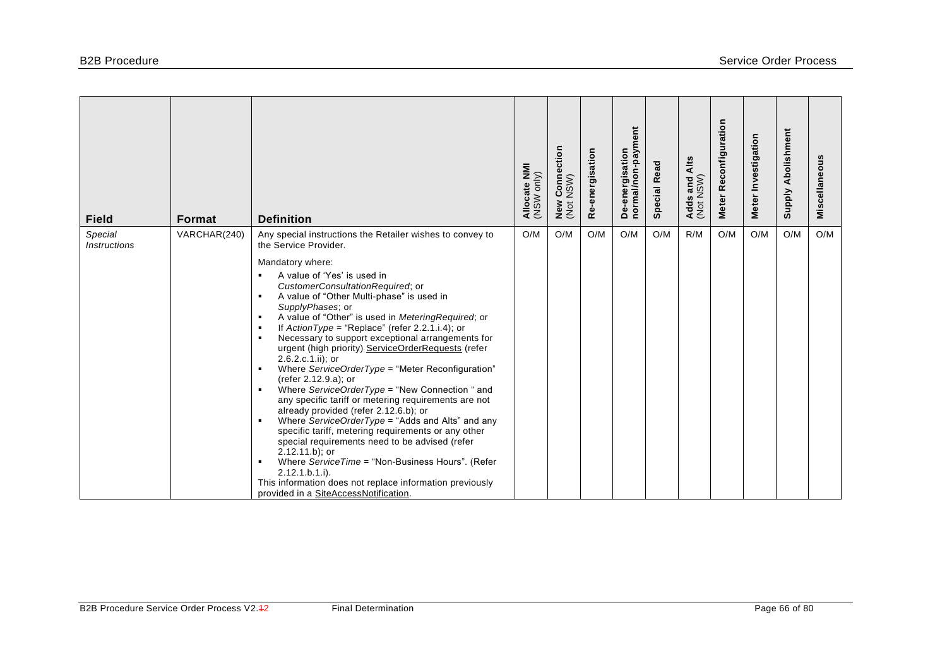| <b>Field</b>                          | <b>Format</b> | <b>Definition</b>                                                                                                                                                                                                                                                                                                                                                                                                                                                                                                                                                                                                                                                                                                                                                                                                                                                                                                                                                                                                                                                                                                                                                                                                                       | Allocate NMI<br>(NSW only) | ction<br>Conned<br>NSW)<br>New<br>(Not | Re-energisation | ent<br>De-energisation<br>normal/non-paym | <b>Special Read</b> | Alts<br>Adds and /<br>(Not NSW) | Reconfiguration<br>Meter | Meter Investigation | Abolishment<br><b>Supply</b> | Miscellaneous |
|---------------------------------------|---------------|-----------------------------------------------------------------------------------------------------------------------------------------------------------------------------------------------------------------------------------------------------------------------------------------------------------------------------------------------------------------------------------------------------------------------------------------------------------------------------------------------------------------------------------------------------------------------------------------------------------------------------------------------------------------------------------------------------------------------------------------------------------------------------------------------------------------------------------------------------------------------------------------------------------------------------------------------------------------------------------------------------------------------------------------------------------------------------------------------------------------------------------------------------------------------------------------------------------------------------------------|----------------------------|----------------------------------------|-----------------|-------------------------------------------|---------------------|---------------------------------|--------------------------|---------------------|------------------------------|---------------|
| Special<br><i><b>Instructions</b></i> | VARCHAR(240)  | Any special instructions the Retailer wishes to convey to<br>the Service Provider.<br>Mandatory where:<br>A value of 'Yes' is used in<br>$\blacksquare$<br>CustomerConsultationRequired; or<br>A value of "Other Multi-phase" is used in<br>$\blacksquare$<br>SupplyPhases; or<br>A value of "Other" is used in MeteringRequired; or<br>$\blacksquare$<br>If $ActionType = "Replace"$ (refer 2.2.1.i.4); or<br>$\blacksquare$<br>Necessary to support exceptional arrangements for<br>٠<br>urgent (high priority) ServiceOrderRequests (refer<br>2.6.2.c.1.ii); or<br>Where ServiceOrderType = "Meter Reconfiguration"<br>$\blacksquare$<br>(refer 2.12.9.a); or<br>Where ServiceOrderType = "New Connection " and<br>$\blacksquare$<br>any specific tariff or metering requirements are not<br>already provided (refer 2.12.6.b); or<br>Where ServiceOrderType = "Adds and Alts" and any<br>$\blacksquare$<br>specific tariff, metering requirements or any other<br>special requirements need to be advised (refer<br>$2.12.11.b$ ; or<br>Where ServiceTime = "Non-Business Hours". (Refer<br>$\blacksquare$<br>$2.12.1.b.1.i$ .<br>This information does not replace information previously<br>provided in a SiteAccessNotification. | O/M                        | O/M                                    | O/M             | O/M                                       | O/M                 | R/M                             | O/M                      | O/M                 | O/M                          | O/M           |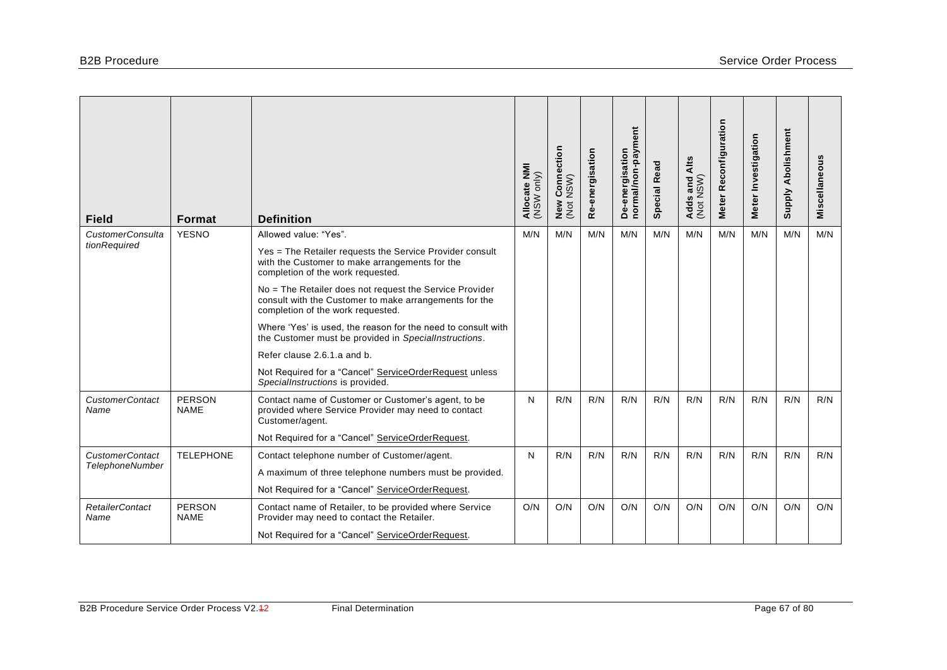| <b>Field</b>                   | Format                       | <b>Definition</b>                                                                                                                                      | Allocate NMI<br>(NSW only) | / Connection<br>: NSW)<br>New<br>(Not | Re-energisation | ent<br>normal/non-paym<br>De-energisation | <b>Special Read</b> | Alts<br>Adds and /<br>(Not NSW) | Meter Reconfiguration | Meter Investigation | <b>Supply Abolishment</b> | Miscellaneous |
|--------------------------------|------------------------------|--------------------------------------------------------------------------------------------------------------------------------------------------------|----------------------------|---------------------------------------|-----------------|-------------------------------------------|---------------------|---------------------------------|-----------------------|---------------------|---------------------------|---------------|
| <b>CustomerConsulta</b>        | <b>YESNO</b>                 | Allowed value: "Yes".                                                                                                                                  | M/N                        | M/N                                   | M/N             | M/N                                       | M/N                 | M/N                             | M/N                   | M/N                 | M/N                       | M/N           |
| tionRequired                   |                              | Yes = The Retailer requests the Service Provider consult<br>with the Customer to make arrangements for the<br>completion of the work requested.        |                            |                                       |                 |                                           |                     |                                 |                       |                     |                           |               |
|                                |                              | No = The Retailer does not request the Service Provider<br>consult with the Customer to make arrangements for the<br>completion of the work requested. |                            |                                       |                 |                                           |                     |                                 |                       |                     |                           |               |
|                                |                              | Where 'Yes' is used, the reason for the need to consult with<br>the Customer must be provided in SpecialInstructions.                                  |                            |                                       |                 |                                           |                     |                                 |                       |                     |                           |               |
|                                |                              | Refer clause 2.6.1.a and b.                                                                                                                            |                            |                                       |                 |                                           |                     |                                 |                       |                     |                           |               |
|                                |                              | Not Required for a "Cancel" ServiceOrderRequest unless<br>SpecialInstructions is provided.                                                             |                            |                                       |                 |                                           |                     |                                 |                       |                     |                           |               |
| <b>CustomerContact</b><br>Name | <b>PERSON</b><br><b>NAME</b> | Contact name of Customer or Customer's agent, to be<br>provided where Service Provider may need to contact<br>Customer/agent.                          | N                          | R/N                                   | R/N             | R/N                                       | R/N                 | R/N                             | R/N                   | R/N                 | R/N                       | R/N           |
|                                |                              | Not Required for a "Cancel" ServiceOrderRequest.                                                                                                       |                            |                                       |                 |                                           |                     |                                 |                       |                     |                           |               |
| <b>CustomerContact</b>         | <b>TELEPHONE</b>             | Contact telephone number of Customer/agent.                                                                                                            | N                          | R/N                                   | R/N             | R/N                                       | R/N                 | R/N                             | R/N                   | R/N                 | R/N                       | R/N           |
| <b>TelephoneNumber</b>         |                              | A maximum of three telephone numbers must be provided.                                                                                                 |                            |                                       |                 |                                           |                     |                                 |                       |                     |                           |               |
|                                |                              | Not Required for a "Cancel" ServiceOrderRequest.                                                                                                       |                            |                                       |                 |                                           |                     |                                 |                       |                     |                           |               |
| <b>RetailerContact</b><br>Name | <b>PERSON</b><br><b>NAME</b> | Contact name of Retailer, to be provided where Service<br>Provider may need to contact the Retailer.                                                   | O/N                        | O/N                                   | O/N             | O/N                                       | O/N                 | O/N                             | O/N                   | O/N                 | O/N                       | O/N           |
|                                |                              | Not Required for a "Cancel" ServiceOrderRequest.                                                                                                       |                            |                                       |                 |                                           |                     |                                 |                       |                     |                           |               |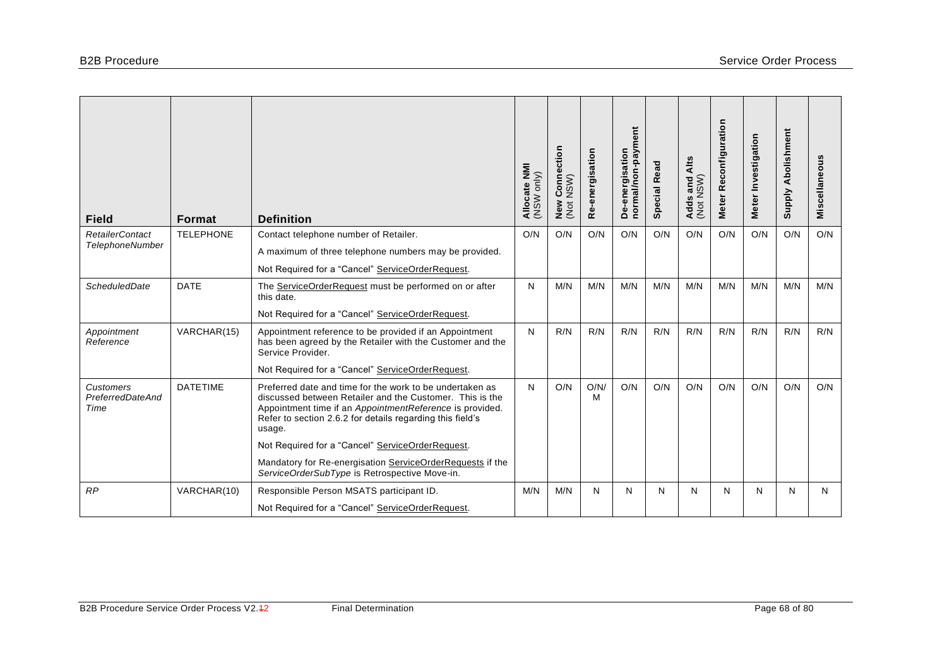| <b>Field</b>                                     | <b>Format</b>    | <b>Definition</b>                                                                                                                                                                                                                                       | Allocate NMI<br>only)<br>WSW | ction<br>$\tilde{\mathbf{a}}$<br>$\mathop{\mathrm{Conv}}\limits_{\mathsf{N}\in\mathsf{N}}$<br>New<br>(Not | Re-energisation | De-energisation<br>normal/non-payment | <b>Special Read</b> | Alts<br>Adds and A<br>(Not NSW) | Meter Reconfiguration | Meter Investigation | Abolishment<br><b>Supply</b> | Miscellaneous |
|--------------------------------------------------|------------------|---------------------------------------------------------------------------------------------------------------------------------------------------------------------------------------------------------------------------------------------------------|------------------------------|-----------------------------------------------------------------------------------------------------------|-----------------|---------------------------------------|---------------------|---------------------------------|-----------------------|---------------------|------------------------------|---------------|
| <b>RetailerContact</b><br><b>TelephoneNumber</b> | <b>TELEPHONE</b> | Contact telephone number of Retailer.                                                                                                                                                                                                                   | O/N                          | O/N                                                                                                       | O/N             | O/N                                   | O/N                 | O/N                             | O/N                   | O/N                 | O/N                          | O/N           |
|                                                  |                  | A maximum of three telephone numbers may be provided.                                                                                                                                                                                                   |                              |                                                                                                           |                 |                                       |                     |                                 |                       |                     |                              |               |
|                                                  |                  | Not Required for a "Cancel" ServiceOrderRequest.                                                                                                                                                                                                        |                              |                                                                                                           |                 |                                       |                     |                                 |                       |                     |                              |               |
| <b>ScheduledDate</b>                             | <b>DATE</b>      | The ServiceOrderRequest must be performed on or after<br>this date.                                                                                                                                                                                     | N                            | M/N                                                                                                       | M/N             | M/N                                   | M/N                 | M/N                             | M/N                   | M/N                 | M/N                          | M/N           |
|                                                  |                  | Not Required for a "Cancel" ServiceOrderRequest.                                                                                                                                                                                                        |                              |                                                                                                           |                 |                                       |                     |                                 |                       |                     |                              |               |
| Appointment<br>Reference                         | VARCHAR(15)      | Appointment reference to be provided if an Appointment<br>has been agreed by the Retailer with the Customer and the<br>Service Provider.                                                                                                                | N                            | R/N                                                                                                       | R/N             | R/N                                   | R/N                 | R/N                             | R/N                   | R/N                 | R/N                          | R/N           |
|                                                  |                  | Not Required for a "Cancel" ServiceOrderRequest.                                                                                                                                                                                                        |                              |                                                                                                           |                 |                                       |                     |                                 |                       |                     |                              |               |
| Customers<br>PreferredDateAnd<br>Time            | <b>DATETIME</b>  | Preferred date and time for the work to be undertaken as<br>discussed between Retailer and the Customer. This is the<br>Appointment time if an AppointmentReference is provided.<br>Refer to section 2.6.2 for details regarding this field's<br>usage. | N                            | O/N                                                                                                       | O/N/<br>м       | O/N                                   | O/N                 | O/N                             | O/N                   | O/N                 | O/N                          | O/N           |
|                                                  |                  | Not Required for a "Cancel" ServiceOrderRequest.                                                                                                                                                                                                        |                              |                                                                                                           |                 |                                       |                     |                                 |                       |                     |                              |               |
|                                                  |                  | Mandatory for Re-energisation ServiceOrderRequests if the<br>ServiceOrderSubType is Retrospective Move-in.                                                                                                                                              |                              |                                                                                                           |                 |                                       |                     |                                 |                       |                     |                              |               |
| RP                                               | VARCHAR(10)      | Responsible Person MSATS participant ID.                                                                                                                                                                                                                | M/N                          | M/N                                                                                                       | N               | N                                     | N                   | N                               | N                     | N                   | N                            | N             |
|                                                  |                  | Not Required for a "Cancel" ServiceOrderRequest.                                                                                                                                                                                                        |                              |                                                                                                           |                 |                                       |                     |                                 |                       |                     |                              |               |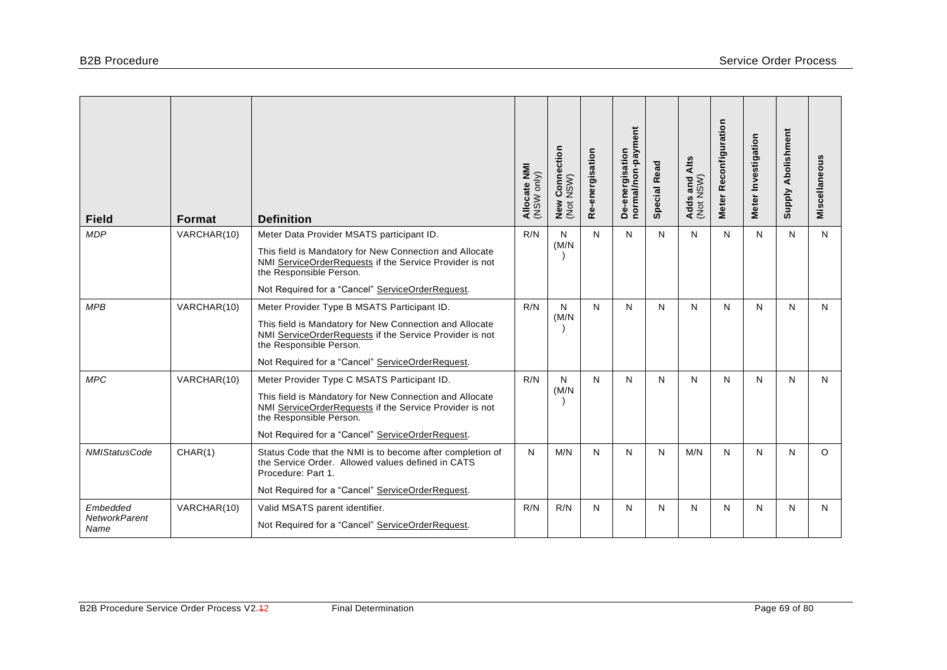| <b>Field</b>                             | <b>Format</b> | <b>Definition</b>                                                                                                                                                                                                                                | Allocate NMI<br>(NSW only) | r Connection<br>NSW)<br>New<br>(Not | Re-energisation | De-energisation<br>normal/non-payment | <b>Special Read</b> | Alts<br>Adds and /<br>(Not NSW) | Meter Reconfiguration | Meter Investigation | <b>Supply Abolishment</b> | Miscellaneous |
|------------------------------------------|---------------|--------------------------------------------------------------------------------------------------------------------------------------------------------------------------------------------------------------------------------------------------|----------------------------|-------------------------------------|-----------------|---------------------------------------|---------------------|---------------------------------|-----------------------|---------------------|---------------------------|---------------|
| <b>MDP</b>                               | VARCHAR(10)   | Meter Data Provider MSATS participant ID.<br>This field is Mandatory for New Connection and Allocate<br>NMI ServiceOrderRequests if the Service Provider is not<br>the Responsible Person.                                                       | R/N                        | $\mathsf{N}$<br>(M/N)               | $\mathsf{N}$    | N                                     | N                   | N                               | N                     | N                   | $\mathsf{N}$              | N             |
|                                          |               | Not Required for a "Cancel" ServiceOrderRequest.                                                                                                                                                                                                 |                            |                                     |                 |                                       |                     |                                 |                       |                     |                           |               |
| <b>MPB</b>                               | VARCHAR(10)   | Meter Provider Type B MSATS Participant ID.<br>This field is Mandatory for New Connection and Allocate<br>NMI ServiceOrderRequests if the Service Provider is not<br>the Responsible Person.<br>Not Required for a "Cancel" ServiceOrderRequest. | R/N                        | N<br>(M/N)                          | N               | N                                     | N                   | N                               | N                     | N                   | N                         | N             |
| <b>MPC</b>                               | VARCHAR(10)   | Meter Provider Type C MSATS Participant ID.<br>This field is Mandatory for New Connection and Allocate<br>NMI ServiceOrderRequests if the Service Provider is not<br>the Responsible Person.<br>Not Required for a "Cancel" ServiceOrderRequest. | R/N                        | N<br>(M/N)                          | N               | $\mathsf{N}$                          | N                   | N                               | N                     | N                   | N                         | N             |
| <b>NMIStatusCode</b>                     | CHAR(1)       | Status Code that the NMI is to become after completion of<br>the Service Order. Allowed values defined in CATS<br>Procedure: Part 1.<br>Not Required for a "Cancel" ServiceOrderRequest.                                                         | N                          | M/N                                 | N               | $\mathsf{N}$                          | N                   | M/N                             | N                     | N                   | N                         | $\circ$       |
| Embedded<br><b>NetworkParent</b><br>Name | VARCHAR(10)   | Valid MSATS parent identifier.<br>Not Required for a "Cancel" ServiceOrderRequest.                                                                                                                                                               | R/N                        | R/N                                 | N               | N                                     | N                   | N                               | N                     | N                   | N                         | N             |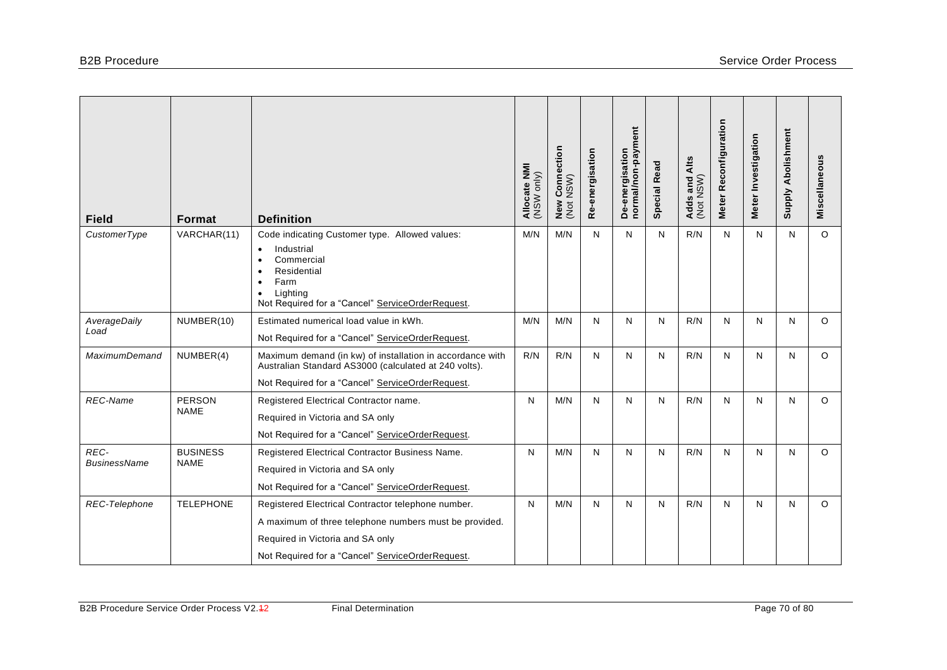| <b>Field</b>                | Format                         | <b>Definition</b>                                                                                                                                                                                                     | Allocate NMI<br>(NSW only) | Connection<br>NSW)<br>New<br>(Not | Re-energisation | De-energisation<br>normal/non-payment | <b>Special Read</b> | Alts<br>Adds and /<br>(Not NSW) | Meter Reconfiguration | Meter Investigation | <b>Supply Abolishment</b> | Miscellaneous |
|-----------------------------|--------------------------------|-----------------------------------------------------------------------------------------------------------------------------------------------------------------------------------------------------------------------|----------------------------|-----------------------------------|-----------------|---------------------------------------|---------------------|---------------------------------|-----------------------|---------------------|---------------------------|---------------|
| CustomerType                | VARCHAR(11)                    | Code indicating Customer type. Allowed values:<br>Industrial<br>$\bullet$<br>Commercial<br>$\bullet$<br>Residential<br>Farm<br>$\bullet$<br>Lighting<br>$\bullet$<br>Not Required for a "Cancel" ServiceOrderRequest. | M/N                        | M/N                               | N               | N                                     | N                   | R/N                             | N                     | N                   | N                         | $\circ$       |
| AverageDaily<br>Load        | NUMBER(10)                     | Estimated numerical load value in kWh.<br>Not Required for a "Cancel" ServiceOrderRequest.                                                                                                                            | M/N                        | M/N                               | N               | N                                     | N                   | R/N                             | N                     | N                   | N                         | $\circ$       |
| <b>MaximumDemand</b>        | NUMBER(4)                      | Maximum demand (in kw) of installation in accordance with<br>Australian Standard AS3000 (calculated at 240 volts).<br>Not Required for a "Cancel" ServiceOrderRequest.                                                | R/N                        | R/N                               | N               | N                                     | N                   | R/N                             | N                     | N                   | N                         | $\circ$       |
| <b>REC-Name</b>             | <b>PERSON</b><br><b>NAME</b>   | Registered Electrical Contractor name.<br>Required in Victoria and SA only<br>Not Required for a "Cancel" ServiceOrderRequest.                                                                                        | N                          | M/N                               | N               | N                                     | N                   | R/N                             | N                     | N                   | N                         | $\circ$       |
| REC-<br><b>BusinessName</b> | <b>BUSINESS</b><br><b>NAME</b> | Registered Electrical Contractor Business Name.<br>Required in Victoria and SA only<br>Not Required for a "Cancel" ServiceOrderRequest.                                                                               | N                          | M/N                               | N               | N                                     | N                   | R/N                             | N                     | N                   | N                         | $\circ$       |
| REC-Telephone               | <b>TELEPHONE</b>               | Registered Electrical Contractor telephone number.<br>A maximum of three telephone numbers must be provided.<br>Required in Victoria and SA only<br>Not Required for a "Cancel" ServiceOrderRequest.                  | N                          | M/N                               | N               | $\mathsf{N}$                          | N                   | R/N                             | N                     | N                   | N                         | $\circ$       |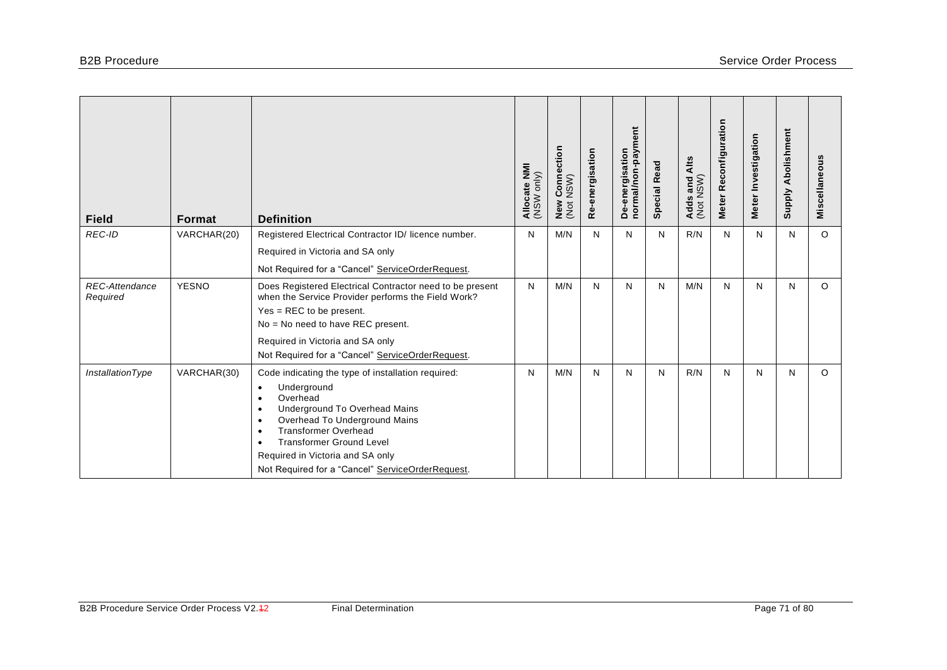| <b>Field</b>                      | <b>Format</b> | <b>Definition</b>                                                                                                                                                                                                                                                                                                                                                                       | Allocate NMI<br>(NSW only) | ction<br>Conned<br>NSW)<br>New<br>(Not | Re-energisation | ent<br>normal/non-paym<br>De-energisation | <b>Special Read</b> | Alts<br>Adds and /<br>(Not NSW) | Reconfiguration<br><b>Meter</b> | Meter Investigation | Abolishment<br><b>Supply</b> | Miscellaneous |
|-----------------------------------|---------------|-----------------------------------------------------------------------------------------------------------------------------------------------------------------------------------------------------------------------------------------------------------------------------------------------------------------------------------------------------------------------------------------|----------------------------|----------------------------------------|-----------------|-------------------------------------------|---------------------|---------------------------------|---------------------------------|---------------------|------------------------------|---------------|
| REC-ID                            | VARCHAR(20)   | Registered Electrical Contractor ID/ licence number.                                                                                                                                                                                                                                                                                                                                    | N                          | M/N                                    | N               | $\mathsf{N}$                              | N                   | R/N                             | N                               | N                   | N                            | $\Omega$      |
|                                   |               | Required in Victoria and SA only                                                                                                                                                                                                                                                                                                                                                        |                            |                                        |                 |                                           |                     |                                 |                                 |                     |                              |               |
|                                   |               | Not Required for a "Cancel" ServiceOrderRequest.                                                                                                                                                                                                                                                                                                                                        |                            |                                        |                 |                                           |                     |                                 |                                 |                     |                              |               |
| <b>REC-Attendance</b><br>Required | <b>YESNO</b>  | Does Registered Electrical Contractor need to be present<br>when the Service Provider performs the Field Work?<br>$Yes = REC$ to be present.                                                                                                                                                                                                                                            | N                          | M/N                                    | N               | N                                         | N                   | M/N                             | N                               | N                   | N                            | $\circ$       |
|                                   |               | No = No need to have REC present.                                                                                                                                                                                                                                                                                                                                                       |                            |                                        |                 |                                           |                     |                                 |                                 |                     |                              |               |
|                                   |               | Required in Victoria and SA only<br>Not Required for a "Cancel" ServiceOrderRequest.                                                                                                                                                                                                                                                                                                    |                            |                                        |                 |                                           |                     |                                 |                                 |                     |                              |               |
| <b>InstallationType</b>           | VARCHAR(30)   | Code indicating the type of installation required:<br>Underground<br>$\bullet$<br>Overhead<br>$\bullet$<br>Underground To Overhead Mains<br>$\bullet$<br>Overhead To Underground Mains<br>$\bullet$<br><b>Transformer Overhead</b><br>$\bullet$<br><b>Transformer Ground Level</b><br>$\bullet$<br>Required in Victoria and SA only<br>Not Required for a "Cancel" ServiceOrderRequest. | N                          | M/N                                    | N               | N                                         | N                   | R/N                             | N                               | N                   | N                            | $\circ$       |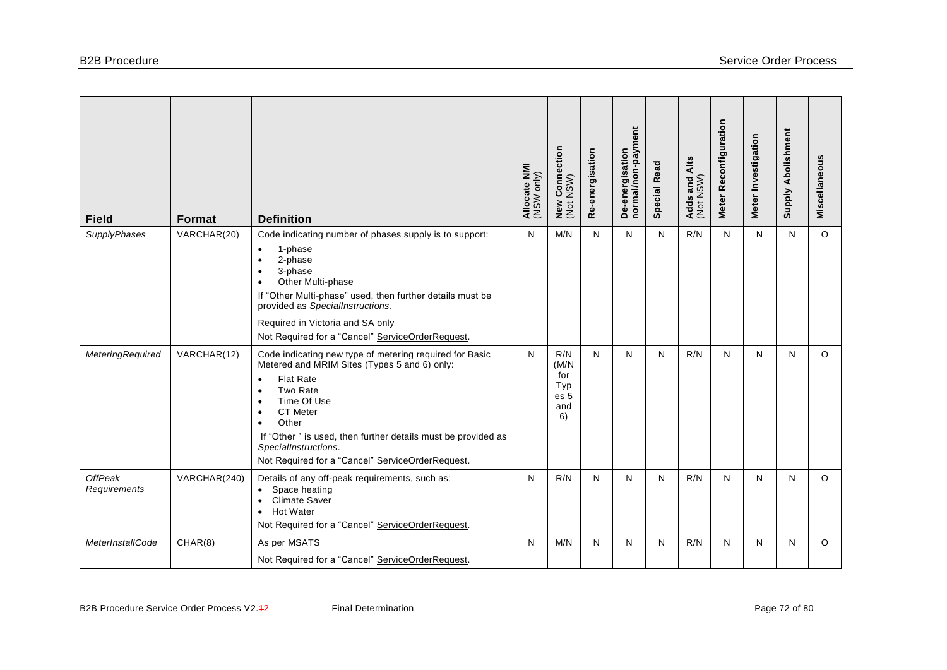| <b>Field</b>                   | Format       | <b>Definition</b>                                                                                                                                                                                                                                                                                                                                                                  | Allocate NMI<br>(NSW only) | / Connection<br>NSW)<br>New<br>(Not             | Re-energisation | normal/non-payment<br>De-energisation | <b>Special Read</b> | Alts<br>Adds and /<br>(Not NSW) | Meter Reconfiguration | Meter Investigation | <b>Supply Abolishment</b> | Miscellaneous |
|--------------------------------|--------------|------------------------------------------------------------------------------------------------------------------------------------------------------------------------------------------------------------------------------------------------------------------------------------------------------------------------------------------------------------------------------------|----------------------------|-------------------------------------------------|-----------------|---------------------------------------|---------------------|---------------------------------|-----------------------|---------------------|---------------------------|---------------|
| SupplyPhases                   | VARCHAR(20)  | Code indicating number of phases supply is to support:<br>1-phase<br>$\bullet$<br>2-phase<br>$\bullet$<br>3-phase<br>$\bullet$<br>Other Multi-phase<br>$\bullet$<br>If "Other Multi-phase" used, then further details must be<br>provided as SpecialInstructions.<br>Required in Victoria and SA only<br>Not Required for a "Cancel" ServiceOrderRequest.                          | N                          | M/N                                             | N               | $\mathsf{N}$                          | N                   | R/N                             | N                     | N                   | $\mathsf{N}$              | $\circ$       |
| <b>MeteringRequired</b>        | VARCHAR(12)  | Code indicating new type of metering required for Basic<br>Metered and MRIM Sites (Types 5 and 6) only:<br><b>Flat Rate</b><br>$\bullet$<br>Two Rate<br>Time Of Use<br>$\bullet$<br><b>CT</b> Meter<br>$\bullet$<br>Other<br>$\bullet$<br>If "Other" is used, then further details must be provided as<br>SpecialInstructions.<br>Not Required for a "Cancel" ServiceOrderRequest. | N                          | R/N<br>(M/N)<br>for<br>Typ<br>es 5<br>and<br>6) | N               | N                                     | N                   | R/N                             | N                     | N                   | $\mathsf{N}$              | $\circ$       |
| <b>OffPeak</b><br>Requirements | VARCHAR(240) | Details of any off-peak requirements, such as:<br>Space heating<br><b>Climate Saver</b><br>$\bullet$<br><b>Hot Water</b><br>$\bullet$<br>Not Required for a "Cancel" ServiceOrderRequest.                                                                                                                                                                                          | N                          | R/N                                             | N               | N                                     | N                   | R/N                             | N                     | $\mathsf{N}$        | N                         | $\Omega$      |
| MeterInstallCode               | CHAR(8)      | As per MSATS<br>Not Required for a "Cancel" ServiceOrderRequest.                                                                                                                                                                                                                                                                                                                   | N                          | M/N                                             | N               | N                                     | N                   | R/N                             | N                     | N                   | N                         | $\circ$       |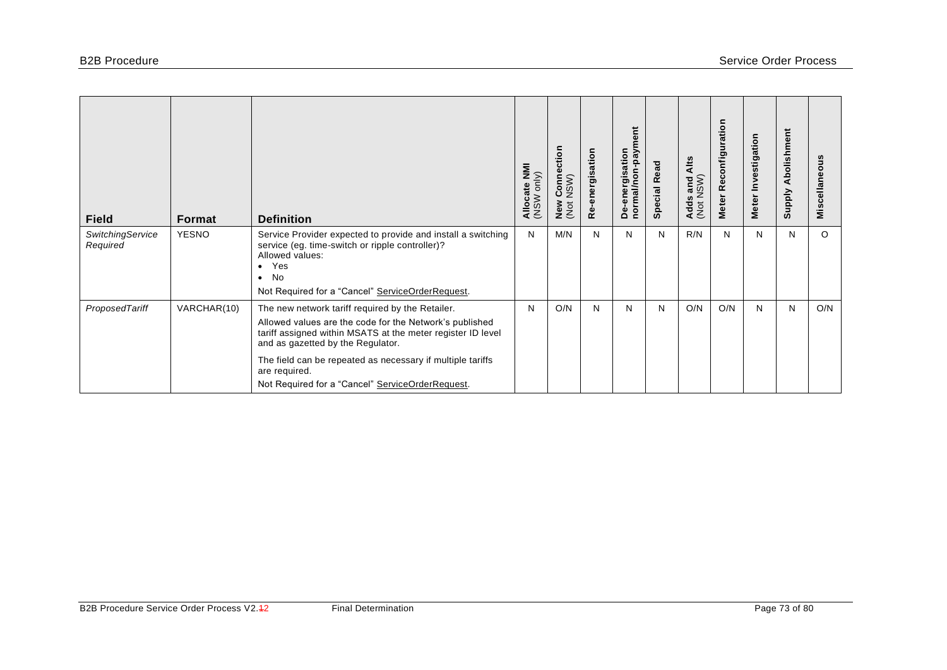| <b>Field</b>                 | <b>Format</b> | <b>Definition</b>                                                                                                                                                                                                                                                                                                                                  | Allocate NMI<br>(NSW only) | ction<br>Conne<br>NSW)<br>ပ<br>New<br>(Not | Re-energisation | ā<br>m/ed-<br>De-energisation<br>normal/non | <b>Special Read</b> | Alts<br>s and<br>NSW)<br><b>Adds</b><br>(Not | Reconfiguration<br><b>Meter</b> | Meter Investigation | Abolishment<br><b>Supply</b> | Miscellaneous |
|------------------------------|---------------|----------------------------------------------------------------------------------------------------------------------------------------------------------------------------------------------------------------------------------------------------------------------------------------------------------------------------------------------------|----------------------------|--------------------------------------------|-----------------|---------------------------------------------|---------------------|----------------------------------------------|---------------------------------|---------------------|------------------------------|---------------|
| SwitchingService<br>Required | <b>YESNO</b>  | Service Provider expected to provide and install a switching<br>service (eg. time-switch or ripple controller)?<br>Allowed values:<br>Yes<br>$\bullet$<br><b>No</b><br>$\bullet$<br>Not Required for a "Cancel" ServiceOrderRequest.                                                                                                               | N                          | M/N                                        | N               | N                                           | N                   | R/N                                          | N                               | N                   | N                            | $\circ$       |
| ProposedTariff               | VARCHAR(10)   | The new network tariff required by the Retailer.<br>Allowed values are the code for the Network's published<br>tariff assigned within MSATS at the meter register ID level<br>and as gazetted by the Regulator.<br>The field can be repeated as necessary if multiple tariffs<br>are required.<br>Not Required for a "Cancel" ServiceOrderRequest. | N                          | O/N                                        | N               | N                                           | N                   | O/N                                          | O/N                             | N                   | N                            | O/N           |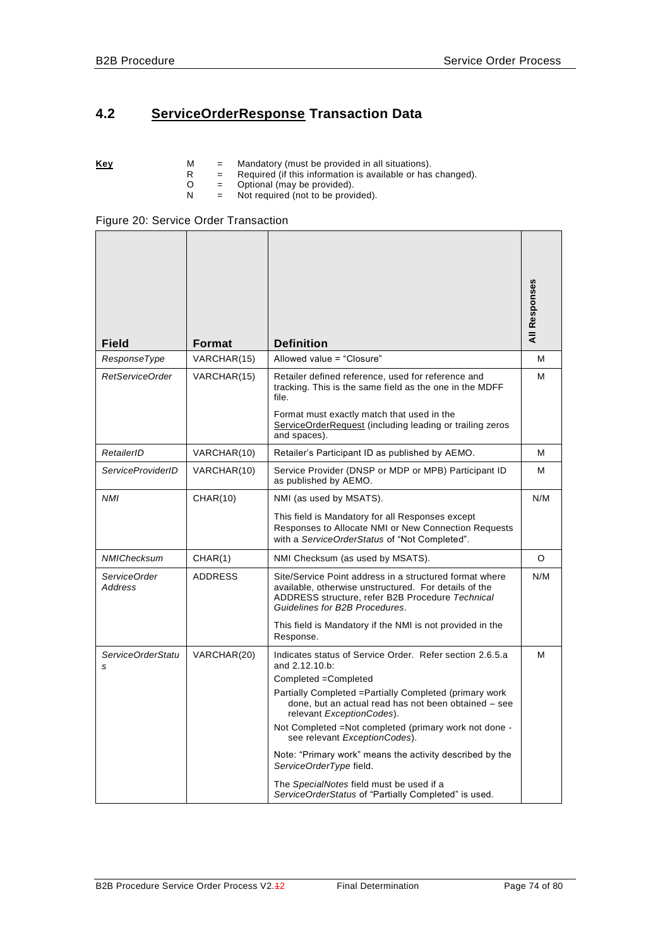# **4.2 ServiceOrderResponse Transaction Data**

|  | Kev |  |  | Mandatory (must be provided in all situations). |  |
|--|-----|--|--|-------------------------------------------------|--|
|--|-----|--|--|-------------------------------------------------|--|

- R = Required (if this information is available or has changed).
- O = Optional (may be provided).
- N = Not required (not to be provided).

| <b>Field</b>             | Format         | <b>Definition</b>                                                                                                                                                                                      | All Responses |
|--------------------------|----------------|--------------------------------------------------------------------------------------------------------------------------------------------------------------------------------------------------------|---------------|
| ResponseType             | VARCHAR(15)    | Allowed value = "Closure"                                                                                                                                                                              | м             |
| RetServiceOrder          | VARCHAR(15)    | Retailer defined reference, used for reference and<br>tracking. This is the same field as the one in the MDFF<br>file.                                                                                 | м             |
|                          |                | Format must exactly match that used in the<br>ServiceOrderRequest (including leading or trailing zeros<br>and spaces).                                                                                 |               |
| RetailerID               | VARCHAR(10)    | Retailer's Participant ID as published by AEMO.                                                                                                                                                        | M             |
| <b>ServiceProviderID</b> | VARCHAR(10)    | Service Provider (DNSP or MDP or MPB) Participant ID<br>as published by AEMO.                                                                                                                          | м             |
| <b>NMI</b>               | CHAR(10)       | NMI (as used by MSATS).                                                                                                                                                                                | N/M           |
|                          |                | This field is Mandatory for all Responses except<br>Responses to Allocate NMI or New Connection Requests<br>with a ServiceOrderStatus of "Not Completed".                                              |               |
| NMIChecksum              | CHAR(1)        | NMI Checksum (as used by MSATS).                                                                                                                                                                       | O             |
| ServiceOrder<br>Address  | <b>ADDRESS</b> | Site/Service Point address in a structured format where<br>available, otherwise unstructured. For details of the<br>ADDRESS structure, refer B2B Procedure Technical<br>Guidelines for B2B Procedures. | N/M           |
|                          |                | This field is Mandatory if the NMI is not provided in the<br>Response.                                                                                                                                 |               |
| ServiceOrderStatu        | VARCHAR(20)    | Indicates status of Service Order. Refer section 2.6.5.a                                                                                                                                               | м             |
| s                        |                | and 2.12.10.b:<br>Completed = Completed                                                                                                                                                                |               |
|                          |                | Partially Completed = Partially Completed (primary work<br>done, but an actual read has not been obtained - see<br>relevant ExceptionCodes).                                                           |               |
|                          |                | Not Completed = Not completed (primary work not done -<br>see relevant ExceptionCodes).                                                                                                                |               |
|                          |                | Note: "Primary work" means the activity described by the<br>ServiceOrderType field.                                                                                                                    |               |
|                          |                | The SpecialNotes field must be used if a<br>ServiceOrderStatus of "Partially Completed" is used.                                                                                                       |               |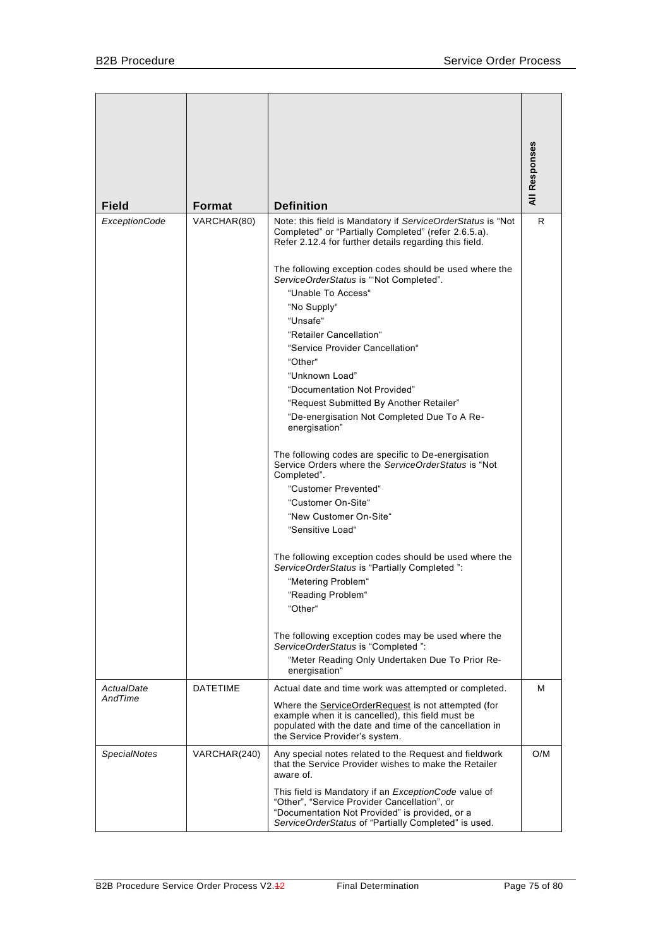| <b>Field</b>         | <b>Format</b>   | <b>Definition</b>                                                                                                                                                                                                     | All Responses |
|----------------------|-----------------|-----------------------------------------------------------------------------------------------------------------------------------------------------------------------------------------------------------------------|---------------|
| <b>ExceptionCode</b> | VARCHAR(80)     | Note: this field is Mandatory if ServiceOrderStatus is "Not                                                                                                                                                           | R.            |
|                      |                 | Completed" or "Partially Completed" (refer 2.6.5.a).<br>Refer 2.12.4 for further details regarding this field.                                                                                                        |               |
|                      |                 | The following exception codes should be used where the<br>ServiceOrderStatus is "'Not Completed".                                                                                                                     |               |
|                      |                 | "Unable To Access"                                                                                                                                                                                                    |               |
|                      |                 | "No Supply"                                                                                                                                                                                                           |               |
|                      |                 | "Unsafe"                                                                                                                                                                                                              |               |
|                      |                 | "Retailer Cancellation"                                                                                                                                                                                               |               |
|                      |                 | "Service Provider Cancellation"                                                                                                                                                                                       |               |
|                      |                 | "Other"                                                                                                                                                                                                               |               |
|                      |                 | "Unknown Load"                                                                                                                                                                                                        |               |
|                      |                 | "Documentation Not Provided"                                                                                                                                                                                          |               |
|                      |                 | "Request Submitted By Another Retailer"<br>"De-energisation Not Completed Due To A Re-                                                                                                                                |               |
|                      |                 | energisation"                                                                                                                                                                                                         |               |
|                      |                 | The following codes are specific to De-energisation<br>Service Orders where the ServiceOrderStatus is "Not<br>Completed".                                                                                             |               |
|                      |                 | "Customer Prevented"                                                                                                                                                                                                  |               |
|                      |                 | "Customer On-Site"                                                                                                                                                                                                    |               |
|                      |                 | "New Customer On-Site"                                                                                                                                                                                                |               |
|                      |                 | "Sensitive Load"                                                                                                                                                                                                      |               |
|                      |                 | The following exception codes should be used where the<br>ServiceOrderStatus is "Partially Completed":                                                                                                                |               |
|                      |                 | "Metering Problem"                                                                                                                                                                                                    |               |
|                      |                 | "Reading Problem"                                                                                                                                                                                                     |               |
|                      |                 | "Other"                                                                                                                                                                                                               |               |
|                      |                 | The following exception codes may be used where the<br>ServiceOrderStatus is "Completed":                                                                                                                             |               |
|                      |                 | "Meter Reading Only Undertaken Due To Prior Re-<br>energisation"                                                                                                                                                      |               |
| ActualDate           | <b>DATETIME</b> | Actual date and time work was attempted or completed.                                                                                                                                                                 | м             |
| AndTime              |                 | Where the <b>ServiceOrderRequest</b> is not attempted (for<br>example when it is cancelled), this field must be<br>populated with the date and time of the cancellation in<br>the Service Provider's system.          |               |
| <b>SpecialNotes</b>  | VARCHAR(240)    | Any special notes related to the Request and fieldwork<br>that the Service Provider wishes to make the Retailer<br>aware of.                                                                                          | O/M           |
|                      |                 | This field is Mandatory if an <i>ExceptionCode</i> value of<br>"Other", "Service Provider Cancellation", or<br>"Documentation Not Provided" is provided, or a<br>ServiceOrderStatus of "Partially Completed" is used. |               |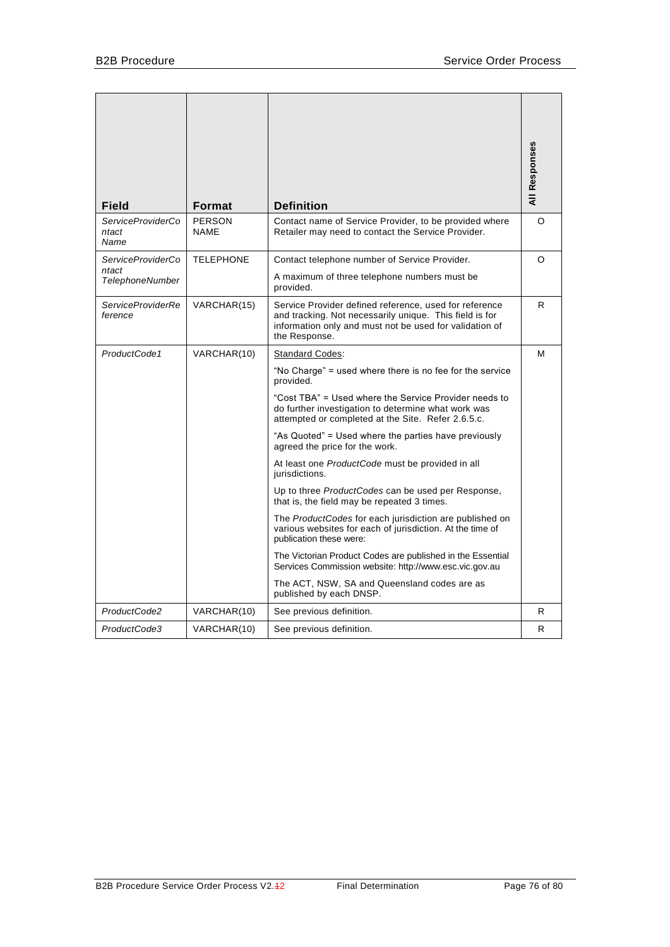| Field                                                | Format                       | <b>Definition</b>                                                                                                                                                                                                                                                                                                                                                                                                                                                                                                                                                                                                                                                                                                                                                                                                                                                                                       | <b>All Responses</b> |
|------------------------------------------------------|------------------------------|---------------------------------------------------------------------------------------------------------------------------------------------------------------------------------------------------------------------------------------------------------------------------------------------------------------------------------------------------------------------------------------------------------------------------------------------------------------------------------------------------------------------------------------------------------------------------------------------------------------------------------------------------------------------------------------------------------------------------------------------------------------------------------------------------------------------------------------------------------------------------------------------------------|----------------------|
| ServiceProviderCo<br>ntact<br>Name                   | <b>PERSON</b><br><b>NAME</b> | Contact name of Service Provider, to be provided where<br>Retailer may need to contact the Service Provider.                                                                                                                                                                                                                                                                                                                                                                                                                                                                                                                                                                                                                                                                                                                                                                                            | O                    |
| ServiceProviderCo<br>ntact<br><b>TelephoneNumber</b> | <b>TELEPHONE</b>             | Contact telephone number of Service Provider.<br>A maximum of three telephone numbers must be<br>provided.                                                                                                                                                                                                                                                                                                                                                                                                                                                                                                                                                                                                                                                                                                                                                                                              | O                    |
| <b>ServiceProviderRe</b><br>ference                  | VARCHAR(15)                  | Service Provider defined reference, used for reference<br>and tracking. Not necessarily unique. This field is for<br>information only and must not be used for validation of<br>the Response.                                                                                                                                                                                                                                                                                                                                                                                                                                                                                                                                                                                                                                                                                                           | R.                   |
| ProductCode1                                         | VARCHAR(10)                  | <b>Standard Codes:</b><br>"No Charge" = used where there is no fee for the service<br>provided.<br>"Cost TBA" = Used where the Service Provider needs to<br>do further investigation to determine what work was<br>attempted or completed at the Site. Refer 2.6.5.c.<br>"As Quoted" = Used where the parties have previously<br>agreed the price for the work.<br>At least one ProductCode must be provided in all<br>jurisdictions.<br>Up to three ProductCodes can be used per Response,<br>that is, the field may be repeated 3 times.<br>The <i>ProductCodes</i> for each jurisdiction are published on<br>various websites for each of jurisdiction. At the time of<br>publication these were:<br>The Victorian Product Codes are published in the Essential<br>Services Commission website: http://www.esc.vic.gov.au<br>The ACT, NSW, SA and Queensland codes are as<br>published by each DNSP. | м                    |
| ProductCode2                                         | VARCHAR(10)                  | See previous definition.                                                                                                                                                                                                                                                                                                                                                                                                                                                                                                                                                                                                                                                                                                                                                                                                                                                                                | R.                   |
| ProductCode3                                         | VARCHAR(10)                  | See previous definition.                                                                                                                                                                                                                                                                                                                                                                                                                                                                                                                                                                                                                                                                                                                                                                                                                                                                                | R                    |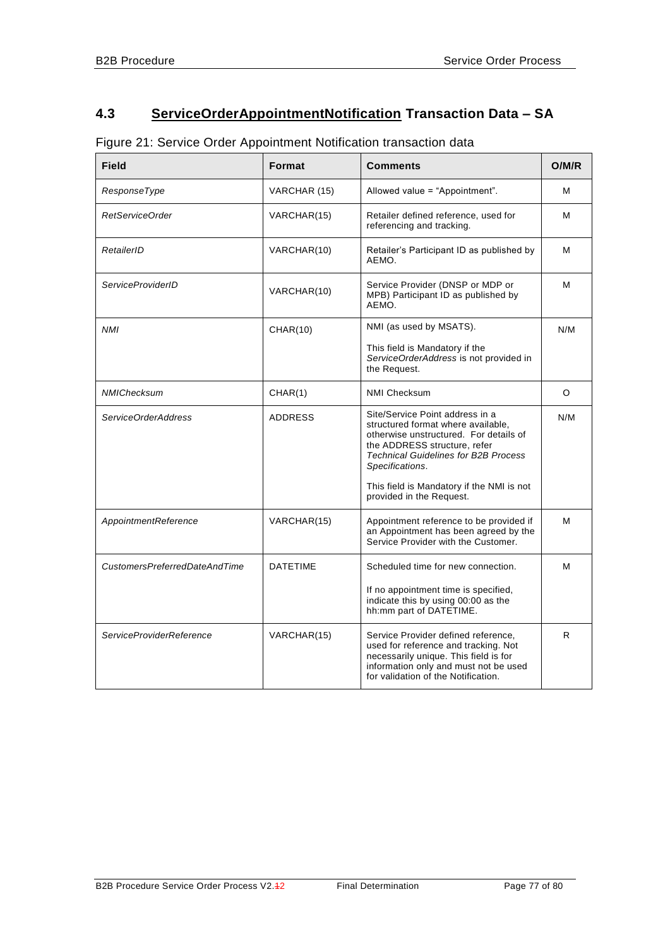# **4.3 ServiceOrderAppointmentNotification Transaction Data – SA**

| Figure 21: Service Order Appointment Notification transaction data |  |  |  |  |
|--------------------------------------------------------------------|--|--|--|--|
|--------------------------------------------------------------------|--|--|--|--|

| <b>Field</b>                  | Format          | <b>Comments</b>                                                                                                                                                                                                                                                | O/M/R   |
|-------------------------------|-----------------|----------------------------------------------------------------------------------------------------------------------------------------------------------------------------------------------------------------------------------------------------------------|---------|
| ResponseType                  | VARCHAR (15)    | Allowed value = "Appointment".                                                                                                                                                                                                                                 | м       |
| RetServiceOrder               | VARCHAR(15)     | Retailer defined reference, used for<br>referencing and tracking.                                                                                                                                                                                              | м       |
| RetailerID                    | VARCHAR(10)     | Retailer's Participant ID as published by<br>AEMO.                                                                                                                                                                                                             | м       |
| <b>ServiceProviderID</b>      | VARCHAR(10)     | Service Provider (DNSP or MDP or<br>MPB) Participant ID as published by<br>AEMO.                                                                                                                                                                               | м       |
| <b>NMI</b>                    | <b>CHAR(10)</b> | NMI (as used by MSATS).                                                                                                                                                                                                                                        | N/M     |
|                               |                 | This field is Mandatory if the<br>ServiceOrderAddress is not provided in<br>the Request.                                                                                                                                                                       |         |
| NMIChecksum                   | CHAR(1)         | <b>NMI Checksum</b>                                                                                                                                                                                                                                            | $\circ$ |
| ServiceOrderAddress           | <b>ADDRESS</b>  | Site/Service Point address in a<br>structured format where available,<br>otherwise unstructured. For details of<br>the ADDRESS structure, refer<br><b>Technical Guidelines for B2B Process</b><br>Specifications.<br>This field is Mandatory if the NMI is not | N/M     |
|                               |                 | provided in the Request.                                                                                                                                                                                                                                       |         |
| AppointmentReference          | VARCHAR(15)     | Appointment reference to be provided if<br>an Appointment has been agreed by the<br>Service Provider with the Customer.                                                                                                                                        | м       |
| CustomersPreferredDateAndTime | <b>DATETIME</b> | Scheduled time for new connection.                                                                                                                                                                                                                             | м       |
|                               |                 | If no appointment time is specified,<br>indicate this by using 00:00 as the<br>hh:mm part of DATETIME.                                                                                                                                                         |         |
| ServiceProviderReference      | VARCHAR(15)     | Service Provider defined reference,<br>used for reference and tracking. Not<br>necessarily unique. This field is for<br>information only and must not be used<br>for validation of the Notification.                                                           | R       |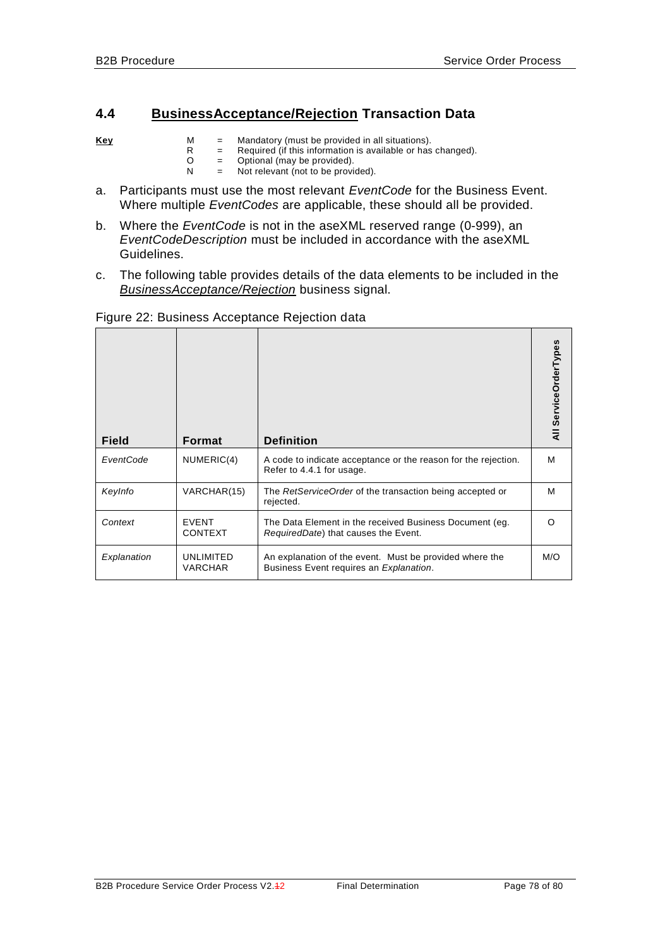## **4.4 BusinessAcceptance/Rejection Transaction Data**

- **Key** M = Mandatory (must be provided in all situations).
	- R = Required (if this information is available or has changed).
	- O = Optional (may be provided).
	- N = Not relevant (not to be provided).
- a. Participants must use the most relevant *EventCode* for the Business Event. Where multiple *EventCodes* are applicable, these should all be provided.
- b. Where the *EventCode* is not in the aseXML reserved range (0-999), an *EventCodeDescription* must be included in accordance with the aseXML Guidelines.
- c. The following table provides details of the data elements to be included in the *BusinessAcceptance/Rejection* business signal.

| <b>Field</b> | <b>Format</b>                  | <b>Definition</b>                                                                                          | All ServiceOrderTypes |
|--------------|--------------------------------|------------------------------------------------------------------------------------------------------------|-----------------------|
| EventCode    | NUMERIC(4)                     | A code to indicate acceptance or the reason for the rejection.<br>Refer to 4.4.1 for usage.                | м                     |
| KeyInfo      | VARCHAR(15)                    | The RetServiceOrder of the transaction being accepted or<br>rejected.                                      | м                     |
| Context      | <b>EVENT</b><br><b>CONTEXT</b> | The Data Element in the received Business Document (eg.<br>RequiredDate) that causes the Event.            | ∩                     |
| Explanation  | UNLIMITED<br><b>VARCHAR</b>    | An explanation of the event. Must be provided where the<br>Business Event requires an <i>Explanation</i> . | M/O                   |

### Figure 22: Business Acceptance Rejection data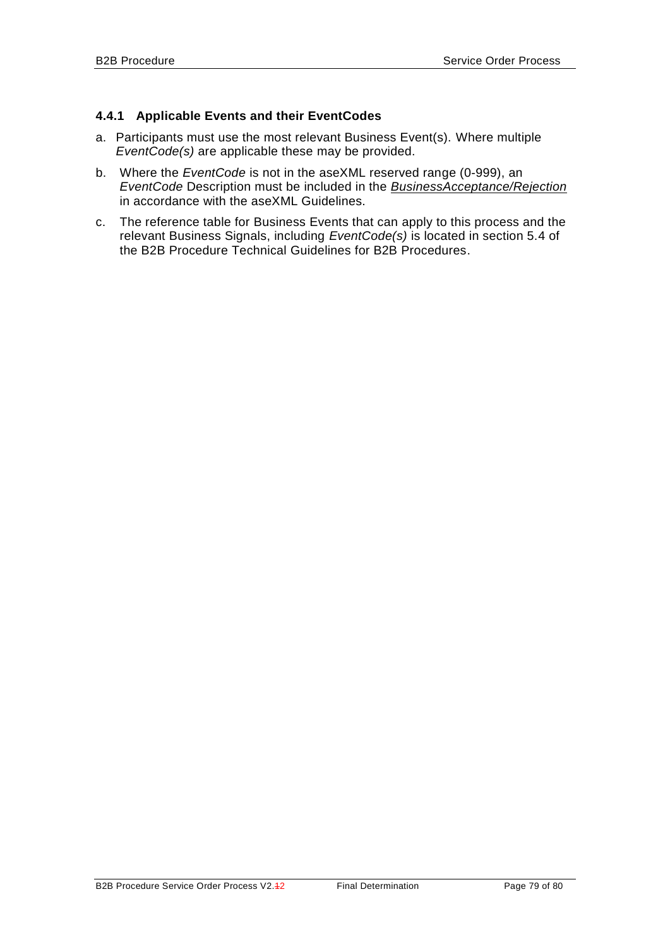### <span id="page-78-0"></span>**4.4.1 Applicable Events and their EventCodes**

- a. Participants must use the most relevant Business Event(s). Where multiple *EventCode(s)* are applicable these may be provided.
- b. Where the *EventCode* is not in the aseXML reserved range (0-999), an *EventCode* Description must be included in the *BusinessAcceptance/Rejection* in accordance with the aseXML Guidelines.
- c. The reference table for Business Events that can apply to this process and the relevant Business Signals, including *EventCode(s)* is located in section 5.4 of the B2B Procedure Technical Guidelines for B2B Procedures.